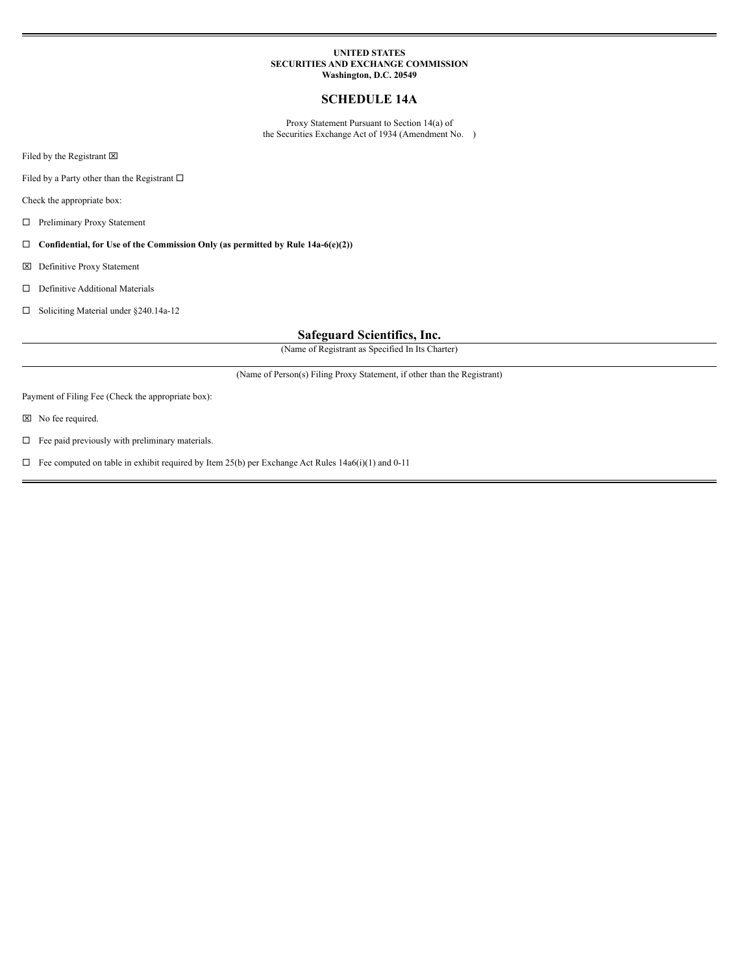## **UNITED STATES SECURITIES AND EXCHANGE COMMISSION Washington, D.C. 20549**

# **SCHEDULE 14A**

Proxy Statement Pursuant to Section 14(a) of the Securities Exchange Act of 1934 (Amendment No. )

Filed by the Registrant  $\boxtimes$ 

Filed by a Party other than the Registrant  $\square$ 

Check the appropriate box:

 $\hfill\Box$  Preliminary Proxy Statement

¨ **Confidential, for Use of the Commission Only (as permitted by Rule 14a-6(e)(2))**

x Definitive Proxy Statement

 $\square$  Definitive Additional Materials

□ Soliciting Material under §240.14a-12

# **Safeguard Scientifics, Inc.**

(Name of Registrant as Specified In Its Charter)

(Name of Person(s) Filing Proxy Statement, if other than the Registrant)

Payment of Filing Fee (Check the appropriate box):

 $\boxtimes$  No fee required.

 $\Box$  <br>Fee paid previously with preliminary materials.

 $\square$  Fee computed on table in exhibit required by Item 25(b) per Exchange Act Rules 14a6(i)(1) and 0-11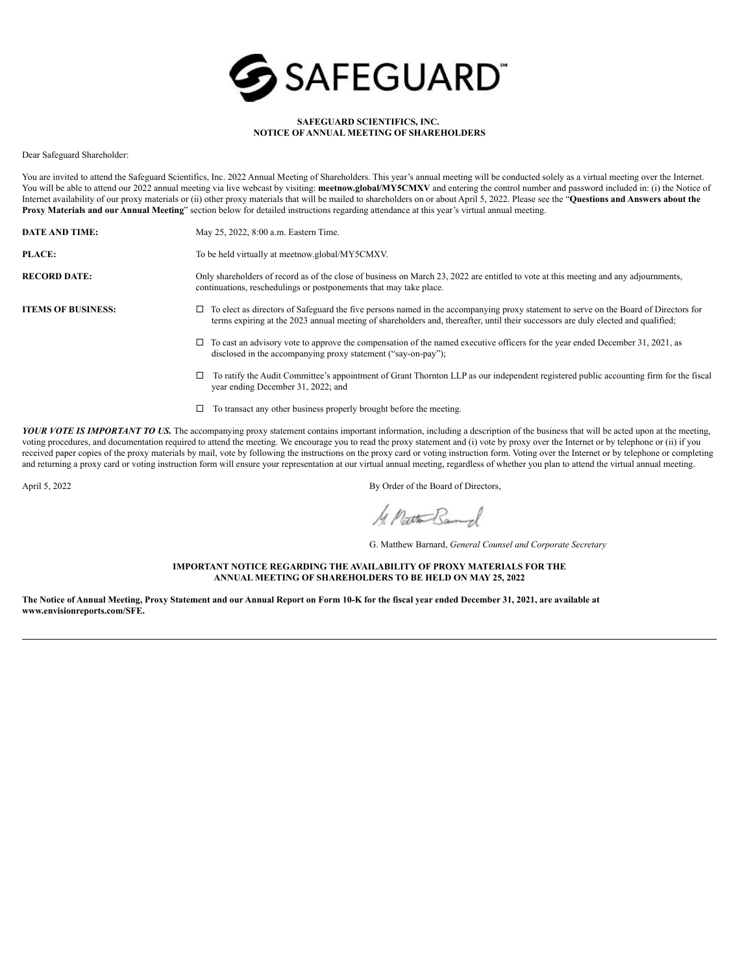

## **SAFEGUARD SCIENTIFICS, INC. NOTICE OF ANNUAL MEETING OF SHAREHOLDERS**

Dear Safeguard Shareholder:

You are invited to attend the Safeguard Scientifics, Inc. 2022 Annual Meeting of Shareholders. This year's annual meeting will be conducted solely as a virtual meeting over the Internet. You will be able to attend our 2022 annual meeting via live webcast by visiting: meetnow.global/MY5CMXV and entering the control number and password included in: (i) the Notice of Internet availability of our proxy materials or (ii) other proxy materials that will be mailed to shareholders on or about April 5, 2022. Please see the "**Questions and Answers about the Proxy Materials and our Annual Meeting**" section below for detailed instructions regarding attendance at this year's virtual annual meeting.

| <b>DATE AND TIME:</b>     | May 25, 2022, 8:00 a.m. Eastern Time.                                                                                                                                                                                                                                            |
|---------------------------|----------------------------------------------------------------------------------------------------------------------------------------------------------------------------------------------------------------------------------------------------------------------------------|
| PLACE:                    | To be held virtually at meetnow.global/MY5CMXV.                                                                                                                                                                                                                                  |
| <b>RECORD DATE:</b>       | Only shareholders of record as of the close of business on March 23, 2022 are entitled to vote at this meeting and any adjournments,<br>continuations, reschedulings or postponements that may take place.                                                                       |
| <b>ITEMS OF BUSINESS:</b> | $\Box$ To elect as directors of Safeguard the five persons named in the accompanying proxy statement to serve on the Board of Directors for<br>terms expiring at the 2023 annual meeting of shareholders and, thereafter, until their successors are duly elected and qualified; |
|                           | To cast an advisory vote to approve the compensation of the named executive officers for the year ended December 31, 2021, as                                                                                                                                                    |

- $\square$  To ratify the Audit Committee's appointment of Grant Thornton LLP as our independent registered public accounting firm for the fiscal year ending December 31, 2022; and
- $\Box$  To transact any other business properly brought before the meeting.

disclosed in the accompanying proxy statement ("say-on-pay");

*YOUR VOTE IS IMPORTANT TO US.* The accompanying proxy statement contains important information, including a description of the business that will be acted upon at the meeting, voting procedures, and documentation required to attend the meeting. We encourage you to read the proxy statement and (i) vote by proxy over the Internet or by telephone or (ii) if you received paper copies of the proxy materials by mail, vote by following the instructions on the proxy card or voting instruction form. Voting over the Internet or by telephone or completing and returning a proxy card or voting instruction form will ensure your representation at our virtual annual meeting, regardless of whether you plan to attend the virtual annual meeting.

April 5, 2022 By Order of the Board of Directors,

1. Path Bannual

G. Matthew Barnard, *General Counsel and Corporate Secretary*

**IMPORTANT NOTICE REGARDING THE AVAILABILITY OF PROXY MATERIALS FOR THE ANNUAL MEETING OF SHAREHOLDERS TO BE HELD ON MAY 25, 2022**

The Notice of Annual Meeting, Proxy Statement and our Annual Report on Form 10-K for the fiscal year ended December 31, 2021, are available at **www.envisionreports.com/SFE.**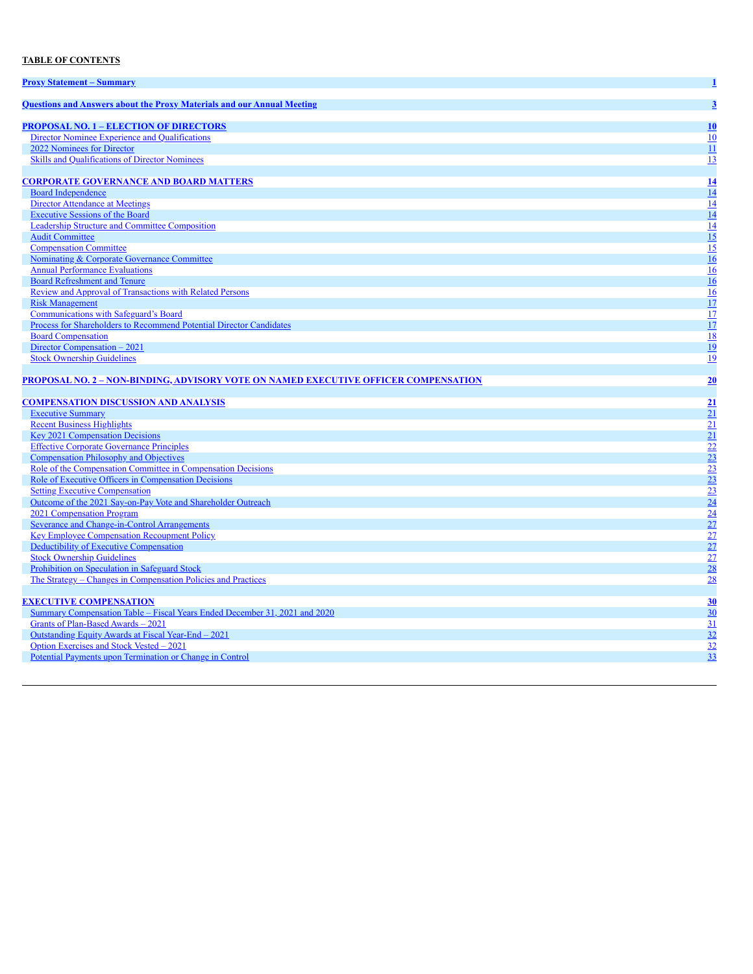# **TABLE OF CONTENTS**

| <b>Proxy Statement – Summary</b>                                                           | $\mathbf{1}$                                                                                                                    |
|--------------------------------------------------------------------------------------------|---------------------------------------------------------------------------------------------------------------------------------|
| <b>Ouestions and Answers about the Proxy Materials and our Annual Meeting</b>              | $\overline{3}$                                                                                                                  |
| <b>PROPOSAL NO. 1 - ELECTION OF DIRECTORS</b>                                              | 10                                                                                                                              |
| Director Nominee Experience and Oualifications                                             | $\overline{10}$                                                                                                                 |
| 2022 Nominees for Director                                                                 | $\overline{11}$                                                                                                                 |
| <b>Skills and Qualifications of Director Nominees</b>                                      | $\frac{13}{13}$                                                                                                                 |
|                                                                                            |                                                                                                                                 |
| <b>CORPORATE GOVERNANCE AND BOARD MATTERS</b>                                              | $\frac{14}{14}$                                                                                                                 |
| <b>Board Independence</b>                                                                  |                                                                                                                                 |
| Director Attendance at Meetings                                                            |                                                                                                                                 |
| <b>Executive Sessions of the Board</b>                                                     | $\frac{14}{14}$ $\frac{14}{15}$ $\frac{15}{15}$ $\frac{16}{16}$ $\frac{16}{17}$ $\frac{17}{17}$ $\frac{17}{17}$ $\frac{18}{19}$ |
| Leadership Structure and Committee Composition                                             |                                                                                                                                 |
| <b>Audit Committee</b>                                                                     |                                                                                                                                 |
| <b>Compensation Committee</b>                                                              |                                                                                                                                 |
| <b>Nominating &amp; Corporate Governance Committee</b>                                     |                                                                                                                                 |
| <b>Annual Performance Evaluations</b>                                                      |                                                                                                                                 |
| <b>Board Refreshment and Tenure</b>                                                        |                                                                                                                                 |
| <b>Review and Approval of Transactions with Related Persons</b>                            |                                                                                                                                 |
| <b>Risk Management</b>                                                                     |                                                                                                                                 |
| <b>Communications with Safeguard's Board</b>                                               |                                                                                                                                 |
| Process for Shareholders to Recommend Potential Director Candidates                        |                                                                                                                                 |
| <b>Board Compensation</b>                                                                  |                                                                                                                                 |
| Director Compensation - 2021                                                               |                                                                                                                                 |
| <b>Stock Ownership Guidelines</b>                                                          |                                                                                                                                 |
|                                                                                            |                                                                                                                                 |
| <b>PROPOSAL NO. 2 - NON-BINDING, ADVISORY VOTE ON NAMED EXECUTIVE OFFICER COMPENSATION</b> | 20                                                                                                                              |
|                                                                                            |                                                                                                                                 |
|                                                                                            |                                                                                                                                 |
| <b>COMPENSATION DISCUSSION AND ANALYSIS</b>                                                |                                                                                                                                 |
| <b>Executive Summary</b>                                                                   | $\frac{21}{21}$                                                                                                                 |
| <b>Recent Business Highlights</b>                                                          |                                                                                                                                 |
| <b>Key 2021 Compensation Decisions</b>                                                     |                                                                                                                                 |
| <b>Effective Corporate Governance Principles</b>                                           |                                                                                                                                 |
| <b>Compensation Philosophy and Objectives</b>                                              |                                                                                                                                 |
| Role of the Compensation Committee in Compensation Decisions                               |                                                                                                                                 |
| Role of Executive Officers in Compensation Decisions                                       |                                                                                                                                 |
| <b>Setting Executive Compensation</b>                                                      |                                                                                                                                 |
| Outcome of the 2021 Say-on-Pay Vote and Shareholder Outreach                               |                                                                                                                                 |
| 2021 Compensation Program                                                                  |                                                                                                                                 |
| Severance and Change-in-Control Arrangements                                               |                                                                                                                                 |
| <b>Key Employee Compensation Recoupment Policy</b>                                         |                                                                                                                                 |
| Deductibility of Executive Compensation                                                    |                                                                                                                                 |
| <b>Stock Ownership Guidelines</b>                                                          |                                                                                                                                 |
| Prohibition on Speculation in Safeguard Stock                                              |                                                                                                                                 |
| The Strategy – Changes in Compensation Policies and Practices                              | 21<br>22<br>23<br>23<br>23<br>24<br>24<br>27<br>27<br>27<br>28<br>28                                                            |
| <b>EXECUTIVE COMPENSATION</b>                                                              |                                                                                                                                 |
| Summary Compensation Table – Fiscal Years Ended December 31, 2021 and 2020                 |                                                                                                                                 |
| Grants of Plan-Based Awards - 2021                                                         |                                                                                                                                 |
| Outstanding Equity Awards at Fiscal Year-End - 2021                                        |                                                                                                                                 |
| Option Exercises and Stock Vested - 2021                                                   |                                                                                                                                 |
| Potential Payments upon Termination or Change in Control                                   | $\frac{30}{30}$ $\frac{31}{32}$ $\frac{32}{32}$ $\frac{32}{33}$                                                                 |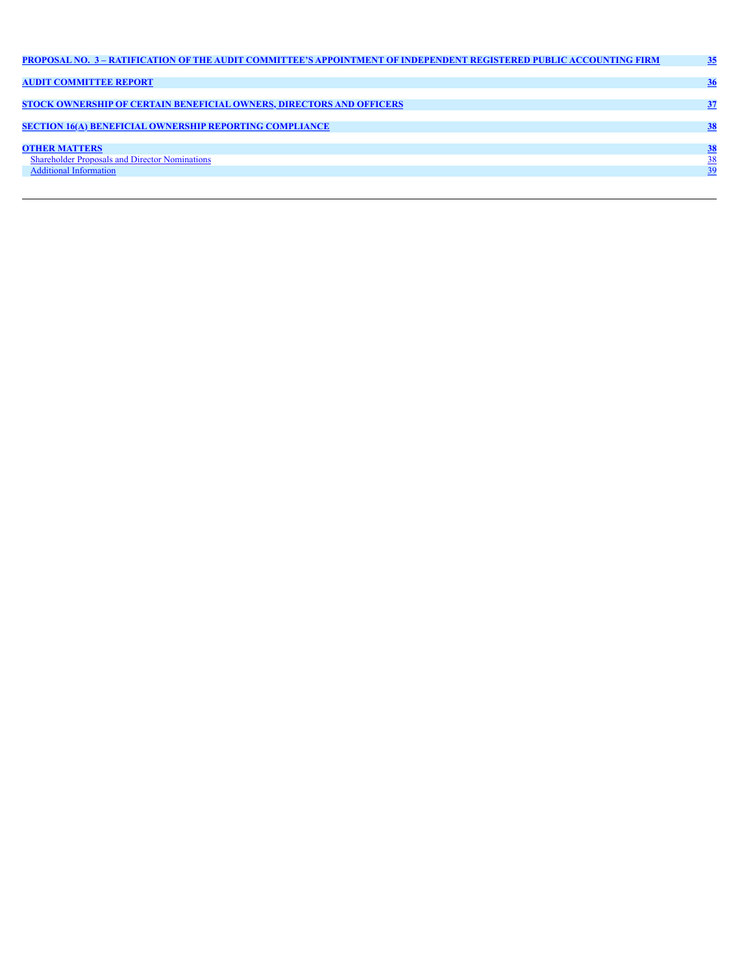| PROPOSAL NO. 3 - RATIFICATION OF THE AUDIT COMMITTEE'S APPOINTMENT OF INDEPENDENT REGISTERED PUBLIC ACCOUNTING FIRM | 35        |
|---------------------------------------------------------------------------------------------------------------------|-----------|
|                                                                                                                     |           |
| <b>AUDIT COMMITTEE REPORT</b>                                                                                       | 36        |
| <b>STOCK OWNERSHIP OF CERTAIN BENEFICIAL OWNERS, DIRECTORS AND OFFICERS</b>                                         | 37        |
|                                                                                                                     |           |
| <b>SECTION 16(A) BENEFICIAL OWNERSHIP REPORTING COMPLIANCE</b>                                                      | 38        |
| <b>OTHER MATTERS</b>                                                                                                | <b>38</b> |
| <b>Shareholder Proposals and Director Nominations</b>                                                               | 38        |
| <b>Additional Information</b>                                                                                       | 39        |
|                                                                                                                     |           |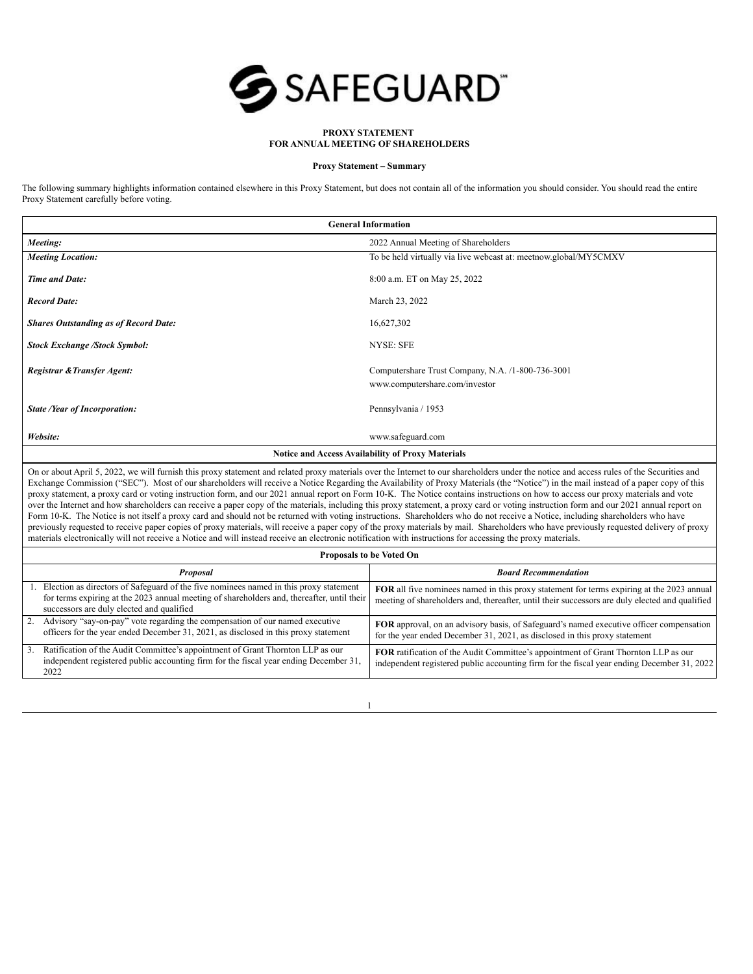

## **PROXY STATEMENT FOR ANNUAL MEETING OF SHAREHOLDERS**

#### **Proxy Statement – Summary**

The following summary highlights information contained elsewhere in this Proxy Statement, but does not contain all of the information you should consider. You should read the entire Proxy Statement carefully before voting.

|                                              | <b>General Information</b>                                       |
|----------------------------------------------|------------------------------------------------------------------|
| Meeting:                                     | 2022 Annual Meeting of Shareholders                              |
| <b>Meeting Location:</b>                     | To be held virtually via live webcast at: meetnow.global/MY5CMXV |
| <b>Time and Date:</b>                        | 8:00 a.m. ET on May 25, 2022                                     |
| <b>Record Date:</b>                          | March 23, 2022                                                   |
| <b>Shares Outstanding as of Record Date:</b> | 16,627,302                                                       |
| <b>Stock Exchange /Stock Symbol:</b>         | <b>NYSE: SFE</b>                                                 |
| Registrar & Transfer Agent:                  | Computershare Trust Company, N.A. /1-800-736-3001                |
|                                              | www.computershare.com/investor                                   |
| <b>State /Year of Incorporation:</b>         | Pennsylvania / 1953                                              |
| Website:                                     | www.safeguard.com                                                |
|                                              | <b>Notice and Access Availability of Proxy Materials</b>         |

On or about April 5, 2022, we will furnish this proxy statement and related proxy materials over the Internet to our shareholders under the notice and access rules of the Securities and Exchange Commission ("SEC"). Most of our shareholders will receive a Notice Regarding the Availability of Proxy Materials (the "Notice") in the mail instead of a paper copy of this proxy statement, a proxy card or voting instruction form, and our 2021 annual report on Form 10-K. The Notice contains instructions on how to access our proxy materials and vote over the Internet and how shareholders can receive a paper copy of the materials, including this proxy statement, a proxy card or voting instruction form and our 2021 annual report on Form 10-K. The Notice is not itself a proxy card and should not be returned with voting instructions. Shareholders who do not receive a Notice, including shareholders who have previously requested to receive paper copies of proxy materials, will receive a paper copy of the proxy materials by mail. Shareholders who have previously requested delivery of proxy materials electronically will not receive a Notice and will instead receive an electronic notification with instructions for accessing the proxy materials.

|                                                                                 |                                                                                                                                                                                     | Proposals to be Voted On                                                                                                                                                                    |
|---------------------------------------------------------------------------------|-------------------------------------------------------------------------------------------------------------------------------------------------------------------------------------|---------------------------------------------------------------------------------------------------------------------------------------------------------------------------------------------|
|                                                                                 | Proposal                                                                                                                                                                            | <b>Board Recommendation</b>                                                                                                                                                                 |
| successors are duly elected and qualified                                       | Election as directors of Safeguard of the five nominees named in this proxy statement<br>for terms expiring at the 2023 annual meeting of shareholders and, thereafter, until their | FOR all five nominees named in this proxy statement for terms expiring at the 2023 annual<br>meeting of shareholders and, thereafter, until their successors are duly elected and qualified |
| 2. Advisory "say-on-pay" vote regarding the compensation of our named executive | officers for the year ended December 31, 2021, as disclosed in this proxy statement                                                                                                 | FOR approval, on an advisory basis, of Safeguard's named executive officer compensation<br>for the year ended December 31, 2021, as disclosed in this proxy statement                       |
| 3 <sub>1</sub><br>2022                                                          | Ratification of the Audit Committee's appointment of Grant Thornton LLP as our<br>independent registered public accounting firm for the fiscal year ending December 31,             | FOR ratification of the Audit Committee's appointment of Grant Thornton LLP as our<br>independent registered public accounting firm for the fiscal year ending December 31, 2022            |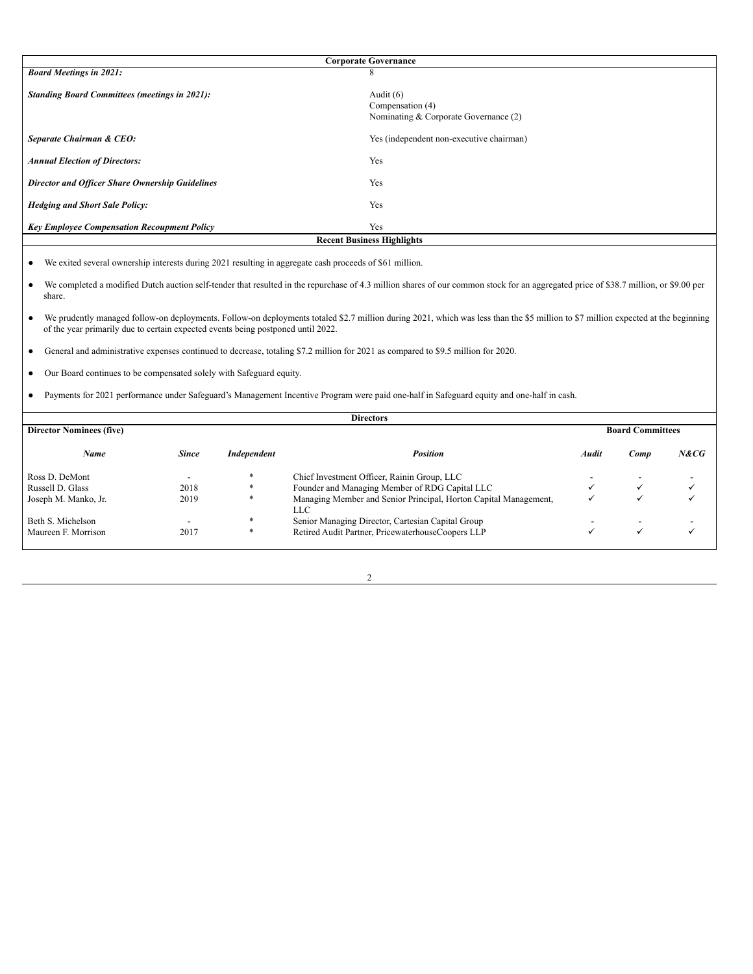|                                                      | <b>Corporate Governance</b>                                              |
|------------------------------------------------------|--------------------------------------------------------------------------|
| <b>Board Meetings in 2021:</b>                       | 8                                                                        |
| <b>Standing Board Committees (meetings in 2021):</b> | Audit $(6)$<br>Compensation (4)<br>Nominating & Corporate Governance (2) |
| Separate Chairman & CEO:                             | Yes (independent non-executive chairman)                                 |
| <b>Annual Election of Directors:</b>                 | Yes                                                                      |
| Director and Officer Share Ownership Guidelines      | Yes                                                                      |
| <b>Hedging and Short Sale Policy:</b>                | Yes                                                                      |
| <b>Key Employee Compensation Recoupment Policy</b>   | Yes                                                                      |
|                                                      | <b>Recent Business Highlights</b>                                        |

● We exited several ownership interests during 2021 resulting in aggregate cash proceeds of \$61 million.

- We completed a modified Dutch auction self-tender that resulted in the repurchase of 4.3 million shares of our common stock for an aggregated price of \$38.7 million, or \$9.00 per share.
- We prudently managed follow-on deployments. Follow-on deployments totaled \$2.7 million during 2021, which was less than the \$5 million to \$7 million expected at the beginning of the year primarily due to certain expected events being postponed until 2022.
- General and administrative expenses continued to decrease, totaling \$7.2 million for 2021 as compared to \$9.5 million for 2020.
- Our Board continues to be compensated solely with Safeguard equity.
- Payments for 2021 performance under Safeguard's Management Incentive Program were paid one-half in Safeguard equity and one-half in cash.

|                                 |              |                    | <b>Directors</b>                                                        |       |                         |      |
|---------------------------------|--------------|--------------------|-------------------------------------------------------------------------|-------|-------------------------|------|
| <b>Director Nominees (five)</b> |              |                    |                                                                         |       | <b>Board Committees</b> |      |
| Name                            | <b>Since</b> | <b>Independent</b> | <b>Position</b>                                                         | Audit | Comp                    | N&CG |
| Ross D. DeMont                  |              | $\ast$             | Chief Investment Officer, Rainin Group, LLC                             |       |                         |      |
| Russell D. Glass                | 2018         | $*$                | Founder and Managing Member of RDG Capital LLC                          |       |                         |      |
| Joseph M. Manko, Jr.            | 2019         | $*$                | Managing Member and Senior Principal, Horton Capital Management,<br>LLC |       |                         |      |
| Beth S. Michelson               | -            | *                  | Senior Managing Director, Cartesian Capital Group                       |       |                         |      |
| Maureen F. Morrison             | 2017         | *                  | Retired Audit Partner, PricewaterhouseCoopers LLP                       |       | v                       |      |

| ٧<br>I |  |
|--------|--|
| ×      |  |
|        |  |
|        |  |
|        |  |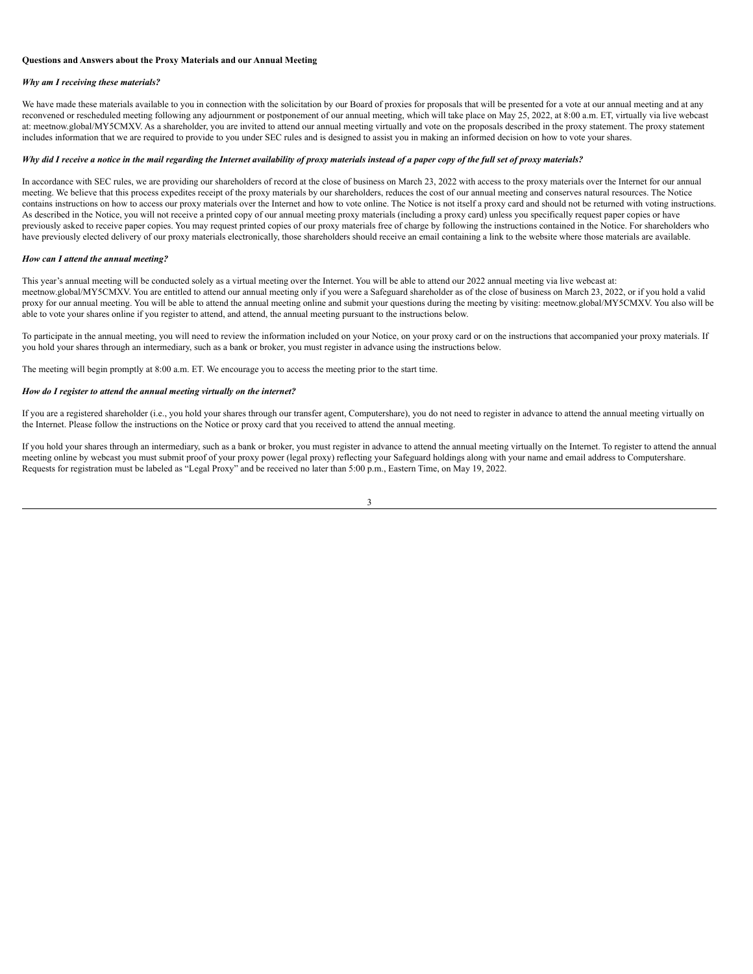## <span id="page-6-0"></span>**Questions and Answers about the Proxy Materials and our Annual Meeting**

#### *Why am I receiving these materials?*

We have made these materials available to you in connection with the solicitation by our Board of proxies for proposals that will be presented for a vote at our annual meeting and at any reconvened or rescheduled meeting following any adjournment or postponement of our annual meeting, which will take place on May 25, 2022, at 8:00 a.m. ET, virtually via live webcast at: meetnow.global/MY5CMXV. As a shareholder, you are invited to attend our annual meeting virtually and vote on the proposals described in the proxy statement. The proxy statement includes information that we are required to provide to you under SEC rules and is designed to assist you in making an informed decision on how to vote your shares.

## Why did I receive a notice in the mail regarding the Internet availability of proxy materials instead of a paper copy of the full set of proxy materials?

In accordance with SEC rules, we are providing our shareholders of record at the close of business on March 23, 2022 with access to the proxy materials over the Internet for our annual meeting. We believe that this process expedites receipt of the proxy materials by our shareholders, reduces the cost of our annual meeting and conserves natural resources. The Notice contains instructions on how to access our proxy materials over the Internet and how to vote online. The Notice is not itself a proxy card and should not be returned with voting instructions. As described in the Notice, you will not receive a printed copy of our annual meeting proxy materials (including a proxy card) unless you specifically request paper copies or have previously asked to receive paper copies. You may request printed copies of our proxy materials free of charge by following the instructions contained in the Notice. For shareholders who have previously elected delivery of our proxy materials electronically, those shareholders should receive an email containing a link to the website where those materials are available.

#### *How can I attend the annual meeting?*

This year's annual meeting will be conducted solely as a virtual meeting over the Internet. You will be able to attend our 2022 annual meeting via live webcast at: meetnow.global/MY5CMXV. You are entitled to attend our annual meeting only if you were a Safeguard shareholder as of the close of business on March 23, 2022, or if you hold a valid proxy for our annual meeting. You will be able to attend the annual meeting online and submit your questions during the meeting by visiting: meetnow.global/MY5CMXV. You also will be able to vote your shares online if you register to attend, and attend, the annual meeting pursuant to the instructions below.

To participate in the annual meeting, you will need to review the information included on your Notice, on your proxy card or on the instructions that accompanied your proxy materials. If you hold your shares through an intermediary, such as a bank or broker, you must register in advance using the instructions below.

The meeting will begin promptly at 8:00 a.m. ET. We encourage you to access the meeting prior to the start time.

#### *How do I register to attend the annual meeting virtually on the internet?*

If you are a registered shareholder (i.e., you hold your shares through our transfer agent, Computershare), you do not need to register in advance to attend the annual meeting virtually on the Internet. Please follow the instructions on the Notice or proxy card that you received to attend the annual meeting.

If you hold your shares through an intermediary, such as a bank or broker, you must register in advance to attend the annual meeting virtually on the Internet. To register to attend the annual meeting online by webcast you must submit proof of your proxy power (legal proxy) reflecting your Safeguard holdings along with your name and email address to Computershare. Requests for registration must be labeled as "Legal Proxy" and be received no later than 5:00 p.m., Eastern Time, on May 19, 2022.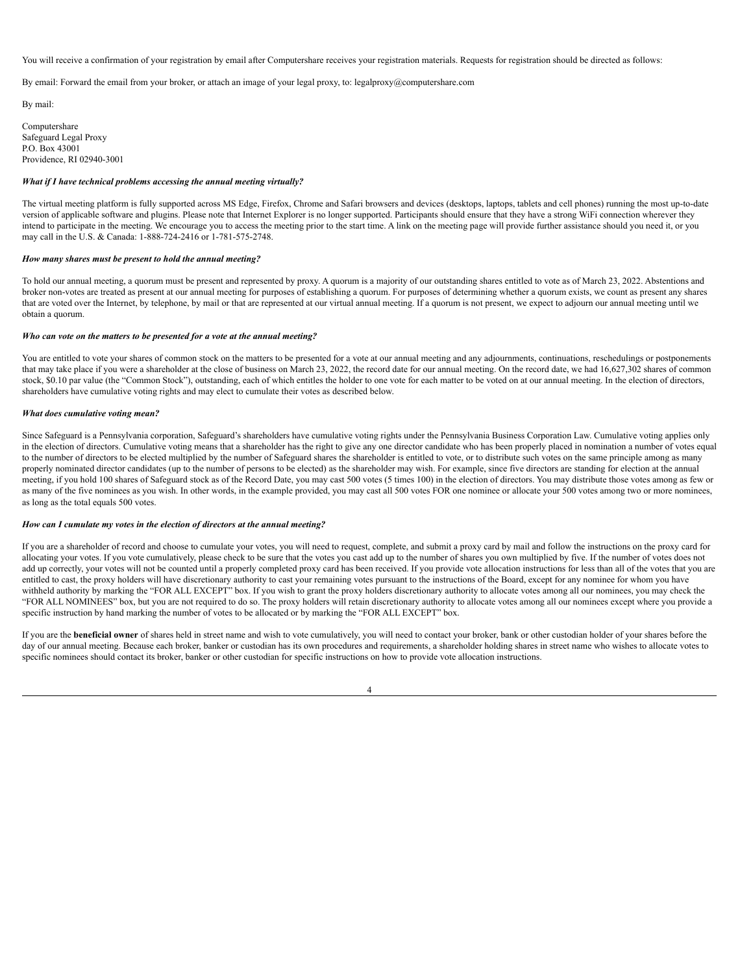You will receive a confirmation of your registration by email after Computershare receives your registration materials. Requests for registration should be directed as follows:

By email: Forward the email from your broker, or attach an image of your legal proxy, to: legalproxy@computershare.com

By mail:

Computershare Safeguard Legal Proxy P.O. Box 43001 Providence, RI 02940-3001

# *What if I have technical problems accessing the annual meeting virtually?*

The virtual meeting platform is fully supported across MS Edge, Firefox, Chrome and Safari browsers and devices (desktops, laptops, tablets and cell phones) running the most up-to-date version of applicable software and plugins. Please note that Internet Explorer is no longer supported. Participants should ensure that they have a strong WiFi connection wherever they intend to participate in the meeting. We encourage you to access the meeting prior to the start time. A link on the meeting page will provide further assistance should you need it, or you may call in the U.S. & Canada: 1-888-724-2416 or 1-781-575-2748.

#### *How many shares must be present to hold the annual meeting?*

To hold our annual meeting, a quorum must be present and represented by proxy. A quorum is a majority of our outstanding shares entitled to vote as of March 23, 2022. Abstentions and broker non-votes are treated as present at our annual meeting for purposes of establishing a quorum. For purposes of determining whether a quorum exists, we count as present any shares that are voted over the Internet, by telephone, by mail or that are represented at our virtual annual meeting. If a quorum is not present, we expect to adjourn our annual meeting until we obtain a quorum.

### *Who can vote on the matters to be presented for a vote at the annual meeting?*

You are entitled to vote your shares of common stock on the matters to be presented for a vote at our annual meeting and any adjournments, continuations, reschedulings or postponements that may take place if you were a shareholder at the close of business on March 23, 2022, the record date for our annual meeting. On the record date, we had 16,627,302 shares of common stock, \$0.10 par value (the "Common Stock"), outstanding, each of which entitles the holder to one vote for each matter to be voted on at our annual meeting. In the election of directors, shareholders have cumulative voting rights and may elect to cumulate their votes as described below.

#### *What does cumulative voting mean?*

Since Safeguard is a Pennsylvania corporation, Safeguard's shareholders have cumulative voting rights under the Pennsylvania Business Corporation Law. Cumulative voting applies only in the election of directors. Cumulative voting means that a shareholder has the right to give any one director candidate who has been properly placed in nomination a number of votes equal to the number of directors to be elected multiplied by the number of Safeguard shares the shareholder is entitled to vote, or to distribute such votes on the same principle among as many properly nominated director candidates (up to the number of persons to be elected) as the shareholder may wish. For example, since five directors are standing for election at the annual meeting, if you hold 100 shares of Safeguard stock as of the Record Date, you may cast 500 votes (5 times 100) in the election of directors. You may distribute those votes among as few or as many of the five nominees as you wish. In other words, in the example provided, you may cast all 500 votes FOR one nominee or allocate your 500 votes among two or more nominees, as long as the total equals 500 votes.

#### *How can I cumulate my votes in the election of directors at the annual meeting?*

If you are a shareholder of record and choose to cumulate your votes, you will need to request, complete, and submit a proxy card by mail and follow the instructions on the proxy card for allocating your votes. If you vote cumulatively, please check to be sure that the votes you cast add up to the number of shares you own multiplied by five. If the number of votes does not add up correctly, your votes will not be counted until a properly completed proxy card has been received. If you provide vote allocation instructions for less than all of the votes that you are entitled to cast, the proxy holders will have discretionary authority to cast your remaining votes pursuant to the instructions of the Board, except for any nominee for whom you have withheld authority by marking the "FOR ALL EXCEPT" box. If you wish to grant the proxy holders discretionary authority to allocate votes among all our nominees, you may check the "FOR ALL NOMINEES" box, but you are not required to do so. The proxy holders will retain discretionary authority to allocate votes among all our nominees except where you provide a specific instruction by hand marking the number of votes to be allocated or by marking the "FOR ALL EXCEPT" box.

If you are the **beneficial owner** of shares held in street name and wish to vote cumulatively, you will need to contact your broker, bank or other custodian holder of your shares before the day of our annual meeting. Because each broker, banker or custodian has its own procedures and requirements, a shareholder holding shares in street name who wishes to allocate votes to specific nominees should contact its broker, banker or other custodian for specific instructions on how to provide vote allocation instructions.

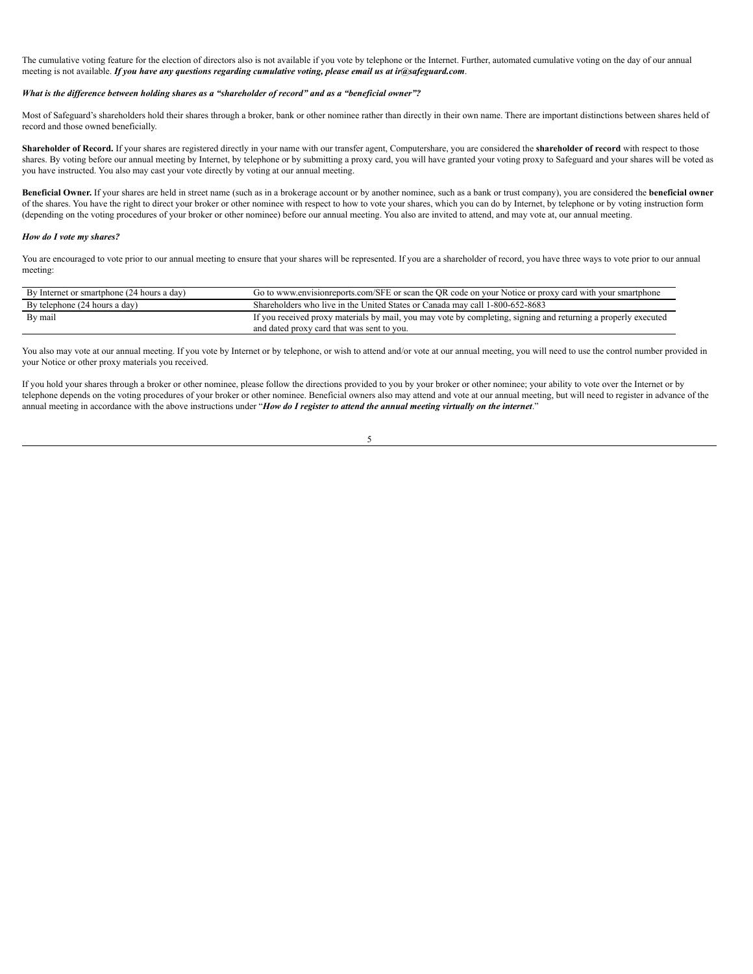The cumulative voting feature for the election of directors also is not available if you vote by telephone or the Internet. Further, automated cumulative voting on the day of our annual meeting is not available. *If you have any questions regarding cumulative voting, please email us at ir@safeguard.com*.

## What is the difference between holding shares as a "shareholder of record" and as a "beneficial owner"?

Most of Safeguard's shareholders hold their shares through a broker, bank or other nominee rather than directly in their own name. There are important distinctions between shares held of record and those owned beneficially.

**Shareholder of Record.** If your shares are registered directly in your name with our transfer agent, Computershare, you are considered the **shareholder of record** with respect to those shares. By voting before our annual meeting by Internet, by telephone or by submitting a proxy card, you will have granted your voting proxy to Safeguard and your shares will be voted as you have instructed. You also may cast your vote directly by voting at our annual meeting.

**Beneficial Owner.** If your shares are held in street name (such as in a brokerage account or by another nominee, such as a bank or trust company), you are considered the **beneficial owner** of the shares. You have the right to direct your broker or other nominee with respect to how to vote your shares, which you can do by Internet, by telephone or by voting instruction form (depending on the voting procedures of your broker or other nominee) before our annual meeting. You also are invited to attend, and may vote at, our annual meeting.

### *How do I vote my shares?*

You are encouraged to vote prior to our annual meeting to ensure that your shares will be represented. If you are a shareholder of record, you have three ways to vote prior to our annual meeting:

| By Internet or smartphone (24 hours a day) | Go to www.envisionreports.com/SFE or scan the OR code on your Notice or proxy card with your smartphone                                                      |
|--------------------------------------------|--------------------------------------------------------------------------------------------------------------------------------------------------------------|
| By telephone (24 hours a day)              | Shareholders who live in the United States or Canada may call 1-800-652-8683                                                                                 |
| By mail                                    | If you received proxy materials by mail, you may vote by completing, signing and returning a properly executed<br>and dated proxy card that was sent to you. |

You also may vote at our annual meeting. If you vote by Internet or by telephone, or wish to attend and/or vote at our annual meeting, you will need to use the control number provided in your Notice or other proxy materials you received.

If you hold your shares through a broker or other nominee, please follow the directions provided to you by your broker or other nominee; your ability to vote over the Internet or by telephone depends on the voting procedures of your broker or other nominee. Beneficial owners also may attend and vote at our annual meeting, but will need to register in advance of the annual meeting in accordance with the above instructions under "How do I register to attend the annual meeting virtually on the internet."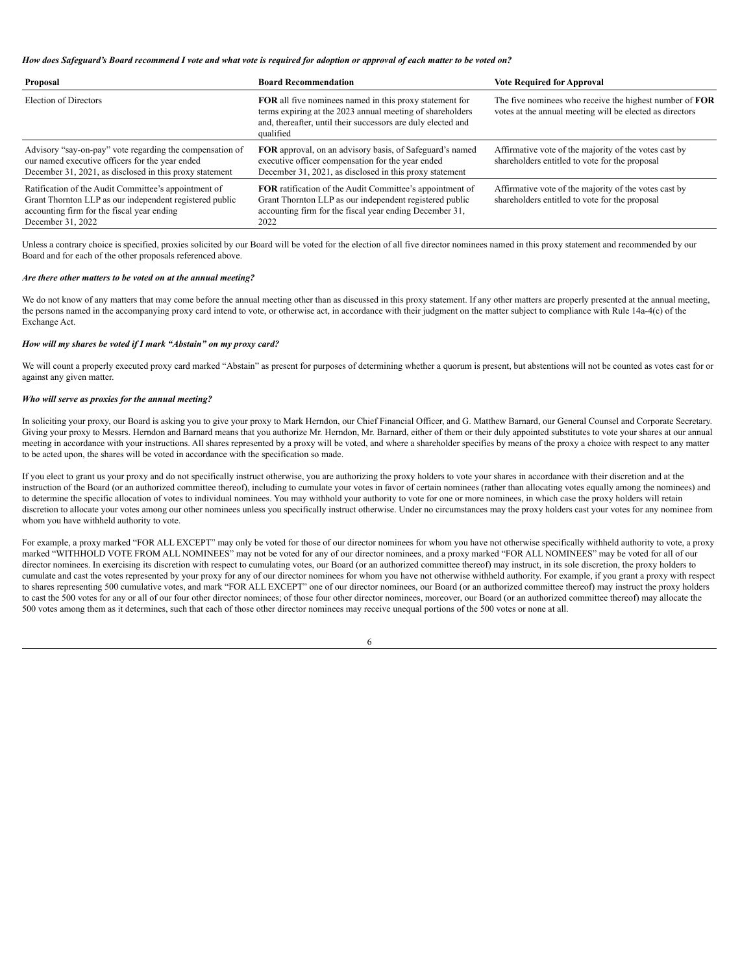#### How does Safeguard's Board recommend I vote and what vote is required for adoption or approval of each matter to be voted on?

| Proposal                                                                                                                                                                           | <b>Board Recommendation</b>                                                                                                                                                                       | <b>Vote Required for Approval</b>                                                                                          |
|------------------------------------------------------------------------------------------------------------------------------------------------------------------------------------|---------------------------------------------------------------------------------------------------------------------------------------------------------------------------------------------------|----------------------------------------------------------------------------------------------------------------------------|
| Election of Directors                                                                                                                                                              | FOR all five nominees named in this proxy statement for<br>terms expiring at the 2023 annual meeting of shareholders<br>and, thereafter, until their successors are duly elected and<br>qualified | The five nominees who receive the highest number of <b>FOR</b><br>votes at the annual meeting will be elected as directors |
| Advisory "say-on-pay" vote regarding the compensation of<br>our named executive officers for the year ended<br>December 31, 2021, as disclosed in this proxy statement             | FOR approval, on an advisory basis, of Safeguard's named<br>executive officer compensation for the year ended<br>December 31, 2021, as disclosed in this proxy statement                          | Affirmative vote of the majority of the votes cast by<br>shareholders entitled to vote for the proposal                    |
| Ratification of the Audit Committee's appointment of<br>Grant Thornton LLP as our independent registered public<br>accounting firm for the fiscal year ending<br>December 31, 2022 | <b>FOR</b> ratification of the Audit Committee's appointment of<br>Grant Thornton LLP as our independent registered public<br>accounting firm for the fiscal year ending December 31,<br>2022     | Affirmative vote of the majority of the votes cast by<br>shareholders entitled to vote for the proposal                    |

Unless a contrary choice is specified, proxies solicited by our Board will be voted for the election of all five director nominees named in this proxy statement and recommended by our Board and for each of the other proposals referenced above.

#### *Are there other matters to be voted on at the annual meeting?*

We do not know of any matters that may come before the annual meeting other than as discussed in this proxy statement. If any other matters are properly presented at the annual meeting, the persons named in the accompanying proxy card intend to vote, or otherwise act, in accordance with their judgment on the matter subject to compliance with Rule 14a-4(c) of the Exchange Act.

## *How will my shares be voted if I mark "Abstain" on my proxy card?*

We will count a properly executed proxy card marked "Abstain" as present for purposes of determining whether a quorum is present, but abstentions will not be counted as votes cast for or against any given matter.

# *Who will serve as proxies for the annual meeting?*

In soliciting your proxy, our Board is asking you to give your proxy to Mark Herndon, our Chief Financial Officer, and G. Matthew Barnard, our General Counsel and Corporate Secretary. Giving your proxy to Messrs. Herndon and Barnard means that you authorize Mr. Herndon, Mr. Barnard, either of them or their duly appointed substitutes to vote your shares at our annual meeting in accordance with your instructions. All shares represented by a proxy will be voted, and where a shareholder specifies by means of the proxy a choice with respect to any matter to be acted upon, the shares will be voted in accordance with the specification so made.

If you elect to grant us your proxy and do not specifically instruct otherwise, you are authorizing the proxy holders to vote your shares in accordance with their discretion and at the instruction of the Board (or an authorized committee thereof), including to cumulate your votes in favor of certain nominees (rather than allocating votes equally among the nominees) and to determine the specific allocation of votes to individual nominees. You may withhold your authority to vote for one or more nominees, in which case the proxy holders will retain discretion to allocate your votes among our other nominees unless you specifically instruct otherwise. Under no circumstances may the proxy holders cast your votes for any nominee from whom you have withheld authority to vote.

For example, a proxy marked "FOR ALL EXCEPT" may only be voted for those of our director nominees for whom you have not otherwise specifically withheld authority to vote, a proxy marked "WITHHOLD VOTE FROM ALL NOMINEES" may not be voted for any of our director nominees, and a proxy marked "FOR ALL NOMINEES" may be voted for all of our director nominees. In exercising its discretion with respect to cumulating votes, our Board (or an authorized committee thereof) may instruct, in its sole discretion, the proxy holders to cumulate and cast the votes represented by your proxy for any of our director nominees for whom you have not otherwise withheld authority. For example, if you grant a proxy with respect to shares representing 500 cumulative votes, and mark "FOR ALL EXCEPT" one of our director nominees, our Board (or an authorized committee thereof) may instruct the proxy holders to cast the 500 votes for any or all of our four other director nominees; of those four other director nominees, moreover, our Board (or an authorized committee thereof) may allocate the 500 votes among them as it determines, such that each of those other director nominees may receive unequal portions of the 500 votes or none at all.

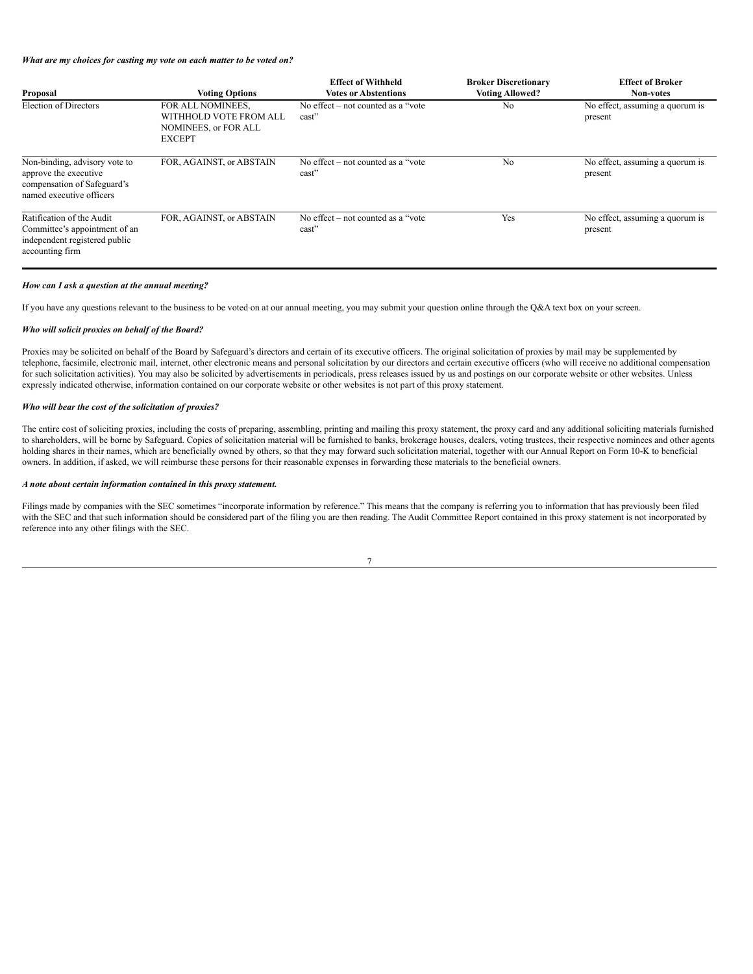*What are my choices for casting my vote on each matter to be voted on?*

| Proposal                                                                                                          | <b>Voting Options</b>                                                                       | <b>Effect of Withheld</b><br><b>Votes or Abstentions</b> | <b>Broker Discretionary</b><br><b>Voting Allowed?</b> | <b>Effect of Broker</b><br>Non-votes       |
|-------------------------------------------------------------------------------------------------------------------|---------------------------------------------------------------------------------------------|----------------------------------------------------------|-------------------------------------------------------|--------------------------------------------|
| Election of Directors                                                                                             | FOR ALL NOMINEES,<br>WITHHOLD VOTE FROM ALL<br><b>NOMINEES, or FOR ALL</b><br><b>EXCEPT</b> | No effect $-$ not counted as a "vote"<br>cast"           | N <sub>0</sub>                                        | No effect, assuming a quorum is<br>present |
| Non-binding, advisory vote to<br>approve the executive<br>compensation of Safeguard's<br>named executive officers | FOR, AGAINST, or ABSTAIN                                                                    | No effect $-$ not counted as a "vote"<br>cast"           | N <sub>0</sub>                                        | No effect, assuming a quorum is<br>present |
| Ratification of the Audit<br>Committee's appointment of an<br>independent registered public<br>accounting firm    | FOR, AGAINST, or ABSTAIN                                                                    | No effect $-$ not counted as a "vote"<br>cast"           | Yes                                                   | No effect, assuming a quorum is<br>present |

## *How can I ask a question at the annual meeting?*

If you have any questions relevant to the business to be voted on at our annual meeting, you may submit your question online through the Q&A text box on your screen.

## *Who will solicit proxies on behalf of the Board?*

Proxies may be solicited on behalf of the Board by Safeguard's directors and certain of its executive officers. The original solicitation of proxies by mail may be supplemented by telephone, facsimile, electronic mail, internet, other electronic means and personal solicitation by our directors and certain executive officers (who will receive no additional compensation for such solicitation activities). You may also be solicited by advertisements in periodicals, press releases issued by us and postings on our corporate website or other websites. Unless expressly indicated otherwise, information contained on our corporate website or other websites is not part of this proxy statement.

## *Who will bear the cost of the solicitation of proxies?*

The entire cost of soliciting proxies, including the costs of preparing, assembling, printing and mailing this proxy statement, the proxy card and any additional soliciting materials furnished to shareholders, will be borne by Safeguard. Copies of solicitation material will be furnished to banks, brokerage houses, dealers, voting trustees, their respective nominees and other agents holding shares in their names, which are beneficially owned by others, so that they may forward such solicitation material, together with our Annual Report on Form 10-K to beneficial owners. In addition, if asked, we will reimburse these persons for their reasonable expenses in forwarding these materials to the beneficial owners.

## *A note about certain information contained in this proxy statement.*

Filings made by companies with the SEC sometimes "incorporate information by reference." This means that the company is referring you to information that has previously been filed with the SEC and that such information should be considered part of the filing you are then reading. The Audit Committee Report contained in this proxy statement is not incorporated by reference into any other filings with the SEC.

| e v    |
|--------|
|        |
|        |
|        |
| I<br>I |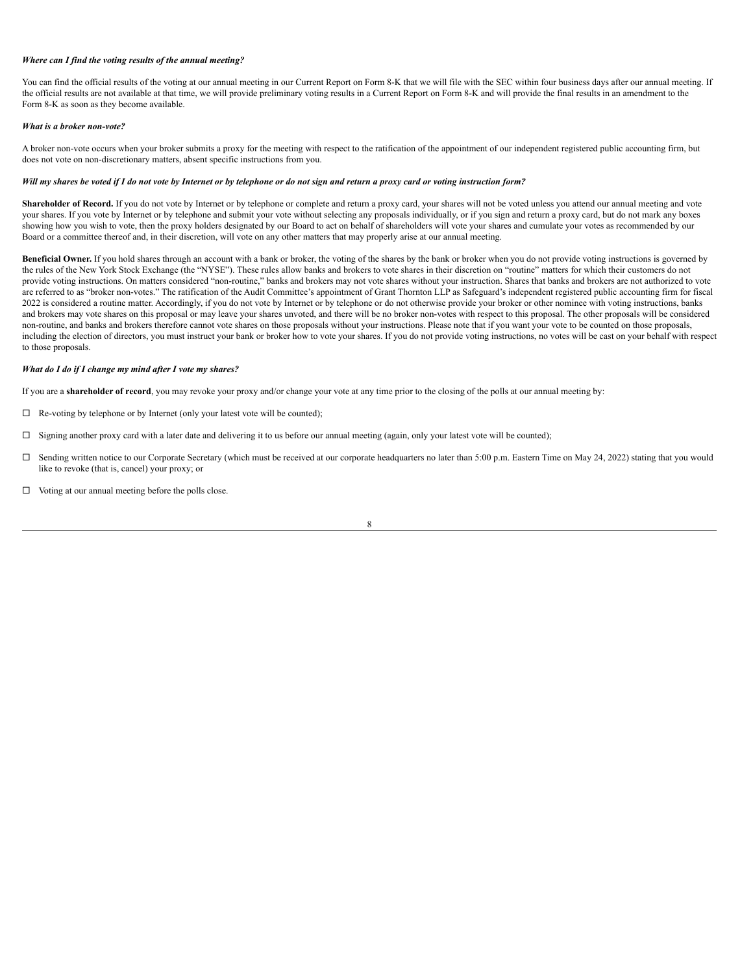# *Where can I find the voting results of the annual meeting?*

You can find the official results of the voting at our annual meeting in our Current Report on Form 8-K that we will file with the SEC within four business days after our annual meeting. If the official results are not available at that time, we will provide preliminary voting results in a Current Report on Form 8-K and will provide the final results in an amendment to the Form 8-K as soon as they become available.

## *What is a broker non-vote?*

A broker non-vote occurs when your broker submits a proxy for the meeting with respect to the ratification of the appointment of our independent registered public accounting firm, but does not vote on non-discretionary matters, absent specific instructions from you.

## Will my shares be voted if I do not vote by Internet or by telephone or do not sign and return a proxy card or voting instruction form?

Shareholder of Record. If you do not vote by Internet or by telephone or complete and return a proxy card, your shares will not be voted unless you attend our annual meeting and vote your shares. If you vote by Internet or by telephone and submit your vote without selecting any proposals individually, or if you sign and return a proxy card, but do not mark any boxes showing how you wish to vote, then the proxy holders designated by our Board to act on behalf of shareholders will vote your shares and cumulate your votes as recommended by our Board or a committee thereof and, in their discretion, will vote on any other matters that may properly arise at our annual meeting.

**Beneficial Owner.** If you hold shares through an account with a bank or broker, the voting of the shares by the bank or broker when you do not provide voting instructions is governed by the rules of the New York Stock Exchange (the "NYSE"). These rules allow banks and brokers to vote shares in their discretion on "routine" matters for which their customers do not provide voting instructions. On matters considered "non-routine," banks and brokers may not vote shares without your instruction. Shares that banks and brokers are not authorized to vote are referred to as "broker non-votes." The ratification of the Audit Committee's appointment of Grant Thornton LLP as Safeguard's independent registered public accounting firm for fiscal 2022 is considered a routine matter. Accordingly, if you do not vote by Internet or by telephone or do not otherwise provide your broker or other nominee with voting instructions, banks and brokers may vote shares on this proposal or may leave your shares unvoted, and there will be no broker non-votes with respect to this proposal. The other proposals will be considered non-routine, and banks and brokers therefore cannot vote shares on those proposals without your instructions. Please note that if you want your vote to be counted on those proposals, including the election of directors, you must instruct your bank or broker how to vote your shares. If you do not provide voting instructions, no votes will be cast on your behalf with respect to those proposals.

#### *What do I do if I change my mind after I vote my shares?*

If you are a **shareholder of record**, you may revoke your proxy and/or change your vote at any time prior to the closing of the polls at our annual meeting by:

- $\Box$  Re-voting by telephone or by Internet (only your latest vote will be counted);
- $\Box$  Signing another proxy card with a later date and delivering it to us before our annual meeting (again, only your latest vote will be counted);
- $\Box$  Sending written notice to our Corporate Secretary (which must be received at our corporate headquarters no later than 5:00 p.m. Eastern Time on May 24, 2022) stating that you would like to revoke (that is, cancel) your proxy; or
- $\Box$  Voting at our annual meeting before the polls close.

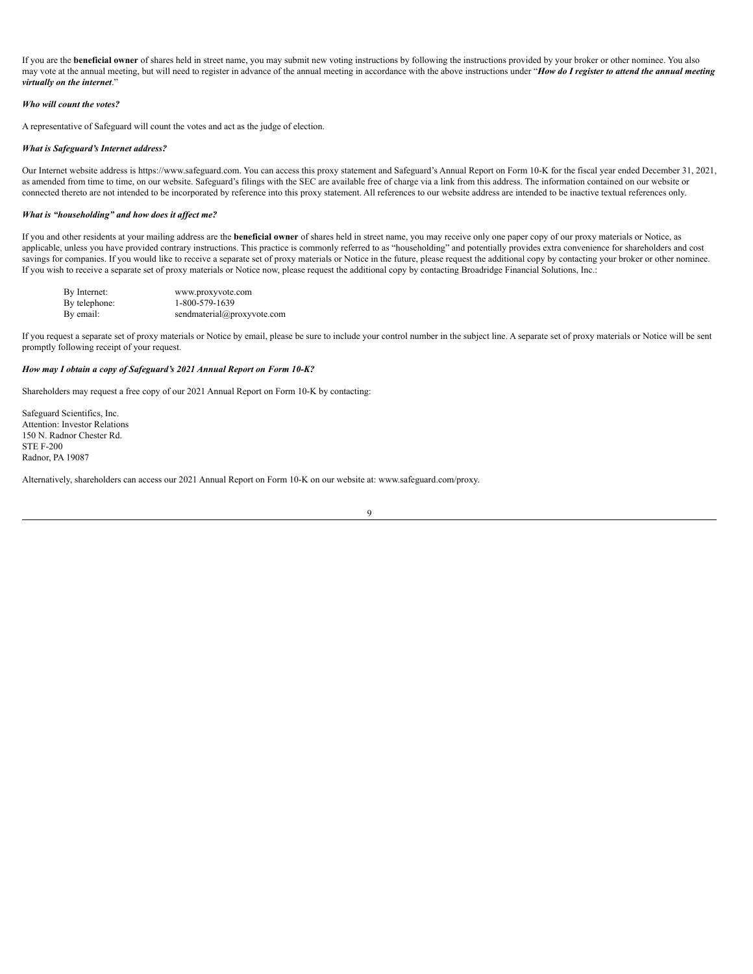If you are the **beneficial owner** of shares held in street name, you may submit new voting instructions by following the instructions provided by your broker or other nominee. You also may vote at the annual meeting, but will need to register in advance of the annual meeting in accordance with the above instructions under "How do I register to attend the annual meeting *virtually on the internet*."

## *Who will count the votes?*

A representative of Safeguard will count the votes and act as the judge of election.

## *What is Safeguard's Internet address?*

Our Internet website address is https://www.safeguard.com. You can access this proxy statement and Safeguard's Annual Report on Form 10-K for the fiscal year ended December 31, 2021, as amended from time to time, on our website. Safeguard's filings with the SEC are available free of charge via a link from this address. The information contained on our website or connected thereto are not intended to be incorporated by reference into this proxy statement. All references to our website address are intended to be inactive textual references only.

## *What is "householding" and how does it af ect me?*

If you and other residents at your mailing address are the **beneficial owner** of shares held in street name, you may receive only one paper copy of our proxy materials or Notice, as applicable, unless you have provided contrary instructions. This practice is commonly referred to as "householding" and potentially provides extra convenience for shareholders and cost savings for companies. If you would like to receive a separate set of proxy materials or Notice in the future, please request the additional copy by contacting your broker or other nominee. If you wish to receive a separate set of proxy materials or Notice now, please request the additional copy by contacting Broadridge Financial Solutions, Inc.:

| By Internet:  | www.proxyvote.com          |
|---------------|----------------------------|
| By telephone: | 1-800-579-1639             |
| By email:     | sendmaterial@proxyvote.com |

If you request a separate set of proxy materials or Notice by email, please be sure to include your control number in the subject line. A separate set of proxy materials or Notice will be sent promptly following receipt of your request.

#### *How may I obtain a copy of Safeguard's 2021 Annual Report on Form 10-K?*

Shareholders may request a free copy of our 2021 Annual Report on Form 10-K by contacting:

Safeguard Scientifics, Inc. Attention: Investor Relations 150 N. Radnor Chester Rd. STE F-200 Radnor, PA 19087

Alternatively, shareholders can access our 2021 Annual Report on Form 10-K on our website at: www.safeguard.com/proxy.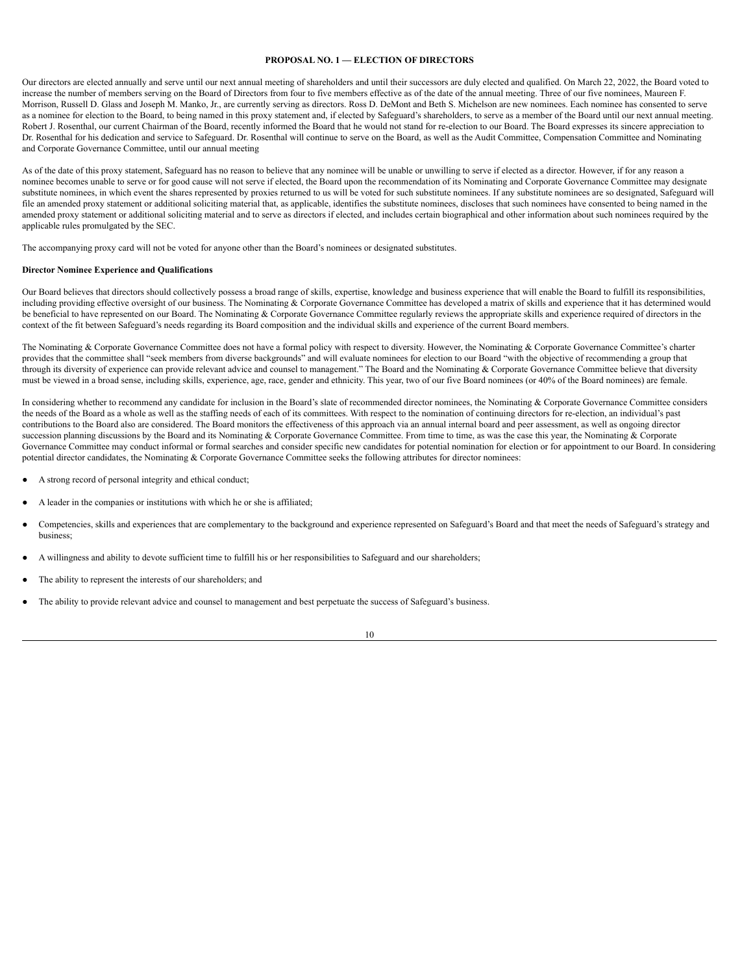# <span id="page-13-0"></span>**PROPOSAL NO. 1 — ELECTION OF DIRECTORS**

Our directors are elected annually and serve until our next annual meeting of shareholders and until their successors are duly elected and qualified. On March 22, 2022, the Board voted to increase the number of members serving on the Board of Directors from four to five members effective as of the date of the annual meeting. Three of our five nominees, Maureen F. Morrison, Russell D. Glass and Joseph M. Manko, Jr., are currently serving as directors. Ross D. DeMont and Beth S. Michelson are new nominees. Each nominee has consented to serve as a nominee for election to the Board, to being named in this proxy statement and, if elected by Safeguard's shareholders, to serve as a member of the Board until our next annual meeting. Robert J. Rosenthal, our current Chairman of the Board, recently informed the Board that he would not stand for re-election to our Board. The Board expresses its sincere appreciation to Dr. Rosenthal for his dedication and service to Safeguard. Dr. Rosenthal will continue to serve on the Board, as well as the Audit Committee, Compensation Committee and Nominating and Corporate Governance Committee, until our annual meeting

As of the date of this proxy statement, Safeguard has no reason to believe that any nominee will be unable or unwilling to serve if elected as a director. However, if for any reason a nominee becomes unable to serve or for good cause will not serve if elected, the Board upon the recommendation of its Nominating and Corporate Governance Committee may designate substitute nominees, in which event the shares represented by proxies returned to us will be voted for such substitute nominees. If any substitute nominees are so designated, Safeguard will file an amended proxy statement or additional soliciting material that, as applicable, identifies the substitute nominees, discloses that such nominees have consented to being named in the amended proxy statement or additional soliciting material and to serve as directors if elected, and includes certain biographical and other information about such nominees required by the applicable rules promulgated by the SEC.

The accompanying proxy card will not be voted for anyone other than the Board's nominees or designated substitutes.

## **Director Nominee Experience and Qualifications**

Our Board believes that directors should collectively possess a broad range of skills, expertise, knowledge and business experience that will enable the Board to fulfill its responsibilities, including providing effective oversight of our business. The Nominating & Corporate Governance Committee has developed a matrix of skills and experience that it has determined would be beneficial to have represented on our Board. The Nominating & Corporate Governance Committee regularly reviews the appropriate skills and experience required of directors in the context of the fit between Safeguard's needs regarding its Board composition and the individual skills and experience of the current Board members.

The Nominating & Corporate Governance Committee does not have a formal policy with respect to diversity. However, the Nominating & Corporate Governance Committee's charter provides that the committee shall "seek members from diverse backgrounds" and will evaluate nominees for election to our Board "with the objective of recommending a group that through its diversity of experience can provide relevant advice and counsel to management." The Board and the Nominating & Corporate Governance Committee believe that diversity must be viewed in a broad sense, including skills, experience, age, race, gender and ethnicity. This year, two of our five Board nominees (or 40% of the Board nominees) are female.

In considering whether to recommend any candidate for inclusion in the Board's slate of recommended director nominees, the Nominating & Corporate Governance Committee considers the needs of the Board as a whole as well as the staffing needs of each of its committees. With respect to the nomination of continuing directors for re-election, an individual's past contributions to the Board also are considered. The Board monitors the effectiveness of this approach via an annual internal board and peer assessment, as well as ongoing director succession planning discussions by the Board and its Nominating & Corporate Governance Committee. From time to time, as was the case this year, the Nominating & Corporate Governance Committee may conduct informal or formal searches and consider specific new candidates for potential nomination for election or for appointment to our Board. In considering potential director candidates, the Nominating & Corporate Governance Committee seeks the following attributes for director nominees:

- A strong record of personal integrity and ethical conduct;
- A leader in the companies or institutions with which he or she is affiliated;
- Competencies, skills and experiences that are complementary to the background and experience represented on Safeguard's Board and that meet the needs of Safeguard's strategy and business;
- A willingness and ability to devote sufficient time to fulfill his or her responsibilities to Safeguard and our shareholders;
- The ability to represent the interests of our shareholders; and
- The ability to provide relevant advice and counsel to management and best perpetuate the success of Safeguard's business.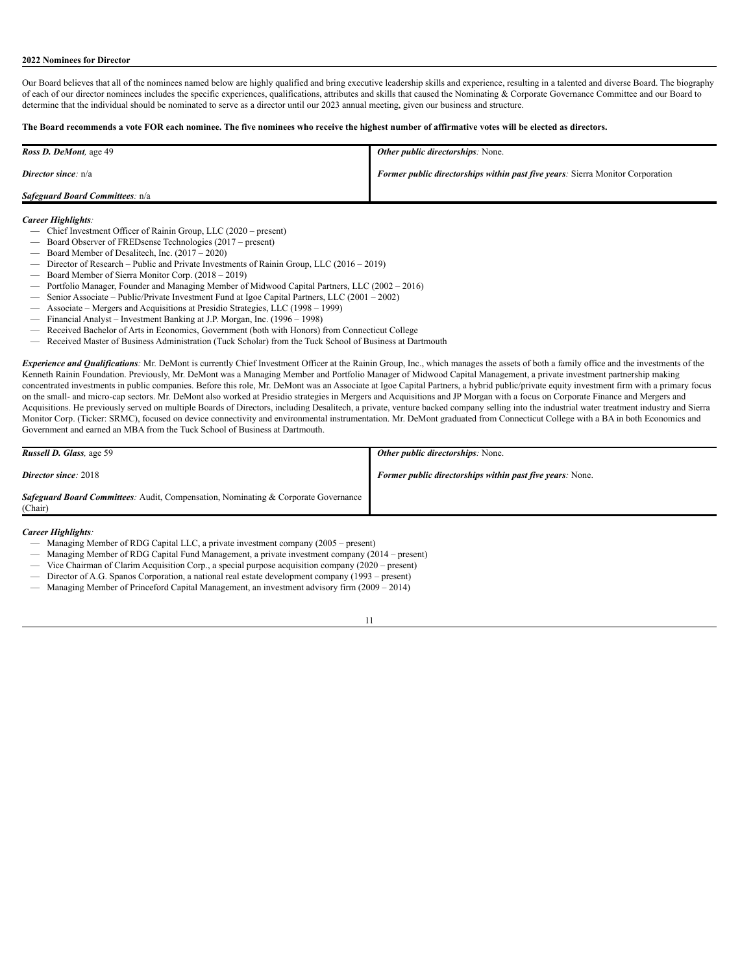## <span id="page-14-0"></span>**2022 Nominees for Director**

Our Board believes that all of the nominees named below are highly qualified and bring executive leadership skills and experience, resulting in a talented and diverse Board. The biography of each of our director nominees includes the specific experiences, qualifications, attributes and skills that caused the Nominating & Corporate Governance Committee and our Board to determine that the individual should be nominated to serve as a director until our 2023 annual meeting, given our business and structure.

# The Board recommends a vote FOR each nominee. The five nominees who receive the highest number of affirmative votes will be elected as directors.

| <b>Ross D. DeMont</b> , age 49         | <b>Other public directorships:</b> None.                                              |
|----------------------------------------|---------------------------------------------------------------------------------------|
| <b>Director since:</b> $n/a$           | <b>Former public directorships within past five years:</b> Sierra Monitor Corporation |
| <b>Safeguard Board Committees:</b> n/a |                                                                                       |

## *Career Highlights:*

- Chief Investment Officer of Rainin Group, LLC (2020 present)
- Board Observer of FREDsense Technologies (2017 present)
- Board Member of Desalitech, Inc. (2017 2020)
- Director of Research Public and Private Investments of Rainin Group, LLC (2016 2019)
- Board Member of Sierra Monitor Corp. (2018 2019)
- Portfolio Manager, Founder and Managing Member of Midwood Capital Partners, LLC (2002 2016)
- Senior Associate Public/Private Investment Fund at Igoe Capital Partners, LLC (2001 2002)
- Associate Mergers and Acquisitions at Presidio Strategies, LLC (1998 1999)
- Financial Analyst Investment Banking at J.P. Morgan, Inc. (1996 1998) — Received Bachelor of Arts in Economics, Government (both with Honors) from Connecticut College
- Received Master of Business Administration (Tuck Scholar) from the Tuck School of Business at Dartmouth

*Experience and Qualifications:* Mr. DeMont is currently Chief Investment Officer at the Rainin Group, Inc., which manages the assets of both a family office and the investments of the Kenneth Rainin Foundation. Previously, Mr. DeMont was a Managing Member and Portfolio Manager of Midwood Capital Management, a private investment partnership making concentrated investments in public companies. Before this role, Mr. DeMont was an Associate at Igoe Capital Partners, a hybrid public/private equity investment firm with a primary focus on the small- and micro-cap sectors. Mr. DeMont also worked at Presidio strategies in Mergers and Acquisitions and JP Morgan with a focus on Corporate Finance and Mergers and Acquisitions. He previously served on multiple Boards of Directors, including Desalitech, a private, venture backed company selling into the industrial water treatment industry and Sierra Monitor Corp. (Ticker: SRMC), focused on device connectivity and environmental instrumentation. Mr. DeMont graduated from Connecticut College with a BA in both Economics and Government and earned an MBA from the Tuck School of Business at Dartmouth.

| <b>Russell D. Glass, age 59</b>                                                                      | <b>Other public directorships:</b> None.                         |
|------------------------------------------------------------------------------------------------------|------------------------------------------------------------------|
| <b>Director since</b> : 2018                                                                         | <b>Former public directorships within past five years:</b> None. |
| <b>Safeguard Board Committees:</b> Audit, Compensation, Nominating & Corporate Governance<br>(Chair) |                                                                  |

## *Career Highlights:*

- Managing Member of RDG Capital LLC, a private investment company (2005 present)
- Managing Member of RDG Capital Fund Management, a private investment company (2014 present)
- Vice Chairman of Clarim Acquisition Corp., a special purpose acquisition company (2020 present)
- Director of A.G. Spanos Corporation, a national real estate development company (1993 present)
- Managing Member of Princeford Capital Management, an investment advisory firm (2009 2014)

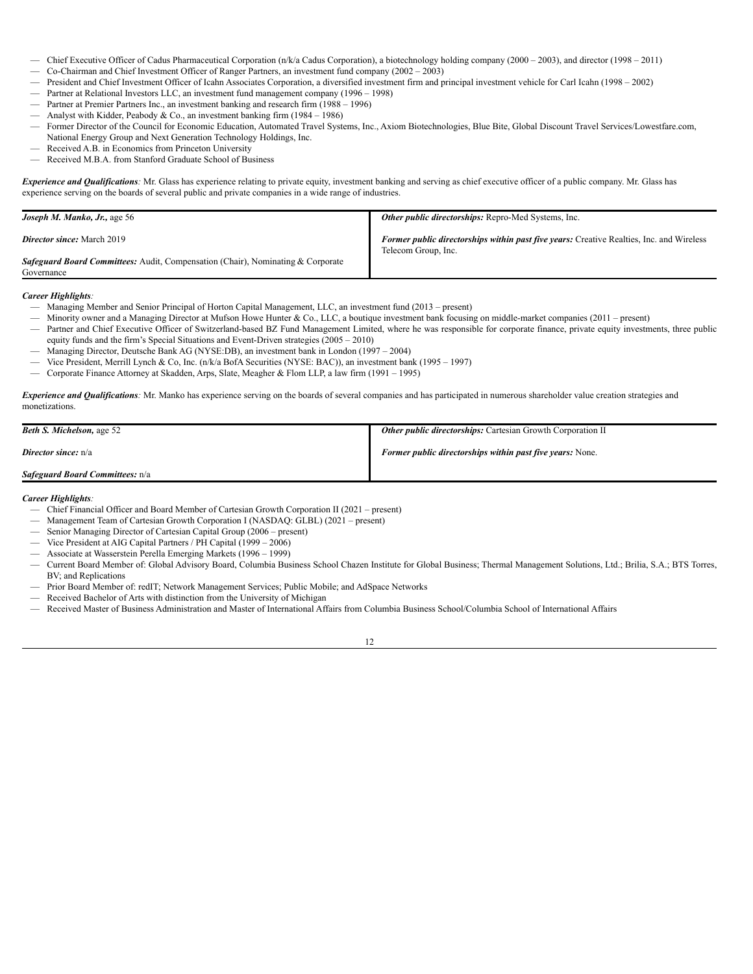- Chief Executive Officer of Cadus Pharmaceutical Corporation (n/k/a Cadus Corporation), a biotechnology holding company (2000 2003), and director (1998 2011)
- Co-Chairman and Chief Investment Officer of Ranger Partners, an investment fund company (2002 2003)
- President and Chief Investment Officer of Icahn Associates Corporation, a diversified investment firm and principal investment vehicle for Carl Icahn (1998 2002)
- Partner at Relational Investors LLC, an investment fund management company (1996 1998)
- Partner at Premier Partners Inc., an investment banking and research firm (1988 1996)
- Analyst with Kidder, Peabody & Co., an investment banking firm (1984 1986)
- Former Director of the Council for Economic Education, Automated Travel Systems, Inc., Axiom Biotechnologies, Blue Bite, Global Discount Travel Services/Lowestfare.com, National Energy Group and Next Generation Technology Holdings, Inc.
- Received A.B. in Economics from Princeton University
- Received M.B.A. from Stanford Graduate School of Business

*Experience and Qualifications*: Mr. Glass has experience relating to private equity, investment banking and serving as chief executive officer of a public company. Mr. Glass has experience serving on the boards of several public and private companies in a wide range of industries.

| <b>Joseph M. Manko, Jr., age 56</b>                                                                  | Other public directorships: Repro-Med Systems, Inc.                                                                    |
|------------------------------------------------------------------------------------------------------|------------------------------------------------------------------------------------------------------------------------|
| <b>Director since:</b> March 2019                                                                    | <b>Former public directorships within past five years:</b> Creative Realties, Inc. and Wireless<br>Telecom Group, Inc. |
| <b>Safeguard Board Committees:</b> Audit, Compensation (Chair), Nominating & Corporate<br>Governance |                                                                                                                        |

*Career Highlights:*

- Managing Member and Senior Principal of Horton Capital Management, LLC, an investment fund (2013 present)
- Minority owner and a Managing Director at Mufson Howe Hunter & Co., LLC, a boutique investment bank focusing on middle-market companies (2011 present)
- Partner and Chief Executive Officer of Switzerland-based BZ Fund Management Limited, where he was responsible for corporate finance, private equity investments, three public equity funds and the firm's Special Situations and Event-Driven strategies (2005 – 2010)
- Managing Director, Deutsche Bank AG (NYSE:DB), an investment bank in London (1997 2004)
- Vice President, Merrill Lynch & Co, Inc. (n/k/a BofA Securities (NYSE: BAC)), an investment bank (1995 1997)
- Corporate Finance Attorney at Skadden, Arps, Slate, Meagher & Flom LLP, a law firm (1991 1995)

*Experience and Qualifications:* Mr. Manko has experience serving on the boards of several companies and has participated in numerous shareholder value creation strategies and monetizations.

| <b>Beth S. Michelson, age 52</b>       | <b>Other public directorships:</b> Cartesian Growth Corporation II |
|----------------------------------------|--------------------------------------------------------------------|
| <b>Director since:</b> n/a             | Former public directorships within past five years: None.          |
| <b>Safeguard Board Committees:</b> n/a |                                                                    |

*Career Highlights:*

- Chief Financial Officer and Board Member of Cartesian Growth Corporation II (2021 present)
- Management Team of Cartesian Growth Corporation I (NASDAQ: GLBL) (2021 present)
- Senior Managing Director of Cartesian Capital Group (2006 present)
- Vice President at AIG Capital Partners / PH Capital (1999 2006)
- Associate at Wasserstein Perella Emerging Markets (1996 1999)
- Current Board Member of: Global Advisory Board, Columbia Business School Chazen Institute for Global Business; Thermal Management Solutions, Ltd.; Brilia, S.A.; BTS Torres, BV; and Replications
- Prior Board Member of: redIT; Network Management Services; Public Mobile; and AdSpace Networks
- Received Bachelor of Arts with distinction from the University of Michigan
- Received Master of Business Administration and Master of International Affairs from Columbia Business School/Columbia School of International Affairs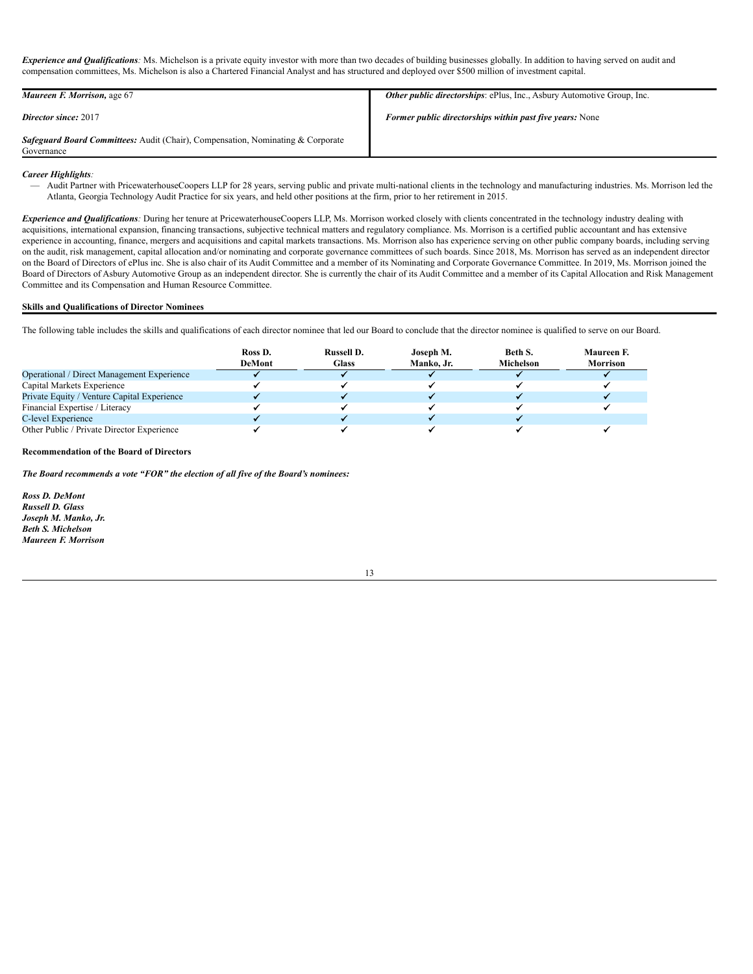*Experience and Qualifications:* Ms. Michelson is a private equity investor with more than two decades of building businesses globally. In addition to having served on audit and compensation committees, Ms. Michelson is also a Chartered Financial Analyst and has structured and deployed over \$500 million of investment capital.

| Maureen F. Morrison, age 67                                                                          | <b>Other public directorships:</b> ePlus, Inc., Asbury Automotive Group, Inc. |
|------------------------------------------------------------------------------------------------------|-------------------------------------------------------------------------------|
| <b>Director since: 2017</b>                                                                          | <b>Former public directorships within past five years:</b> None               |
| <b>Safeguard Board Committees:</b> Audit (Chair), Compensation, Nominating & Corporate<br>Governance |                                                                               |

# *Career Highlights:*

— Audit Partner with PricewaterhouseCoopers LLP for 28 years, serving public and private multi-national clients in the technology and manufacturing industries. Ms. Morrison led the Atlanta, Georgia Technology Audit Practice for six years, and held other positions at the firm, prior to her retirement in 2015.

*Experience and Qualifications*: During her tenure at PricewaterhouseCoopers LLP, Ms. Morrison worked closely with clients concentrated in the technology industry dealing with acquisitions, international expansion, financing transactions, subjective technical matters and regulatory compliance. Ms. Morrison is a certified public accountant and has extensive experience in accounting, finance, mergers and acquisitions and capital markets transactions. Ms. Morrison also has experience serving on other public company boards, including serving on the audit, risk management, capital allocation and/or nominating and corporate governance committees of such boards. Since 2018, Ms. Morrison has served as an independent director on the Board of Directors of ePlus inc. She is also chair of its Audit Committee and a member of its Nominating and Corporate Governance Committee. In 2019, Ms. Morrison joined the Board of Directors of Asbury Automotive Group as an independent director. She is currently the chair of its Audit Committee and a member of its Capital Allocation and Risk Management Committee and its Compensation and Human Resource Committee.

# <span id="page-16-0"></span>**Skills and Qualifications of Director Nominees**

The following table includes the skills and qualifications of each director nominee that led our Board to conclude that the director nominee is qualified to serve on our Board.

|                                             | Ross D.<br><b>DeMont</b> | <b>Russell D.</b><br><b>Glass</b> | Joseph M.<br>Manko. Jr. | Beth S.<br>Michelson | Maureen F.<br><b>Morrison</b> |
|---------------------------------------------|--------------------------|-----------------------------------|-------------------------|----------------------|-------------------------------|
| Operational / Direct Management Experience  |                          |                                   |                         |                      |                               |
| Capital Markets Experience                  |                          |                                   |                         |                      |                               |
| Private Equity / Venture Capital Experience |                          |                                   |                         |                      |                               |
| Financial Expertise / Literacy              |                          |                                   |                         |                      |                               |
| C-level Experience                          |                          |                                   |                         |                      |                               |
| Other Public / Private Director Experience  |                          |                                   |                         |                      |                               |

# **Recommendation of the Board of Directors**

*The Board recommends a vote "FOR" the election of all five of the Board's nominees:*

*Ross D. DeMont Russell D. Glass Joseph M. Manko, Jr. Beth S. Michelson Maureen F. Morrison*

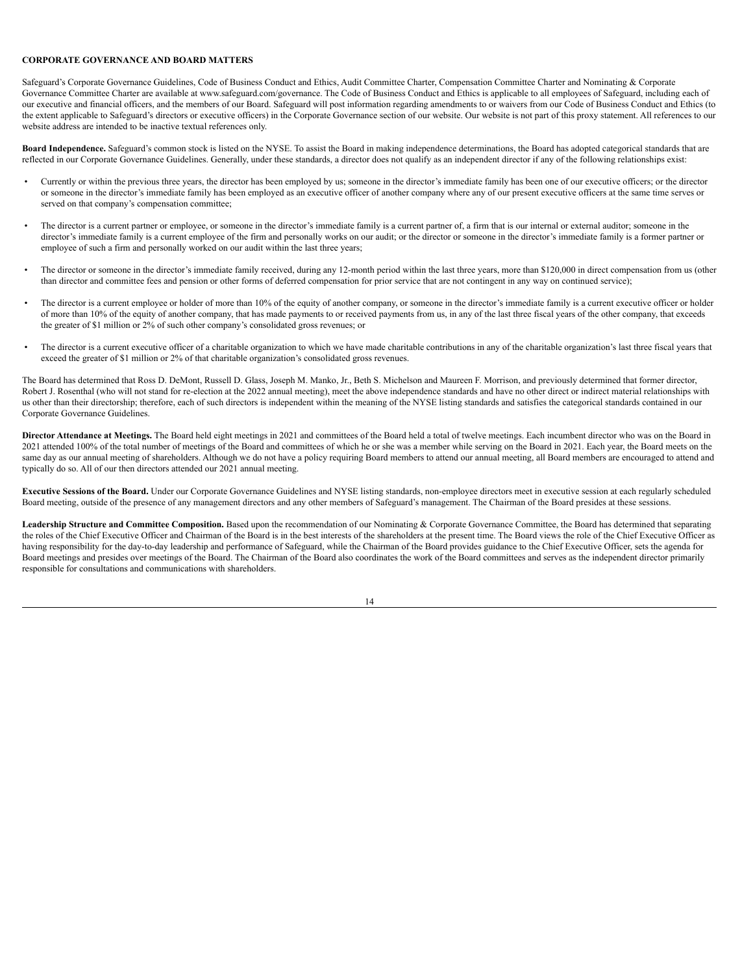# **CORPORATE GOVERNANCE AND BOARD MATTERS**

Safeguard's Corporate Governance Guidelines, Code of Business Conduct and Ethics, Audit Committee Charter, Compensation Committee Charter and Nominating & Corporate Governance Committee Charter are available at www.safeguard.com/governance. The Code of Business Conduct and Ethics is applicable to all employees of Safeguard, including each of our executive and financial officers, and the members of our Board. Safeguard will post information regarding amendments to or waivers from our Code of Business Conduct and Ethics (to the extent applicable to Safeguard's directors or executive officers) in the Corporate Governance section of our website. Our website is not part of this proxy statement. All references to our website address are intended to be inactive textual references only.

<span id="page-17-0"></span>**Board Independence.** Safeguard's common stock is listed on the NYSE. To assist the Board in making independence determinations, the Board has adopted categorical standards that are reflected in our Corporate Governance Guidelines. Generally, under these standards, a director does not qualify as an independent director if any of the following relationships exist:

- Currently or within the previous three years, the director has been employed by us; someone in the director's immediate family has been one of our executive officers; or the director or someone in the director's immediate family has been employed as an executive officer of another company where any of our present executive officers at the same time serves or served on that company's compensation committee;
- The director is a current partner or employee, or someone in the director's immediate family is a current partner of, a firm that is our internal or external auditor; someone in the director's immediate family is a current employee of the firm and personally works on our audit; or the director or someone in the director's immediate family is a former partner or employee of such a firm and personally worked on our audit within the last three years;
- The director or someone in the director's immediate family received, during any 12-month period within the last three years, more than \$120,000 in direct compensation from us (other than director and committee fees and pension or other forms of deferred compensation for prior service that are not contingent in any way on continued service);
- The director is a current employee or holder of more than 10% of the equity of another company, or someone in the director's immediate family is a current executive officer or holder of more than 10% of the equity of another company, that has made payments to or received payments from us, in any of the last three fiscal years of the other company, that exceeds the greater of \$1 million or 2% of such other company's consolidated gross revenues; or
- The director is a current executive officer of a charitable organization to which we have made charitable contributions in any of the charitable organization's last three fiscal years that exceed the greater of \$1 million or 2% of that charitable organization's consolidated gross revenues.

The Board has determined that Ross D. DeMont, Russell D. Glass, Joseph M. Manko, Jr., Beth S. Michelson and Maureen F. Morrison, and previously determined that former director, Robert J. Rosenthal (who will not stand for re-election at the 2022 annual meeting), meet the above independence standards and have no other direct or indirect material relationships with us other than their directorship; therefore, each of such directors is independent within the meaning of the NYSE listing standards and satisfies the categorical standards contained in our Corporate Governance Guidelines.

**Director Attendance at Meetings.** The Board held eight meetings in 2021 and committees of the Board held a total of twelve meetings. Each incumbent director who was on the Board in 2021 attended 100% of the total number of meetings of the Board and committees of which he or she was a member while serving on the Board in 2021. Each year, the Board meets on the same day as our annual meeting of shareholders. Although we do not have a policy requiring Board members to attend our annual meeting, all Board members are encouraged to attend and typically do so. All of our then directors attended our 2021 annual meeting.

<span id="page-17-1"></span>**Executive Sessions of the Board.** Under our Corporate Governance Guidelines and NYSE listing standards, non-employee directors meet in executive session at each regularly scheduled Board meeting, outside of the presence of any management directors and any other members of Safeguard's management. The Chairman of the Board presides at these sessions.

<span id="page-17-2"></span>**Leadership Structure and Committee Composition.** Based upon the recommendation of our Nominating & Corporate Governance Committee, the Board has determined that separating the roles of the Chief Executive Officer and Chairman of the Board is in the best interests of the shareholders at the present time. The Board views the role of the Chief Executive Officer as having responsibility for the day-to-day leadership and performance of Safeguard, while the Chairman of the Board provides guidance to the Chief Executive Officer, sets the agenda for Board meetings and presides over meetings of the Board. The Chairman of the Board also coordinates the work of the Board committees and serves as the independent director primarily responsible for consultations and communications with shareholders.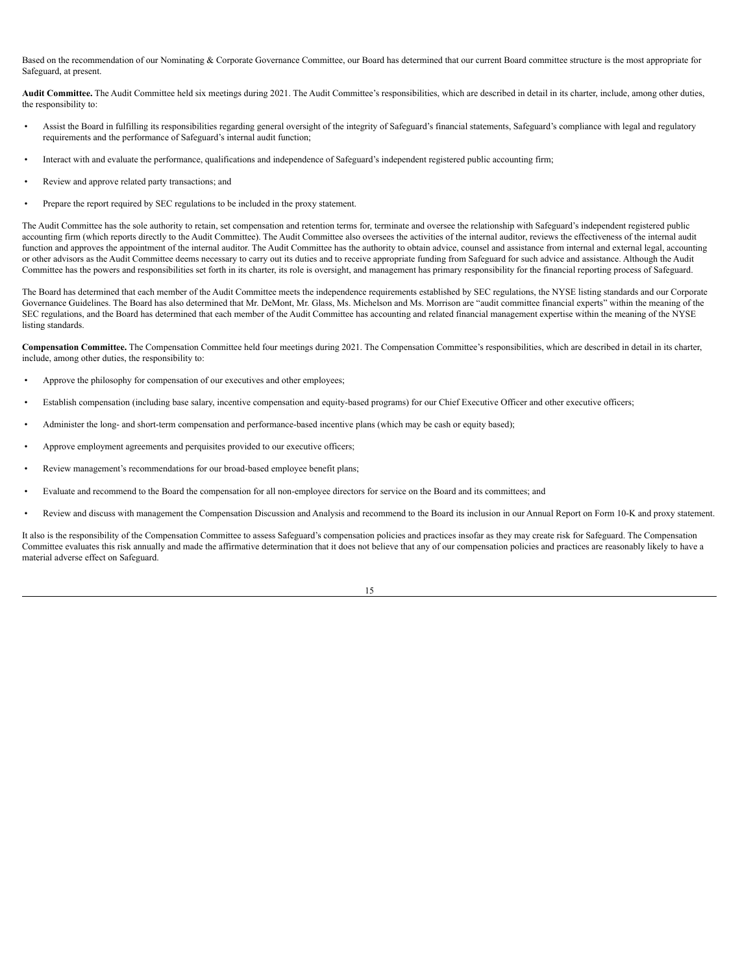Based on the recommendation of our Nominating & Corporate Governance Committee, our Board has determined that our current Board committee structure is the most appropriate for Safeguard, at present.

<span id="page-18-0"></span>**Audit Committee.** The Audit Committee held six meetings during 2021. The Audit Committee's responsibilities, which are described in detail in its charter, include, among other duties, the responsibility to:

- Assist the Board in fulfilling its responsibilities regarding general oversight of the integrity of Safeguard's financial statements, Safeguard's compliance with legal and regulatory requirements and the performance of Safeguard's internal audit function;
- Interact with and evaluate the performance, qualifications and independence of Safeguard's independent registered public accounting firm;
- Review and approve related party transactions; and
- Prepare the report required by SEC regulations to be included in the proxy statement.

The Audit Committee has the sole authority to retain, set compensation and retention terms for, terminate and oversee the relationship with Safeguard's independent registered public accounting firm (which reports directly to the Audit Committee). The Audit Committee also oversees the activities of the internal auditor, reviews the effectiveness of the internal audit function and approves the appointment of the internal auditor. The Audit Committee has the authority to obtain advice, counsel and assistance from internal and external legal, accounting or other advisors as the Audit Committee deems necessary to carry out its duties and to receive appropriate funding from Safeguard for such advice and assistance. Although the Audit Committee has the powers and responsibilities set forth in its charter, its role is oversight, and management has primary responsibility for the financial reporting process of Safeguard.

The Board has determined that each member of the Audit Committee meets the independence requirements established by SEC regulations, the NYSE listing standards and our Corporate Governance Guidelines. The Board has also determined that Mr. DeMont, Mr. Glass, Ms. Michelson and Ms. Morrison are "audit committee financial experts" within the meaning of the SEC regulations, and the Board has determined that each member of the Audit Committee has accounting and related financial management expertise within the meaning of the NYSE listing standards.

<span id="page-18-1"></span>**Compensation Committee.** The Compensation Committee held four meetings during 2021. The Compensation Committee's responsibilities, which are described in detail in its charter, include, among other duties, the responsibility to:

- Approve the philosophy for compensation of our executives and other employees;
- Establish compensation (including base salary, incentive compensation and equity-based programs) for our Chief Executive Officer and other executive officers;
- Administer the long- and short-term compensation and performance-based incentive plans (which may be cash or equity based);
- Approve employment agreements and perquisites provided to our executive officers;
- Review management's recommendations for our broad-based employee benefit plans;
- Evaluate and recommend to the Board the compensation for all non-employee directors for service on the Board and its committees; and
- Review and discuss with management the Compensation Discussion and Analysis and recommend to the Board its inclusion in our Annual Report on Form 10-K and proxy statement.

It also is the responsibility of the Compensation Committee to assess Safeguard's compensation policies and practices insofar as they may create risk for Safeguard. The Compensation Committee evaluates this risk annually and made the affirmative determination that it does not believe that any of our compensation policies and practices are reasonably likely to have a material adverse effect on Safeguard.

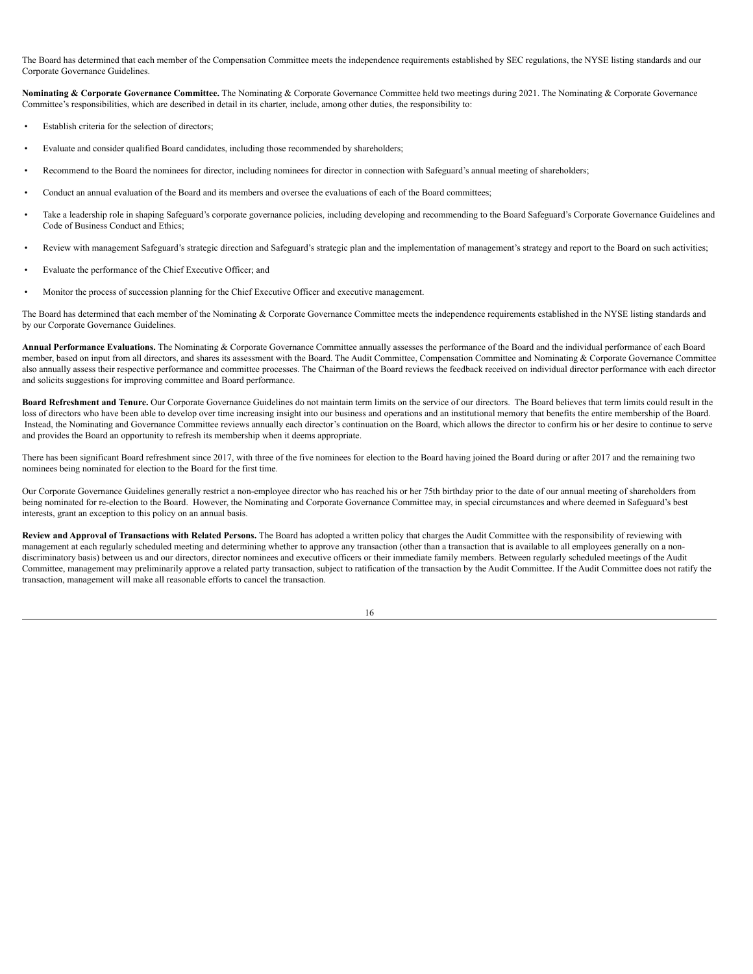The Board has determined that each member of the Compensation Committee meets the independence requirements established by SEC regulations, the NYSE listing standards and our Corporate Governance Guidelines.

<span id="page-19-0"></span>**Nominating & Corporate Governance Committee.** The Nominating & Corporate Governance Committee held two meetings during 2021. The Nominating & Corporate Governance Committee's responsibilities, which are described in detail in its charter, include, among other duties, the responsibility to:

- Establish criteria for the selection of directors;
- Evaluate and consider qualified Board candidates, including those recommended by shareholders;
- Recommend to the Board the nominees for director, including nominees for director in connection with Safeguard's annual meeting of shareholders;
- Conduct an annual evaluation of the Board and its members and oversee the evaluations of each of the Board committees;
- Take a leadership role in shaping Safeguard's corporate governance policies, including developing and recommending to the Board Safeguard's Corporate Governance Guidelines and Code of Business Conduct and Ethics;
- Review with management Safeguard's strategic direction and Safeguard's strategic plan and the implementation of management's strategy and report to the Board on such activities;
- Evaluate the performance of the Chief Executive Officer; and
- Monitor the process of succession planning for the Chief Executive Officer and executive management.

The Board has determined that each member of the Nominating & Corporate Governance Committee meets the independence requirements established in the NYSE listing standards and by our Corporate Governance Guidelines.

<span id="page-19-1"></span>**Annual Performance Evaluations.** The Nominating & Corporate Governance Committee annually assesses the performance of the Board and the individual performance of each Board member, based on input from all directors, and shares its assessment with the Board. The Audit Committee, Compensation Committee and Nominating & Corporate Governance Committee also annually assess their respective performance and committee processes. The Chairman of the Board reviews the feedback received on individual director performance with each director and solicits suggestions for improving committee and Board performance.

<span id="page-19-2"></span>**Board Refreshment and Tenure.** Our Corporate Governance Guidelines do not maintain term limits on the service of our directors. The Board believes that term limits could result in the loss of directors who have been able to develop over time increasing insight into our business and operations and an institutional memory that benefits the entire membership of the Board. Instead, the Nominating and Governance Committee reviews annually each director's continuation on the Board, which allows the director to confirm his or her desire to continue to serve and provides the Board an opportunity to refresh its membership when it deems appropriate.

There has been significant Board refreshment since 2017, with three of the five nominees for election to the Board having joined the Board during or after 2017 and the remaining two nominees being nominated for election to the Board for the first time.

Our Corporate Governance Guidelines generally restrict a non-employee director who has reached his or her 75th birthday prior to the date of our annual meeting of shareholders from being nominated for re-election to the Board. However, the Nominating and Corporate Governance Committee may, in special circumstances and where deemed in Safeguard's best interests, grant an exception to this policy on an annual basis.

Review and Approval of Transactions with Related Persons. The Board has adopted a written policy that charges the Audit Committee with the responsibility of reviewing with management at each regularly scheduled meeting and determining whether to approve any transaction (other than a transaction that is available to all employees generally on a nondiscriminatory basis) between us and our directors, director nominees and executive officers or their immediate family members. Between regularly scheduled meetings of the Audit Committee, management may preliminarily approve a related party transaction, subject to ratification of the transaction by the Audit Committee. If the Audit Committee does not ratify the transaction, management will make all reasonable efforts to cancel the transaction.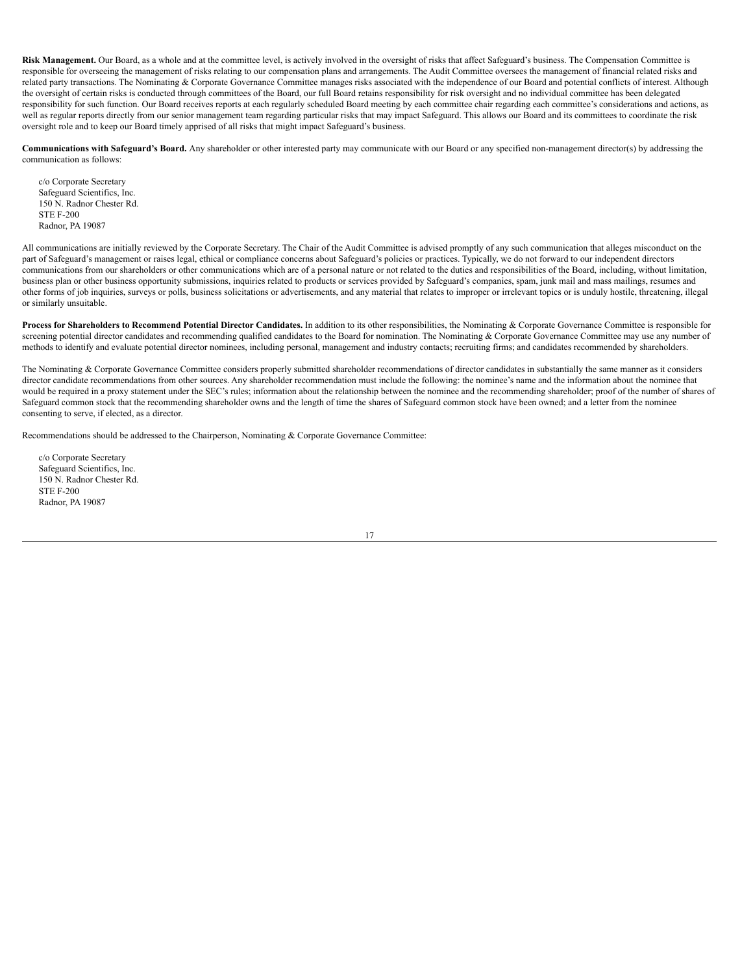<span id="page-20-0"></span>**Risk Management.** Our Board, as a whole and at the committee level, is actively involved in the oversight of risks that affect Safeguard's business. The Compensation Committee is responsible for overseeing the management of risks relating to our compensation plans and arrangements. The Audit Committee oversees the management of financial related risks and related party transactions. The Nominating & Corporate Governance Committee manages risks associated with the independence of our Board and potential conflicts of interest. Although the oversight of certain risks is conducted through committees of the Board, our full Board retains responsibility for risk oversight and no individual committee has been delegated responsibility for such function. Our Board receives reports at each regularly scheduled Board meeting by each committee chair regarding each committee's considerations and actions, as well as regular reports directly from our senior management team regarding particular risks that may impact Safeguard. This allows our Board and its committees to coordinate the risk oversight role and to keep our Board timely apprised of all risks that might impact Safeguard's business.

**Communications with Safeguard's Board.** Any shareholder or other interested party may communicate with our Board or any specified non-management director(s) by addressing the communication as follows:

c/o Corporate Secretary Safeguard Scientifics, Inc. 150 N. Radnor Chester Rd. STE F-200 Radnor, PA 19087

All communications are initially reviewed by the Corporate Secretary. The Chair of the Audit Committee is advised promptly of any such communication that alleges misconduct on the part of Safeguard's management or raises legal, ethical or compliance concerns about Safeguard's policies or practices. Typically, we do not forward to our independent directors communications from our shareholders or other communications which are of a personal nature or not related to the duties and responsibilities of the Board, including, without limitation, business plan or other business opportunity submissions, inquiries related to products or services provided by Safeguard's companies, spam, junk mail and mass mailings, resumes and other forms of job inquiries, surveys or polls, business solicitations or advertisements, and any material that relates to improper or irrelevant topics or is unduly hostile, threatening, illegal or similarly unsuitable.

<span id="page-20-1"></span>Process for Shareholders to Recommend Potential Director Candidates. In addition to its other responsibilities, the Nominating & Corporate Governance Committee is responsible for screening potential director candidates and recommending qualified candidates to the Board for nomination. The Nominating & Corporate Governance Committee may use any number of methods to identify and evaluate potential director nominees, including personal, management and industry contacts; recruiting firms; and candidates recommended by shareholders.

The Nominating & Corporate Governance Committee considers properly submitted shareholder recommendations of director candidates in substantially the same manner as it considers director candidate recommendations from other sources. Any shareholder recommendation must include the following: the nominee's name and the information about the nominee that would be required in a proxy statement under the SEC's rules; information about the relationship between the nominee and the recommending shareholder; proof of the number of shares of Safeguard common stock that the recommending shareholder owns and the length of time the shares of Safeguard common stock have been owned; and a letter from the nominee consenting to serve, if elected, as a director.

Recommendations should be addressed to the Chairperson, Nominating & Corporate Governance Committee:

c/o Corporate Secretary Safeguard Scientifics, Inc. 150 N. Radnor Chester Rd. STE F-200 Radnor, PA 19087

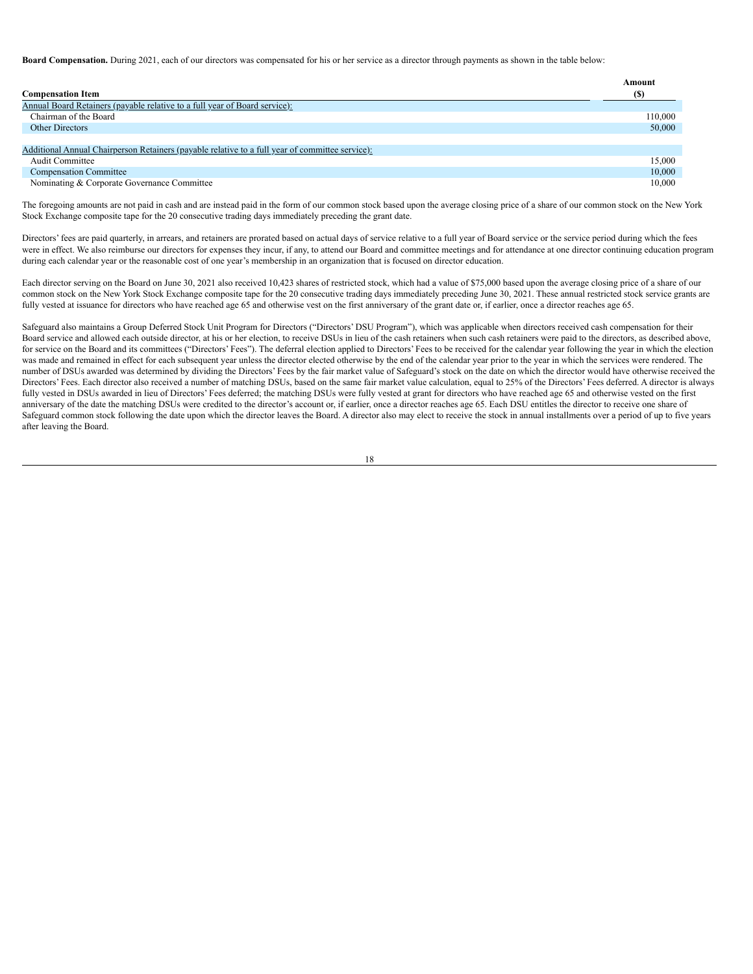**Board Compensation.** During 2021, each of our directors was compensated for his or her service as a director through payments as shown in the table below:

|                                                                                                 | Amount  |
|-------------------------------------------------------------------------------------------------|---------|
| <b>Compensation Item</b>                                                                        | (S)     |
| Annual Board Retainers (payable relative to a full year of Board service):                      |         |
| Chairman of the Board                                                                           | 110,000 |
| Other Directors                                                                                 | 50,000  |
|                                                                                                 |         |
| Additional Annual Chairperson Retainers (payable relative to a full year of committee service): |         |
| Audit Committee                                                                                 | 15.000  |
| <b>Compensation Committee</b>                                                                   | 10.000  |
| Nominating & Corporate Governance Committee                                                     | 10.000  |

The foregoing amounts are not paid in cash and are instead paid in the form of our common stock based upon the average closing price of a share of our common stock on the New York Stock Exchange composite tape for the 20 consecutive trading days immediately preceding the grant date.

Directors' fees are paid quarterly, in arrears, and retainers are prorated based on actual days of service relative to a full year of Board service or the service period during which the fees were in effect. We also reimburse our directors for expenses they incur, if any, to attend our Board and committee meetings and for attendance at one director continuing education program during each calendar year or the reasonable cost of one year's membership in an organization that is focused on director education.

Each director serving on the Board on June 30, 2021 also received 10,423 shares of restricted stock, which had a value of \$75,000 based upon the average closing price of a share of our common stock on the New York Stock Exchange composite tape for the 20 consecutive trading days immediately preceding June 30, 2021. These annual restricted stock service grants are fully vested at issuance for directors who have reached age 65 and otherwise vest on the first anniversary of the grant date or, if earlier, once a director reaches age 65.

Safeguard also maintains a Group Deferred Stock Unit Program for Directors ("Directors' DSU Program"), which was applicable when directors received cash compensation for their Board service and allowed each outside director, at his or her election, to receive DSUs in lieu of the cash retainers when such cash retainers were paid to the directors, as described above, for service on the Board and its committees ("Directors' Fees"). The deferral election applied to Directors' Fees to be received for the calendar year following the year in which the election was made and remained in effect for each subsequent year unless the director elected otherwise by the end of the calendar year prior to the year in which the services were rendered. The number of DSUs awarded was determined by dividing the Directors' Fees by the fair market value of Safeguard's stock on the date on which the director would have otherwise received the Directors' Fees. Each director also received a number of matching DSUs, based on the same fair market value calculation, equal to 25% of the Directors' Fees deferred. A director is always fully vested in DSUs awarded in lieu of Directors' Fees deferred; the matching DSUs were fully vested at grant for directors who have reached age 65 and otherwise vested on the first anniversary of the date the matching DSUs were credited to the director's account or, if earlier, once a director reaches age 65. Each DSU entitles the director to receive one share of Safeguard common stock following the date upon which the director leaves the Board. A director also may elect to receive the stock in annual installments over a period of up to five years after leaving the Board.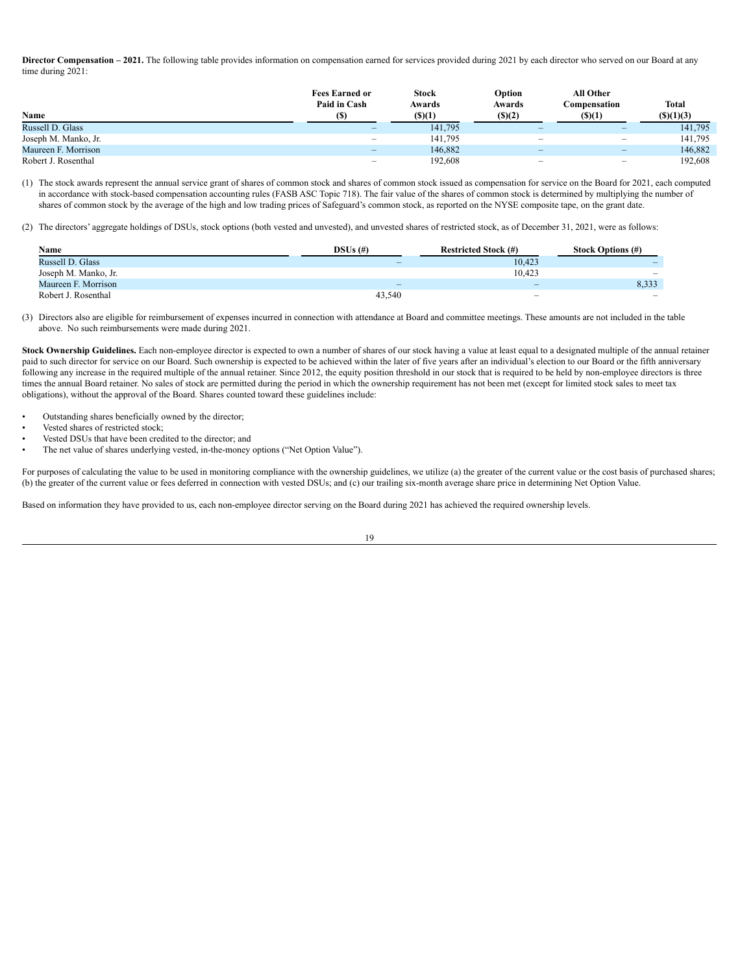<span id="page-22-0"></span>Director Compensation - 2021. The following table provides information on compensation earned for services provided during 2021 by each director who served on our Board at any time during 2021:

|                      | <b>Fees Earned or</b><br>Paid in Cash | <b>Stock</b><br>Awards | Option<br>Awards                | All Other<br>C <b>ompensation</b> | <b>Total</b> |
|----------------------|---------------------------------------|------------------------|---------------------------------|-----------------------------------|--------------|
| Name                 | (S)                                   | (S)(1)                 | $($ S) $(2)$                    | (S)(1)                            | (S)(1)(3)    |
| Russell D. Glass     |                                       | 141,795                | -                               | -                                 | 141,795      |
| Joseph M. Manko, Jr. | $\qquad \qquad -$                     | 141.795                | -                               | $\qquad \qquad -$                 | 141,795      |
| Maureen F. Morrison  | $\qquad \qquad \  \, -\qquad \qquad$  | 146.882                | $\hspace{0.1mm}-\hspace{0.1mm}$ | $\overline{\phantom{0}}$          | 146,882      |
| Robert J. Rosenthal  | $\hspace{0.05cm}$                     | 192.608                | -                               | -                                 | 192,608      |

(1) The stock awards represent the annual service grant of shares of common stock and shares of common stock issued as compensation for service on the Board for 2021, each computed in accordance with stock-based compensation accounting rules (FASB ASC Topic 718). The fair value of the shares of common stock is determined by multiplying the number of shares of common stock by the average of the high and low trading prices of Safeguard's common stock, as reported on the NYSE composite tape, on the grant date.

(2) The directors' aggregate holdings of DSUs, stock options (both vested and unvested), and unvested shares of restricted stock, as of December 31, 2021, were as follows:

| <b>Name</b>          | $DSUs$ (#)               | <b>Restricted Stock (#)</b> | <b>Stock Options (#)</b> |
|----------------------|--------------------------|-----------------------------|--------------------------|
| Russell D. Glass     | $\overline{\phantom{a}}$ | 10,423                      |                          |
| Joseph M. Manko, Jr. |                          | 10,423                      | $\overline{\phantom{a}}$ |
| Maureen F. Morrison  | $\overline{\phantom{a}}$ | $\overline{\phantom{a}}$    | 8,333                    |
| Robert J. Rosenthal  | 43.540                   | $\overline{\phantom{a}}$    | $\overline{\phantom{a}}$ |

(3) Directors also are eligible for reimbursement of expenses incurred in connection with attendance at Board and committee meetings. These amounts are not included in the table above. No such reimbursements were made during 2021.

**Stock Ownership Guidelines.** Each non-employee director is expected to own a number of shares of our stock having a value at least equal to a designated multiple of the annual retainer paid to such director for service on our Board. Such ownership is expected to be achieved within the later of five years after an individual's election to our Board or the fifth anniversary following any increase in the required multiple of the annual retainer. Since 2012, the equity position threshold in our stock that is required to be held by non-employee directors is three times the annual Board retainer. No sales of stock are permitted during the period in which the ownership requirement has not been met (except for limited stock sales to meet tax obligations), without the approval of the Board. Shares counted toward these guidelines include:

- Outstanding shares beneficially owned by the director;
- Vested shares of restricted stock;
- Vested DSUs that have been credited to the director; and
- The net value of shares underlying vested, in-the-money options ("Net Option Value").

For purposes of calculating the value to be used in monitoring compliance with the ownership guidelines, we utilize (a) the greater of the current value or the cost basis of purchased shares; (b) the greater of the current value or fees deferred in connection with vested DSUs; and (c) our trailing six-month average share price in determining Net Option Value.

Based on information they have provided to us, each non-employee director serving on the Board during 2021 has achieved the required ownership levels.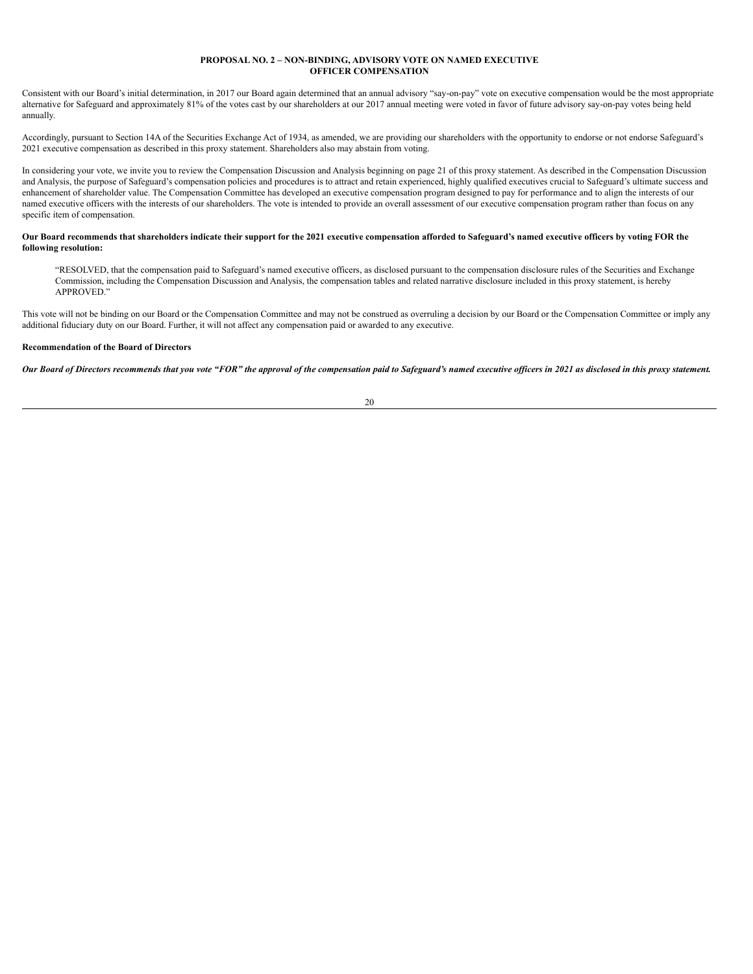# **PROPOSAL NO. 2 – NON-BINDING, ADVISORY VOTE ON NAMED EXECUTIVE OFFICER COMPENSATION**

Consistent with our Board's initial determination, in 2017 our Board again determined that an annual advisory "say-on-pay" vote on executive compensation would be the most appropriate alternative for Safeguard and approximately 81% of the votes cast by our shareholders at our 2017 annual meeting were voted in favor of future advisory say-on-pay votes being held annually.

Accordingly, pursuant to Section 14A of the Securities Exchange Act of 1934, as amended, we are providing our shareholders with the opportunity to endorse or not endorse Safeguard's 2021 executive compensation as described in this proxy statement. Shareholders also may abstain from voting.

In considering your vote, we invite you to review the Compensation Discussion and Analysis beginning on page 21 of this proxy statement. As described in the Compensation Discussion and Analysis, the purpose of Safeguard's compensation policies and procedures is to attract and retain experienced, highly qualified executives crucial to Safeguard's ultimate success and enhancement of shareholder value. The Compensation Committee has developed an executive compensation program designed to pay for performance and to align the interests of our named executive officers with the interests of our shareholders. The vote is intended to provide an overall assessment of our executive compensation program rather than focus on any specific item of compensation.

## Our Board recommends that shareholders indicate their support for the 2021 executive compensation afforded to Safeguard's named executive officers by voting FOR the **following resolution:**

"RESOLVED, that the compensation paid to Safeguard's named executive officers, as disclosed pursuant to the compensation disclosure rules of the Securities and Exchange Commission, including the Compensation Discussion and Analysis, the compensation tables and related narrative disclosure included in this proxy statement, is hereby APPROVED."

This vote will not be binding on our Board or the Compensation Committee and may not be construed as overruling a decision by our Board or the Compensation Committee or imply any additional fiduciary duty on our Board. Further, it will not affect any compensation paid or awarded to any executive.

# **Recommendation of the Board of Directors**

Our Board of Directors recommends that you vote "FOR" the approval of the compensation paid to Safeguard's named executive officers in 2021 as disclosed in this proxy statement.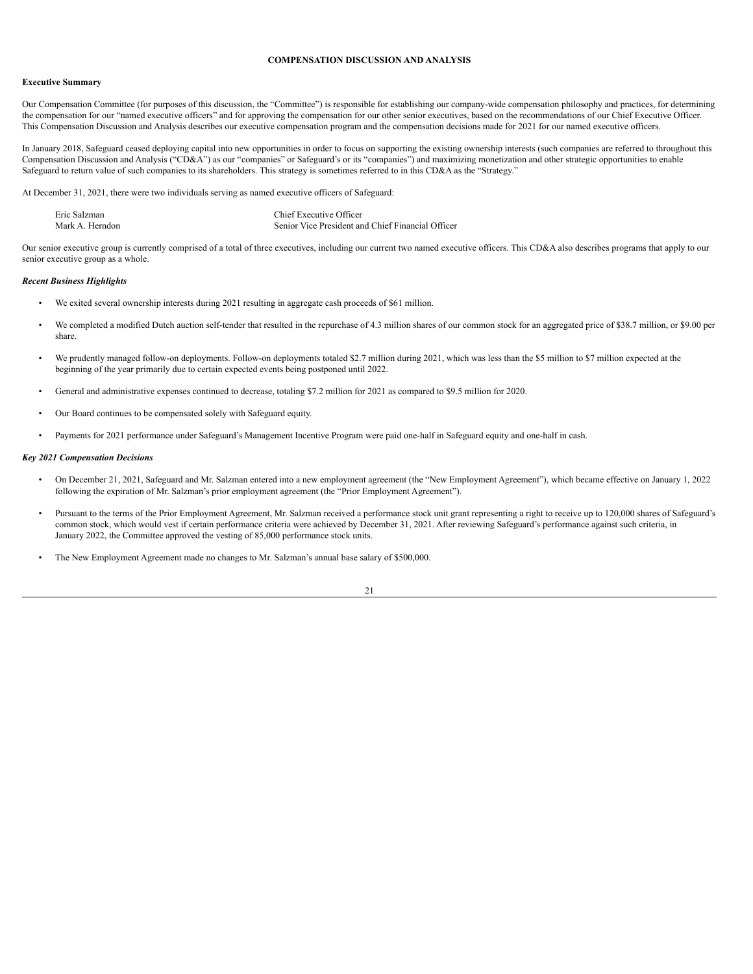### **COMPENSATION DISCUSSION AND ANALYSIS**

#### <span id="page-24-0"></span>**Executive Summary**

Our Compensation Committee (for purposes of this discussion, the "Committee") is responsible for establishing our company-wide compensation philosophy and practices, for determining the compensation for our "named executive officers" and for approving the compensation for our other senior executives, based on the recommendations of our Chief Executive Officer. This Compensation Discussion and Analysis describes our executive compensation program and the compensation decisions made for 2021 for our named executive officers.

In January 2018, Safeguard ceased deploying capital into new opportunities in order to focus on supporting the existing ownership interests (such companies are referred to throughout this Compensation Discussion and Analysis ("CD&A") as our "companies" or Safeguard's or its "companies") and maximizing monetization and other strategic opportunities to enable Safeguard to return value of such companies to its shareholders. This strategy is sometimes referred to in this CD&A as the "Strategy."

At December 31, 2021, there were two individuals serving as named executive officers of Safeguard:

| Eric Salzman    | Chief Executive Officer                           |
|-----------------|---------------------------------------------------|
| Mark A. Herndon | Senior Vice President and Chief Financial Officer |

Our senior executive group is currently comprised of a total of three executives, including our current two named executive officers. This CD&A also describes programs that apply to our senior executive group as a whole.

#### <span id="page-24-1"></span>*Recent Business Highlights*

- We exited several ownership interests during 2021 resulting in aggregate cash proceeds of \$61 million.
- We completed a modified Dutch auction self-tender that resulted in the repurchase of 4.3 million shares of our common stock for an aggregated price of \$38.7 million, or \$9.00 per share.
- We prudently managed follow-on deployments. Follow-on deployments totaled \$2.7 million during 2021, which was less than the \$5 million to \$7 million expected at the beginning of the year primarily due to certain expected events being postponed until 2022.
- General and administrative expenses continued to decrease, totaling \$7.2 million for 2021 as compared to \$9.5 million for 2020.
- Our Board continues to be compensated solely with Safeguard equity.
- Payments for 2021 performance under Safeguard's Management Incentive Program were paid one-half in Safeguard equity and one-half in cash.

### <span id="page-24-2"></span>*Key 2021 Compensation Decisions*

- On December 21, 2021, Safeguard and Mr. Salzman entered into a new employment agreement (the "New Employment Agreement"), which became effective on January 1, 2022 following the expiration of Mr. Salzman's prior employment agreement (the "Prior Employment Agreement").
- Pursuant to the terms of the Prior Employment Agreement, Mr. Salzman received a performance stock unit grant representing a right to receive up to 120,000 shares of Safeguard's common stock, which would vest if certain performance criteria were achieved by December 31, 2021. After reviewing Safeguard's performance against such criteria, in January 2022, the Committee approved the vesting of 85,000 performance stock units.
- The New Employment Agreement made no changes to Mr. Salzman's annual base salary of \$500,000.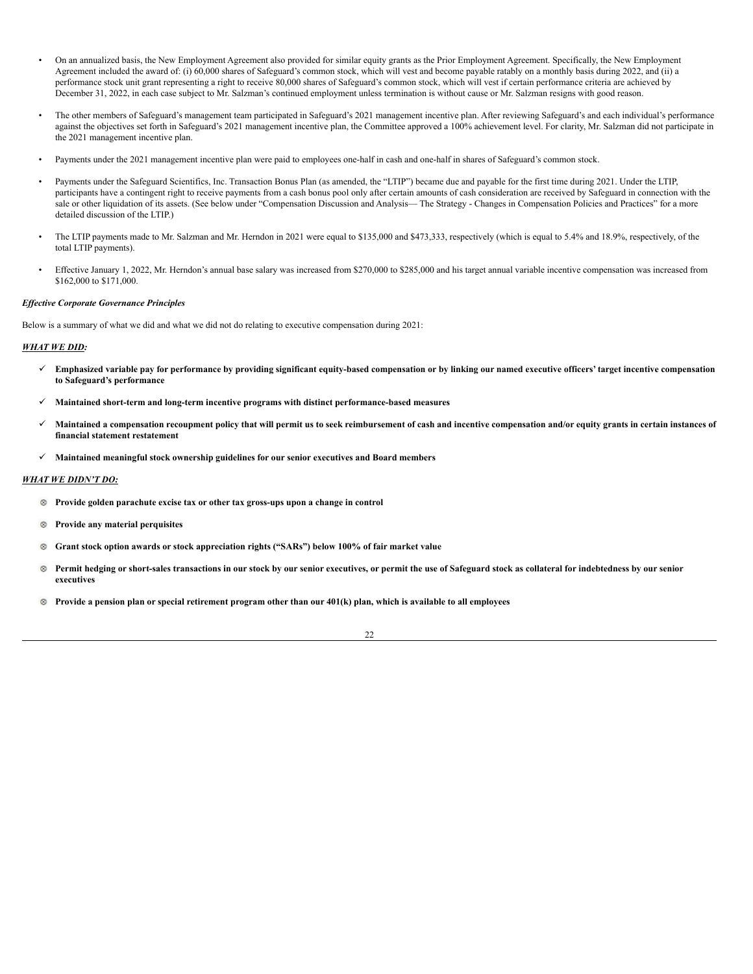- On an annualized basis, the New Employment Agreement also provided for similar equity grants as the Prior Employment Agreement. Specifically, the New Employment Agreement included the award of: (i) 60,000 shares of Safeguard's common stock, which will vest and become payable ratably on a monthly basis during 2022, and (ii) a performance stock unit grant representing a right to receive 80,000 shares of Safeguard's common stock, which will vest if certain performance criteria are achieved by December 31, 2022, in each case subject to Mr. Salzman's continued employment unless termination is without cause or Mr. Salzman resigns with good reason.
- The other members of Safeguard's management team participated in Safeguard's 2021 management incentive plan. After reviewing Safeguard's and each individual's performance against the objectives set forth in Safeguard's 2021 management incentive plan, the Committee approved a 100% achievement level. For clarity, Mr. Salzman did not participate in the 2021 management incentive plan.
- Payments under the 2021 management incentive plan were paid to employees one-half in cash and one-half in shares of Safeguard's common stock.
- Payments under the Safeguard Scientifics, Inc. Transaction Bonus Plan (as amended, the "LTIP") became due and payable for the first time during 2021. Under the LTIP, participants have a contingent right to receive payments from a cash bonus pool only after certain amounts of cash consideration are received by Safeguard in connection with the sale or other liquidation of its assets. (See below under "Compensation Discussion and Analysis— The Strategy - Changes in Compensation Policies and Practices" for a more detailed discussion of the LTIP.)
- The LTIP payments made to Mr. Salzman and Mr. Herndon in 2021 were equal to \$135,000 and \$473,333, respectively (which is equal to 5.4% and 18.9%, respectively, of the total LTIP payments).
- Effective January 1, 2022, Mr. Herndon's annual base salary was increased from \$270,000 to \$285,000 and his target annual variable incentive compensation was increased from \$162,000 to \$171,000.

## <span id="page-25-0"></span>*Ef ective Corporate Governance Principles*

Below is a summary of what we did and what we did not do relating to executive compensation during 2021:

#### *WHAT WE DID:*

- √ Emphasized variable pay for performance by providing significant equity-based compensation or by linking our named executive officers' target incentive compensation **to Safeguard's performance**
- ü **Maintained short-term and long-term incentive programs with distinct performance-based measures**
- √ Maintained a compensation recoupment policy that will permit us to seek reimbursement of cash and incentive compensation and/or equity grants in certain instances of **financial statement restatement**
- ü **Maintained meaningful stock ownership guidelines for our senior executives and Board members**

# *WHAT WE DIDN'T DO:*

- **Provide golden parachute excise tax or other tax gross-ups upon a change in control**
- **Provide any material perquisites**
- **Grant stock option awards or stock appreciation rights ("SARs") below 100% of fair market value**
- Permit hedging or short-sales transactions in our stock by our senior executives, or permit the use of Safeguard stock as collateral for indebtedness by our senior  $\otimes$ **executives**
- <sup>®</sup> Provide a pension plan or special retirement program other than our 401(k) plan, which is available to all employees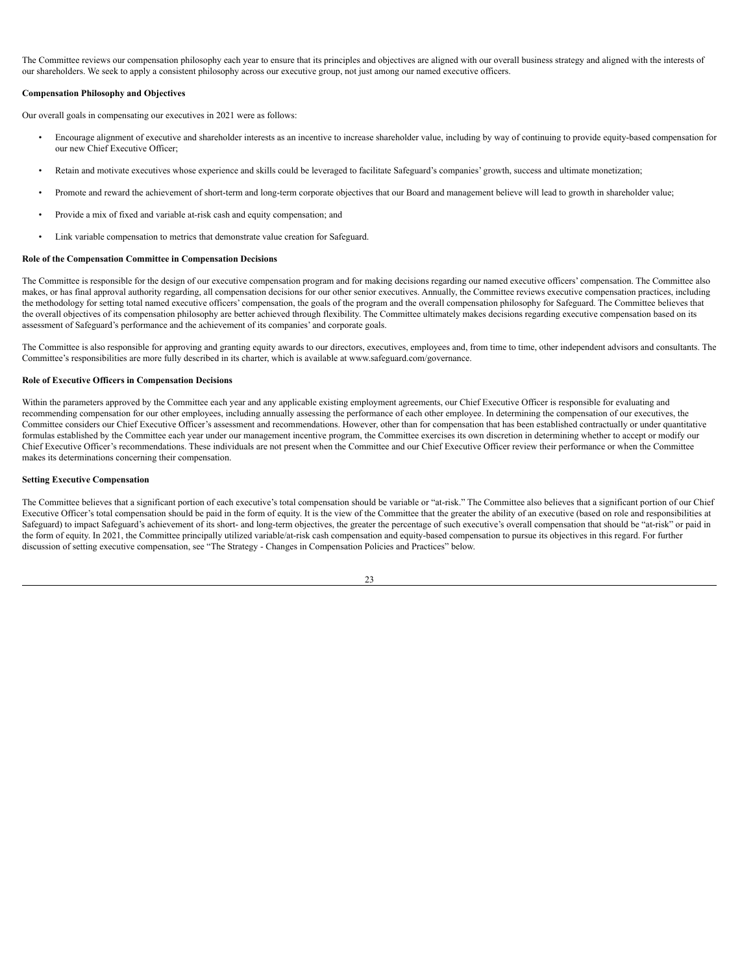The Committee reviews our compensation philosophy each year to ensure that its principles and objectives are aligned with our overall business strategy and aligned with the interests of our shareholders. We seek to apply a consistent philosophy across our executive group, not just among our named executive officers.

# <span id="page-26-0"></span>**Compensation Philosophy and Objectives**

Our overall goals in compensating our executives in 2021 were as follows:

- Encourage alignment of executive and shareholder interests as an incentive to increase shareholder value, including by way of continuing to provide equity-based compensation for our new Chief Executive Officer;
- Retain and motivate executives whose experience and skills could be leveraged to facilitate Safeguard's companies' growth, success and ultimate monetization;
- Promote and reward the achievement of short-term and long-term corporate objectives that our Board and management believe will lead to growth in shareholder value;
- Provide a mix of fixed and variable at-risk cash and equity compensation; and
- Link variable compensation to metrics that demonstrate value creation for Safeguard.

#### <span id="page-26-1"></span>**Role of the Compensation Committee in Compensation Decisions**

The Committee is responsible for the design of our executive compensation program and for making decisions regarding our named executive officers' compensation. The Committee also makes, or has final approval authority regarding, all compensation decisions for our other senior executives. Annually, the Committee reviews executive compensation practices, including the methodology for setting total named executive officers' compensation, the goals of the program and the overall compensation philosophy for Safeguard. The Committee believes that the overall objectives of its compensation philosophy are better achieved through flexibility. The Committee ultimately makes decisions regarding executive compensation based on its assessment of Safeguard's performance and the achievement of its companies' and corporate goals.

The Committee is also responsible for approving and granting equity awards to our directors, executives, employees and, from time to time, other independent advisors and consultants. The Committee's responsibilities are more fully described in its charter, which is available at www.safeguard.com/governance.

# **Role of Executive Officers in Compensation Decisions**

Within the parameters approved by the Committee each year and any applicable existing employment agreements, our Chief Executive Officer is responsible for evaluating and recommending compensation for our other employees, including annually assessing the performance of each other employee. In determining the compensation of our executives, the Committee considers our Chief Executive Officer's assessment and recommendations. However, other than for compensation that has been established contractually or under quantitative formulas established by the Committee each year under our management incentive program, the Committee exercises its own discretion in determining whether to accept or modify our Chief Executive Officer's recommendations. These individuals are not present when the Committee and our Chief Executive Officer review their performance or when the Committee makes its determinations concerning their compensation.

#### <span id="page-26-2"></span>**Setting Executive Compensation**

The Committee believes that a significant portion of each executive's total compensation should be variable or "at-risk." The Committee also believes that a significant portion of our Chief Executive Officer's total compensation should be paid in the form of equity. It is the view of the Committee that the greater the ability of an executive (based on role and responsibilities at Safeguard) to impact Safeguard's achievement of its short- and long-term objectives, the greater the percentage of such executive's overall compensation that should be "at-risk" or paid in the form of equity. In 2021, the Committee principally utilized variable/at-risk cash compensation and equity-based compensation to pursue its objectives in this regard. For further discussion of setting executive compensation, see "The Strategy - Changes in Compensation Policies and Practices" below.

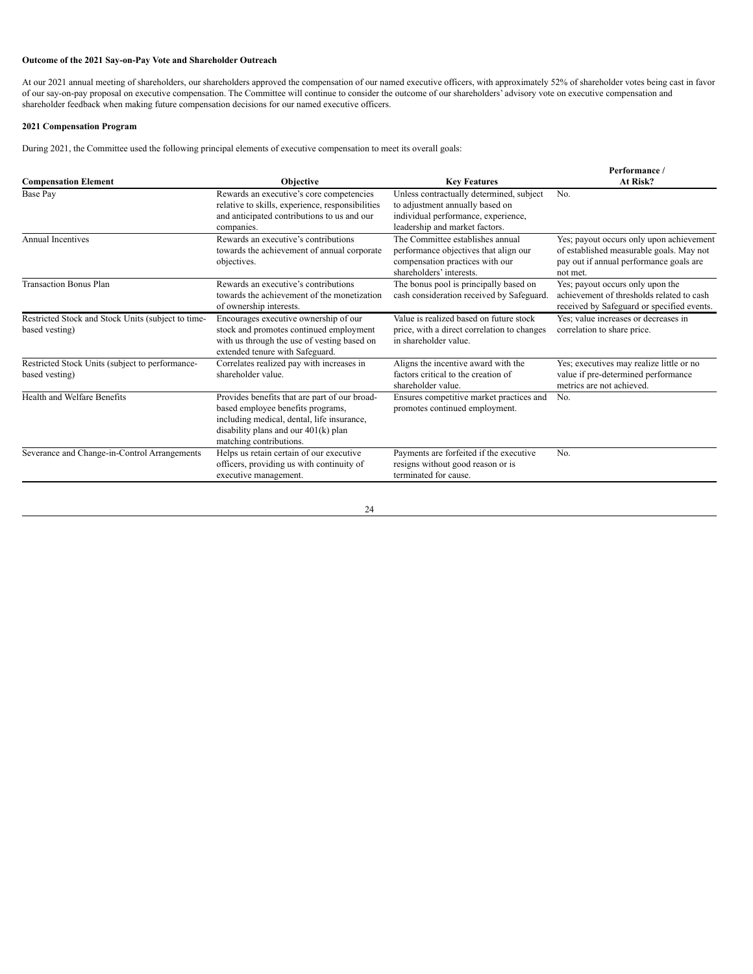# **Outcome of the 2021 Say-on-Pay Vote and Shareholder Outreach**

At our 2021 annual meeting of shareholders, our shareholders approved the compensation of our named executive officers, with approximately 52% of shareholder votes being cast in favor of our say-on-pay proposal on executive compensation. The Committee will continue to consider the outcome of our shareholders' advisory vote on executive compensation and shareholder feedback when making future compensation decisions for our named executive officers.

# <span id="page-27-0"></span>**2021 Compensation Program**

During 2021, the Committee used the following principal elements of executive compensation to meet its overall goals:

|                                                                      |                                                                                                                                                                                                       |                                                                                                                                                      | Performance/                                                                                                                                |
|----------------------------------------------------------------------|-------------------------------------------------------------------------------------------------------------------------------------------------------------------------------------------------------|------------------------------------------------------------------------------------------------------------------------------------------------------|---------------------------------------------------------------------------------------------------------------------------------------------|
| <b>Compensation Element</b>                                          | Objective                                                                                                                                                                                             | <b>Key Features</b>                                                                                                                                  | At Risk?                                                                                                                                    |
| Base Pay                                                             | Rewards an executive's core competencies<br>relative to skills, experience, responsibilities<br>and anticipated contributions to us and our<br>companies.                                             | Unless contractually determined, subject<br>to adjustment annually based on<br>individual performance, experience,<br>leadership and market factors. | No.                                                                                                                                         |
| <b>Annual Incentives</b>                                             | Rewards an executive's contributions<br>towards the achievement of annual corporate<br>objectives.                                                                                                    | The Committee establishes annual<br>performance objectives that align our<br>compensation practices with our<br>shareholders' interests.             | Yes; payout occurs only upon achievement<br>of established measurable goals. May not<br>pay out if annual performance goals are<br>not met. |
| <b>Transaction Bonus Plan</b>                                        | Rewards an executive's contributions<br>towards the achievement of the monetization<br>of ownership interests.                                                                                        | The bonus pool is principally based on<br>cash consideration received by Safeguard.                                                                  | Yes; payout occurs only upon the<br>achievement of thresholds related to cash<br>received by Safeguard or specified events.                 |
| Restricted Stock and Stock Units (subject to time-<br>based vesting) | Encourages executive ownership of our<br>stock and promotes continued employment<br>with us through the use of vesting based on<br>extended tenure with Safeguard.                                    | Value is realized based on future stock<br>price, with a direct correlation to changes<br>in shareholder value.                                      | Yes; value increases or decreases in<br>correlation to share price.                                                                         |
| Restricted Stock Units (subject to performance-<br>based vesting)    | Correlates realized pay with increases in<br>shareholder value.                                                                                                                                       | Aligns the incentive award with the<br>factors critical to the creation of<br>shareholder value.                                                     | Yes; executives may realize little or no<br>value if pre-determined performance<br>metrics are not achieved.                                |
| Health and Welfare Benefits                                          | Provides benefits that are part of our broad-<br>based employee benefits programs,<br>including medical, dental, life insurance,<br>disability plans and our $401(k)$ plan<br>matching contributions. | Ensures competitive market practices and<br>promotes continued employment.                                                                           | No.                                                                                                                                         |
| Severance and Change-in-Control Arrangements                         | Helps us retain certain of our executive<br>officers, providing us with continuity of<br>executive management.                                                                                        | Payments are forfeited if the executive<br>resigns without good reason or is<br>terminated for cause.                                                | No.                                                                                                                                         |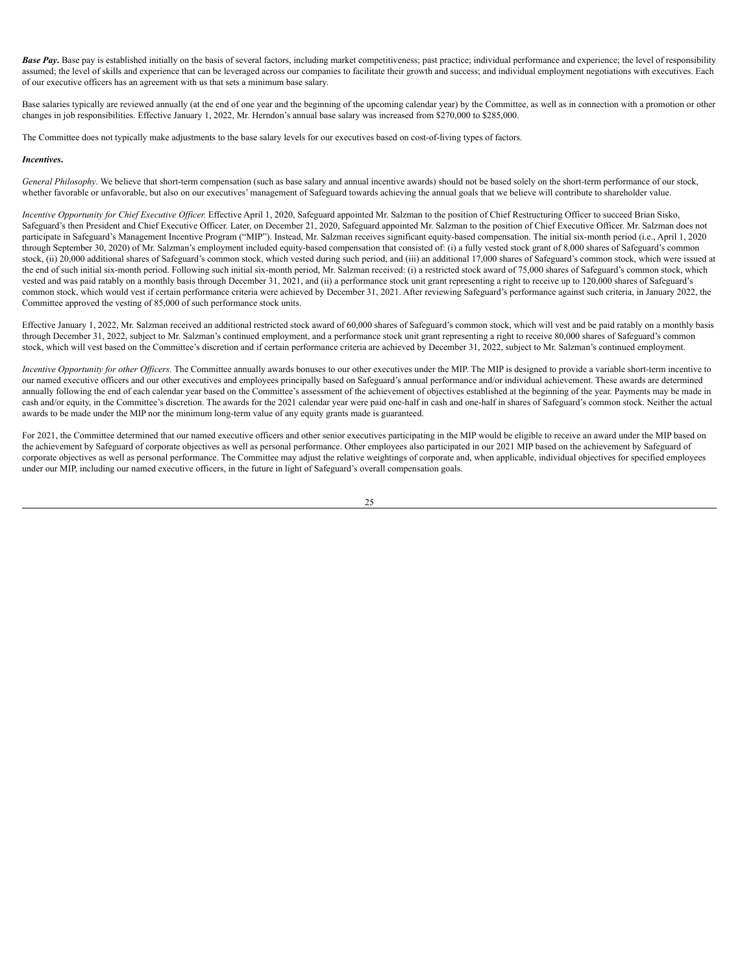**Base Pay**. Base pay is established initially on the basis of several factors, including market competitiveness; past practice; individual performance and experience; the level of responsibility assumed; the level of skills and experience that can be leveraged across our companies to facilitate their growth and success; and individual employment negotiations with executives. Each of our executive officers has an agreement with us that sets a minimum base salary.

Base salaries typically are reviewed annually (at the end of one year and the beginning of the upcoming calendar year) by the Committee, as well as in connection with a promotion or other changes in job responsibilities. Effective January 1, 2022, Mr. Herndon's annual base salary was increased from \$270,000 to \$285,000.

The Committee does not typically make adjustments to the base salary levels for our executives based on cost-of-living types of factors.

## *Incentives***.**

*General Philosophy*. We believe that short-term compensation (such as base salary and annual incentive awards) should not be based solely on the short-term performance of our stock, whether favorable or unfavorable, but also on our executives' management of Safeguard towards achieving the annual goals that we believe will contribute to shareholder value.

Incentive Opportunity for Chief Executive Officer. Effective April 1, 2020, Safeguard appointed Mr. Salzman to the position of Chief Restructuring Officer to succeed Brian Sisko, Safeguard's then President and Chief Executive Officer. Later, on December 21, 2020, Safeguard appointed Mr. Salzman to the position of Chief Executive Officer. Mr. Salzman does not participate in Safeguard's Management Incentive Program ("MIP"). Instead, Mr. Salzman receives significant equity-based compensation. The initial six-month period (i.e., April 1, 2020 through September 30, 2020) of Mr. Salzman's employment included equity-based compensation that consisted of: (i) a fully vested stock grant of 8,000 shares of Safeguard's common stock, (ii) 20,000 additional shares of Safeguard's common stock, which vested during such period, and (iii) an additional 17,000 shares of Safeguard's common stock, which were issued at the end of such initial six-month period. Following such initial six-month period, Mr. Salzman received: (i) a restricted stock award of 75,000 shares of Safeguard's common stock, which vested and was paid ratably on a monthly basis through December 31, 2021, and (ii) a performance stock unit grant representing a right to receive up to 120,000 shares of Safeguard's common stock, which would vest if certain performance criteria were achieved by December 31, 2021. After reviewing Safeguard's performance against such criteria, in January 2022, the Committee approved the vesting of 85,000 of such performance stock units.

Effective January 1, 2022, Mr. Salzman received an additional restricted stock award of 60,000 shares of Safeguard's common stock, which will vest and be paid ratably on a monthly basis through December 31, 2022, subject to Mr. Salzman's continued employment, and a performance stock unit grant representing a right to receive 80,000 shares of Safeguard's common stock, which will vest based on the Committee's discretion and if certain performance criteria are achieved by December 31, 2022, subject to Mr. Salzman's continued employment.

Incentive Opportunity for other Officers. The Committee annually awards bonuses to our other executives under the MIP. The MIP is designed to provide a variable short-term incentive to our named executive officers and our other executives and employees principally based on Safeguard's annual performance and/or individual achievement. These awards are determined annually following the end of each calendar year based on the Committee's assessment of the achievement of objectives established at the beginning of the year. Payments may be made in cash and/or equity, in the Committee's discretion. The awards for the 2021 calendar year were paid one-half in cash and one-half in shares of Safeguard's common stock. Neither the actual awards to be made under the MIP nor the minimum long-term value of any equity grants made is guaranteed.

For 2021, the Committee determined that our named executive officers and other senior executives participating in the MIP would be eligible to receive an award under the MIP based on the achievement by Safeguard of corporate objectives as well as personal performance. Other employees also participated in our 2021 MIP based on the achievement by Safeguard of corporate objectives as well as personal performance. The Committee may adjust the relative weightings of corporate and, when applicable, individual objectives for specified employees under our MIP, including our named executive officers, in the future in light of Safeguard's overall compensation goals.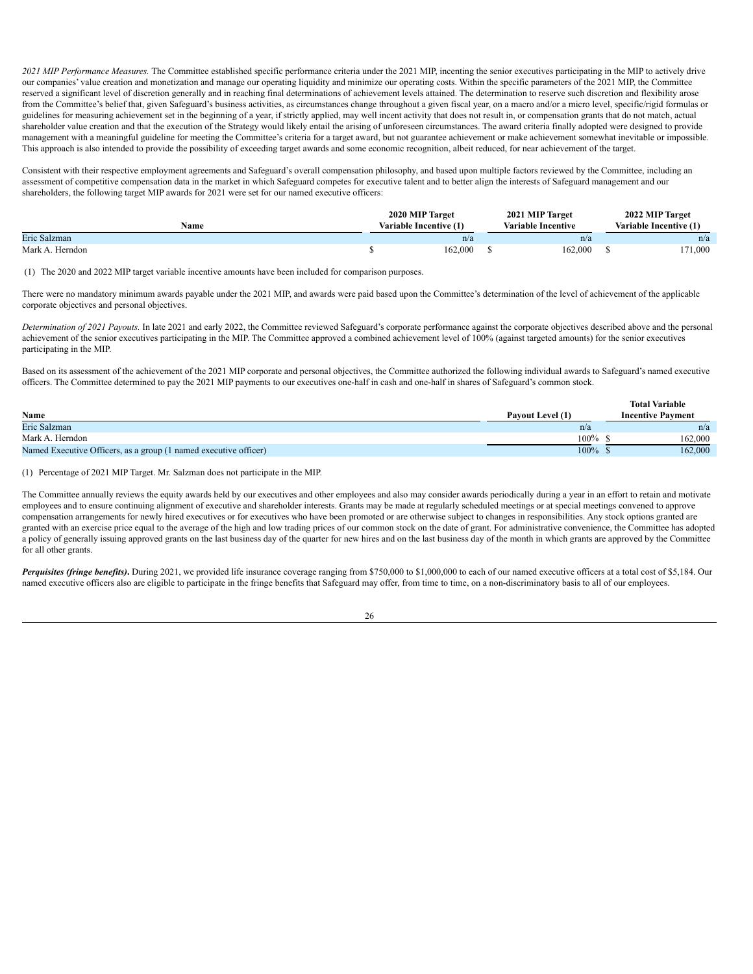*2021 MIP Performance Measures.* The Committee established specific performance criteria under the 2021 MIP, incenting the senior executives participating in the MIP to actively drive our companies' value creation and monetization and manage our operating liquidity and minimize our operating costs. Within the specific parameters of the 2021 MIP, the Committee reserved a significant level of discretion generally and in reaching final determinations of achievement levels attained. The determination to reserve such discretion and flexibility arose from the Committee's belief that, given Safeguard's business activities, as circumstances change throughout a given fiscal year, on a macro and/or a micro level, specific/rigid formulas or guidelines for measuring achievement set in the beginning of a year, if strictly applied, may well incent activity that does not result in, or compensation grants that do not match, actual shareholder value creation and that the execution of the Strategy would likely entail the arising of unforeseen circumstances. The award criteria finally adopted were designed to provide management with a meaningful guideline for meeting the Committee's criteria for a target award, but not guarantee achievement or make achievement somewhat inevitable or impossible. This approach is also intended to provide the possibility of exceeding target awards and some economic recognition, albeit reduced, for near achievement of the target.

Consistent with their respective employment agreements and Safeguard's overall compensation philosophy, and based upon multiple factors reviewed by the Committee, including an assessment of competitive compensation data in the market in which Safeguard competes for executive talent and to better align the interests of Safeguard management and our shareholders, the following target MIP awards for 2021 were set for our named executive officers:

| Name            | 2020 MIP Target<br>Variable Incentive (1) | 2021 MIP Target<br><b>Variable Incentive</b> | 2022 MIP Target<br>Variable Incentive (1) |
|-----------------|-------------------------------------------|----------------------------------------------|-------------------------------------------|
| Eric Salzman    | n/a                                       | n/a                                          | n/a                                       |
| Mark A. Herndon | 162,000                                   | 162.000                                      | 1,000                                     |

(1) The 2020 and 2022 MIP target variable incentive amounts have been included for comparison purposes.

There were no mandatory minimum awards payable under the 2021 MIP, and awards were paid based upon the Committee's determination of the level of achievement of the applicable corporate objectives and personal objectives.

*Determination of 2021 Payouts.* In late 2021 and early 2022, the Committee reviewed Safeguard's corporate performance against the corporate objectives described above and the personal achievement of the senior executives participating in the MIP. The Committee approved a combined achievement level of 100% (against targeted amounts) for the senior executives participating in the MIP.

Based on its assessment of the achievement of the 2021 MIP corporate and personal objectives, the Committee authorized the following individual awards to Safeguard's named executive officers. The Committee determined to pay the 2021 MIP payments to our executives one-half in cash and one-half in shares of Safeguard's common stock.

|                                                                  |                  | <b>Total Variable</b>    |
|------------------------------------------------------------------|------------------|--------------------------|
| Name                                                             | Payout Level (1) | <b>Incentive Payment</b> |
| Eric Salzman                                                     | n/a              | n/a                      |
| Mark A. Herndon                                                  | $100\%$          | 162,000                  |
| Named Executive Officers, as a group (1 named executive officer) | 100%             | 162,000                  |

(1) Percentage of 2021 MIP Target. Mr. Salzman does not participate in the MIP.

The Committee annually reviews the equity awards held by our executives and other employees and also may consider awards periodically during a year in an effort to retain and motivate employees and to ensure continuing alignment of executive and shareholder interests. Grants may be made at regularly scheduled meetings or at special meetings convened to approve compensation arrangements for newly hired executives or for executives who have been promoted or are otherwise subject to changes in responsibilities. Any stock options granted are granted with an exercise price equal to the average of the high and low trading prices of our common stock on the date of grant. For administrative convenience, the Committee has adopted a policy of generally issuing approved grants on the last business day of the quarter for new hires and on the last business day of the month in which grants are approved by the Committee for all other grants.

*Perquisites (fringe benefits)***.** During 2021, we provided life insurance coverage ranging from \$750,000 to \$1,000,000 to each of our named executive officers at a total cost of \$5,184. Our named executive officers also are eligible to participate in the fringe benefits that Safeguard may offer, from time to time, on a non-discriminatory basis to all of our employees.

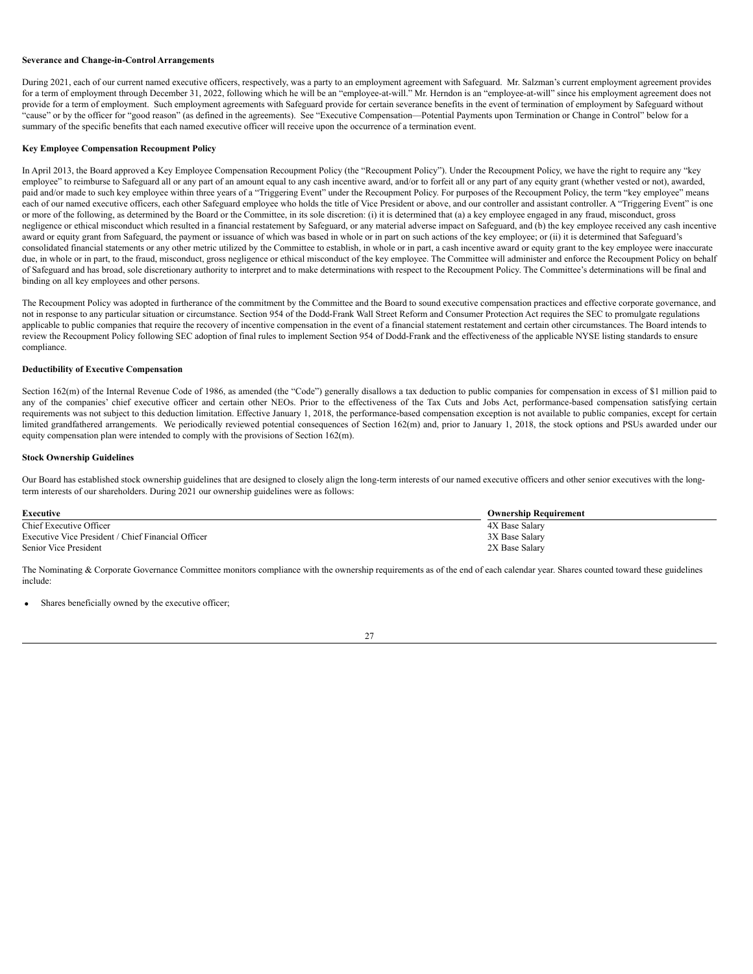#### **Severance and Change-in-Control Arrangements**

During 2021, each of our current named executive officers, respectively, was a party to an employment agreement with Safeguard. Mr. Salzman's current employment agreement provides for a term of employment through December 31, 2022, following which he will be an "employee-at-will." Mr. Herndon is an "employee-at-will" since his employment agreement does not provide for a term of employment. Such employment agreements with Safeguard provide for certain severance benefits in the event of termination of employment by Safeguard without "cause" or by the officer for "good reason" (as defined in the agreements). See "Executive Compensation—Potential Payments upon Termination or Change in Control" below for a summary of the specific benefits that each named executive officer will receive upon the occurrence of a termination event.

## <span id="page-30-0"></span>**Key Employee Compensation Recoupment Policy**

In April 2013, the Board approved a Key Employee Compensation Recoupment Policy (the "Recoupment Policy"). Under the Recoupment Policy, we have the right to require any "key employee" to reimburse to Safeguard all or any part of an amount equal to any cash incentive award, and/or to forfeit all or any part of any equity grant (whether vested or not), awarded, paid and/or made to such key employee within three years of a "Triggering Event" under the Recoupment Policy. For purposes of the Recoupment Policy, the term "key employee" means each of our named executive officers, each other Safeguard employee who holds the title of Vice President or above, and our controller and assistant controller. A "Triggering Event" is one or more of the following, as determined by the Board or the Committee, in its sole discretion: (i) it is determined that (a) a key employee engaged in any fraud, misconduct, gross negligence or ethical misconduct which resulted in a financial restatement by Safeguard, or any material adverse impact on Safeguard, and (b) the key employee received any cash incentive award or equity grant from Safeguard, the payment or issuance of which was based in whole or in part on such actions of the key employee; or (ii) it is determined that Safeguard's consolidated financial statements or any other metric utilized by the Committee to establish, in whole or in part, a cash incentive award or equity grant to the key employee were inaccurate due, in whole or in part, to the fraud, misconduct, gross negligence or ethical misconduct of the key employee. The Committee will administer and enforce the Recoupment Policy on behalf of Safeguard and has broad, sole discretionary authority to interpret and to make determinations with respect to the Recoupment Policy. The Committee's determinations will be final and binding on all key employees and other persons.

The Recoupment Policy was adopted in furtherance of the commitment by the Committee and the Board to sound executive compensation practices and effective corporate governance, and not in response to any particular situation or circumstance. Section 954 of the Dodd-Frank Wall Street Reform and Consumer Protection Act requires the SEC to promulgate regulations applicable to public companies that require the recovery of incentive compensation in the event of a financial statement restatement and certain other circumstances. The Board intends to review the Recoupment Policy following SEC adoption of final rules to implement Section 954 of Dodd-Frank and the effectiveness of the applicable NYSE listing standards to ensure compliance.

#### **Deductibility of Executive Compensation**

Section 162(m) of the Internal Revenue Code of 1986, as amended (the "Code") generally disallows a tax deduction to public companies for compensation in excess of \$1 million paid to any of the companies' chief executive officer and certain other NEOs. Prior to the effectiveness of the Tax Cuts and Jobs Act, performance-based compensation satisfying certain requirements was not subject to this deduction limitation. Effective January 1, 2018, the performance-based compensation exception is not available to public companies, except for certain limited grandfathered arrangements. We periodically reviewed potential consequences of Section 162(m) and, prior to January 1, 2018, the stock options and PSUs awarded under our equity compensation plan were intended to comply with the provisions of Section 162(m).

## <span id="page-30-1"></span>**Stock Ownership Guidelines**

Our Board has established stock ownership guidelines that are designed to closely align the long-term interests of our named executive officers and other senior executives with the longterm interests of our shareholders. During 2021 our ownership guidelines were as follows:

| Executive                                          | <b>Ownership Requirement</b> |
|----------------------------------------------------|------------------------------|
| Chief Executive Officer                            | 4X Base Salary               |
| Executive Vice President / Chief Financial Officer | 3X Base Salary               |
| Senior Vice President                              | 2X Base Salary               |

The Nominating & Corporate Governance Committee monitors compliance with the ownership requirements as of the end of each calendar year. Shares counted toward these guidelines include:

Shares beneficially owned by the executive officer;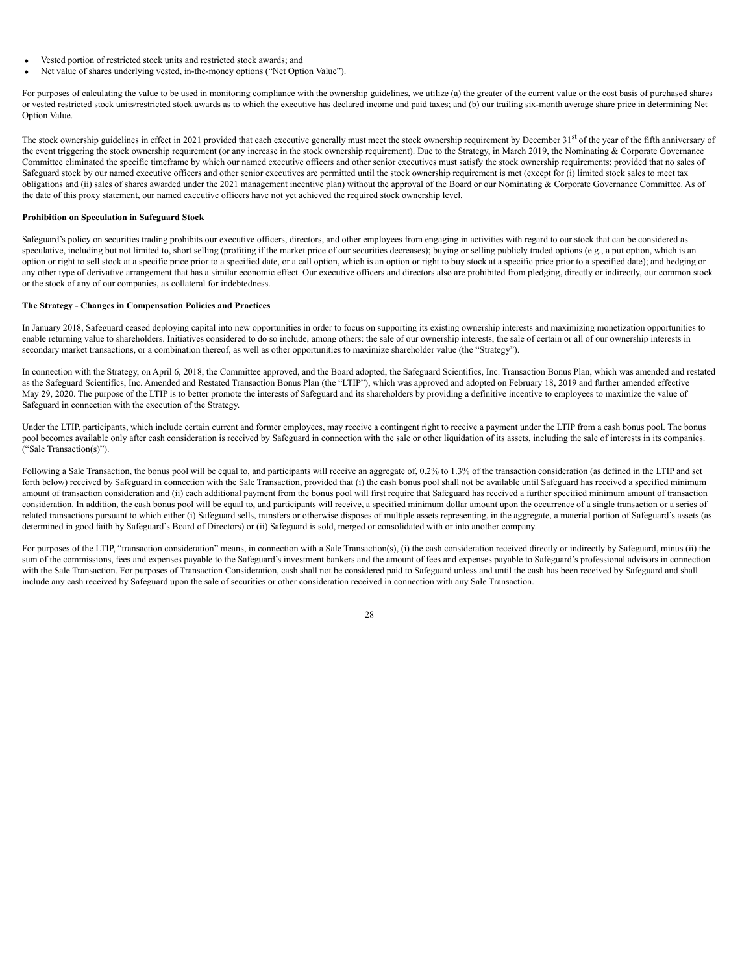- Vested portion of restricted stock units and restricted stock awards; and
- Net value of shares underlying vested, in-the-money options ("Net Option Value").

For purposes of calculating the value to be used in monitoring compliance with the ownership guidelines, we utilize (a) the greater of the current value or the cost basis of purchased shares or vested restricted stock units/restricted stock awards as to which the executive has declared income and paid taxes; and (b) our trailing six-month average share price in determining Net Option Value.

The stock ownership guidelines in effect in 2021 provided that each executive generally must meet the stock ownership requirement by December 31<sup>st</sup> of the year of the fifth anniversary of the event triggering the stock ownership requirement (or any increase in the stock ownership requirement). Due to the Strategy, in March 2019, the Nominating & Corporate Governance Committee eliminated the specific timeframe by which our named executive officers and other senior executives must satisfy the stock ownership requirements; provided that no sales of Safeguard stock by our named executive officers and other senior executives are permitted until the stock ownership requirement is met (except for (i) limited stock sales to meet tax obligations and (ii) sales of shares awarded under the 2021 management incentive plan) without the approval of the Board or our Nominating & Corporate Governance Committee. As of the date of this proxy statement, our named executive officers have not yet achieved the required stock ownership level.

## **Prohibition on Speculation in Safeguard Stock**

Safeguard's policy on securities trading prohibits our executive officers, directors, and other employees from engaging in activities with regard to our stock that can be considered as speculative, including but not limited to, short selling (profiting if the market price of our securities decreases); buying or selling publicly traded options (e.g., a put option, which is an option or right to sell stock at a specific price prior to a specified date, or a call option, which is an option or right to buy stock at a specific price prior to a specified date); and hedging or any other type of derivative arrangement that has a similar economic effect. Our executive officers and directors also are prohibited from pledging, directly or indirectly, our common stock or the stock of any of our companies, as collateral for indebtedness.

## <span id="page-31-0"></span>**The Strategy - Changes in Compensation Policies and Practices**

In January 2018, Safeguard ceased deploying capital into new opportunities in order to focus on supporting its existing ownership interests and maximizing monetization opportunities to enable returning value to shareholders. Initiatives considered to do so include, among others: the sale of our ownership interests, the sale of certain or all of our ownership interests in secondary market transactions, or a combination thereof, as well as other opportunities to maximize shareholder value (the "Strategy").

In connection with the Strategy, on April 6, 2018, the Committee approved, and the Board adopted, the Safeguard Scientifics, Inc. Transaction Bonus Plan, which was amended and restated as the Safeguard Scientifics, Inc. Amended and Restated Transaction Bonus Plan (the "LTIP"), which was approved and adopted on February 18, 2019 and further amended effective May 29, 2020. The purpose of the LTIP is to better promote the interests of Safeguard and its shareholders by providing a definitive incentive to employees to maximize the value of Safeguard in connection with the execution of the Strategy.

Under the LTIP, participants, which include certain current and former employees, may receive a contingent right to receive a payment under the LTIP from a cash bonus pool. The bonus pool becomes available only after cash consideration is received by Safeguard in connection with the sale or other liquidation of its assets, including the sale of interests in its companies. ("Sale Transaction(s)").

Following a Sale Transaction, the bonus pool will be equal to, and participants will receive an aggregate of, 0.2% to 1.3% of the transaction consideration (as defined in the LTIP and set forth below) received by Safeguard in connection with the Sale Transaction, provided that (i) the cash bonus pool shall not be available until Safeguard has received a specified minimum amount of transaction consideration and (ii) each additional payment from the bonus pool will first require that Safeguard has received a further specified minimum amount of transaction consideration. In addition, the cash bonus pool will be equal to, and participants will receive, a specified minimum dollar amount upon the occurrence of a single transaction or a series of related transactions pursuant to which either (i) Safeguard sells, transfers or otherwise disposes of multiple assets representing, in the aggregate, a material portion of Safeguard's assets (as determined in good faith by Safeguard's Board of Directors) or (ii) Safeguard is sold, merged or consolidated with or into another company.

For purposes of the LTIP, "transaction consideration" means, in connection with a Sale Transaction(s), (i) the cash consideration received directly or indirectly by Safeguard, minus (ii) the sum of the commissions, fees and expenses payable to the Safeguard's investment bankers and the amount of fees and expenses payable to Safeguard's professional advisors in connection with the Sale Transaction. For purposes of Transaction Consideration, cash shall not be considered paid to Safeguard unless and until the cash has been received by Safeguard and shall include any cash received by Safeguard upon the sale of securities or other consideration received in connection with any Sale Transaction.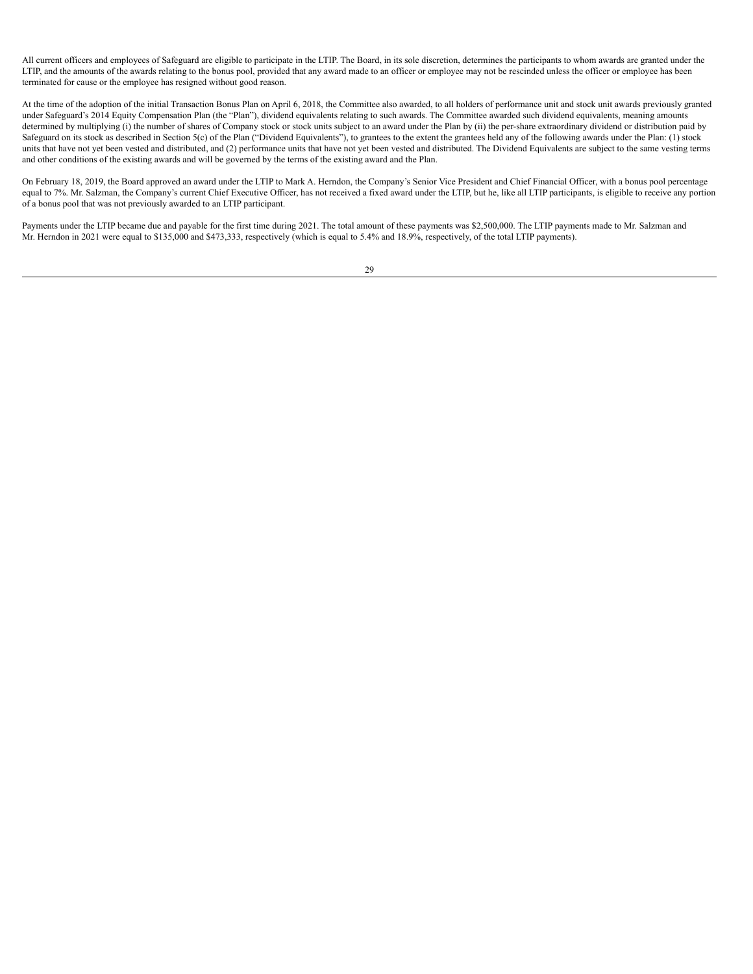All current officers and employees of Safeguard are eligible to participate in the LTIP. The Board, in its sole discretion, determines the participants to whom awards are granted under the LTIP, and the amounts of the awards relating to the bonus pool, provided that any award made to an officer or employee may not be rescinded unless the officer or employee has been terminated for cause or the employee has resigned without good reason.

At the time of the adoption of the initial Transaction Bonus Plan on April 6, 2018, the Committee also awarded, to all holders of performance unit and stock unit awards previously granted under Safeguard's 2014 Equity Compensation Plan (the "Plan"), dividend equivalents relating to such awards. The Committee awarded such dividend equivalents, meaning amounts determined by multiplying (i) the number of shares of Company stock or stock units subject to an award under the Plan by (ii) the per-share extraordinary dividend or distribution paid by Safeguard on its stock as described in Section 5(c) of the Plan ("Dividend Equivalents"), to grantees to the extent the grantees held any of the following awards under the Plan: (1) stock units that have not yet been vested and distributed, and (2) performance units that have not yet been vested and distributed. The Dividend Equivalents are subject to the same vesting terms and other conditions of the existing awards and will be governed by the terms of the existing award and the Plan.

On February 18, 2019, the Board approved an award under the LTIP to Mark A. Herndon, the Company's Senior Vice President and Chief Financial Officer, with a bonus pool percentage equal to 7%. Mr. Salzman, the Company's current Chief Executive Officer, has not received a fixed award under the LTIP, but he, like all LTIP participants, is eligible to receive any portion of a bonus pool that was not previously awarded to an LTIP participant.

Payments under the LTIP became due and payable for the first time during 2021. The total amount of these payments was \$2,500,000. The LTIP payments made to Mr. Salzman and Mr. Herndon in 2021 were equal to \$135,000 and \$473,333, respectively (which is equal to 5.4% and 18.9%, respectively, of the total LTIP payments).

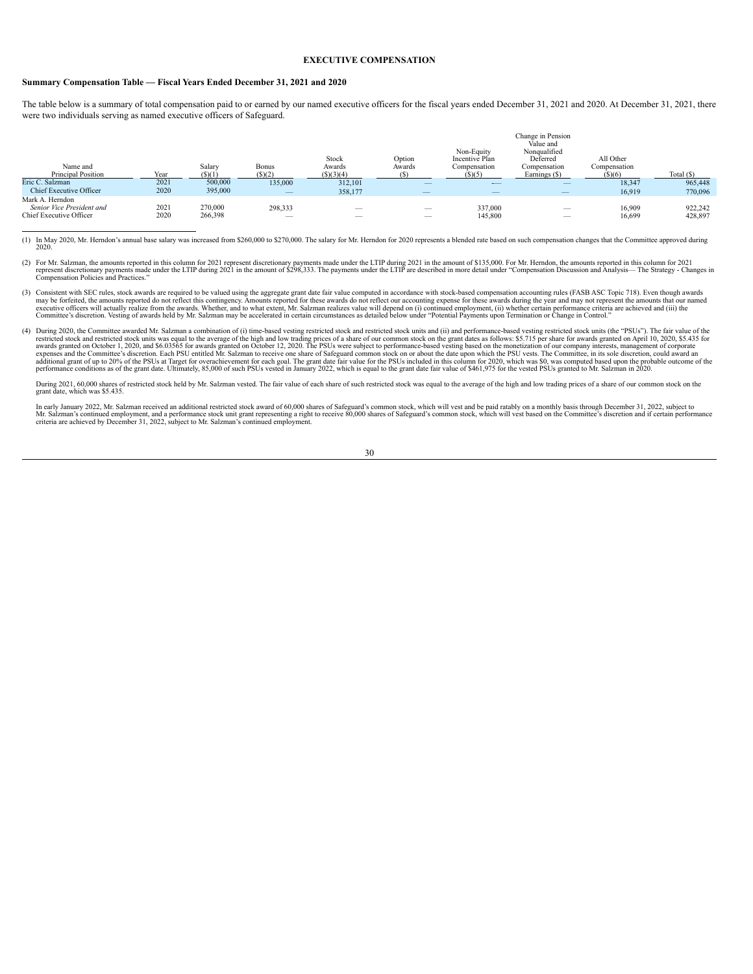## **EXECUTIVE COMPENSATION**

#### <span id="page-33-0"></span>**Summary Compensation Table — Fiscal Years Ended December 31, 2021 and 2020**

The table below is a summary of total compensation paid to or earned by our named executive officers for the fiscal years ended December 31, 2021 and 2020. At December 31, 2021, there were two individuals serving as named executive officers of Safeguard.

| Name and<br><b>Principal Position</b>        | Year | Salary<br>(S)(1) | <b>Bonus</b><br>$($ S $)(2)$    | Stock<br>Awards<br>(S)(3)(4)    | Option<br>Awards                | Non-Equity<br>Incentive Plan<br>Compensation<br>(S)(5) | Change in Pension<br>Value and<br>Nonqualified<br>Deferred<br>Compensation<br>Earnings (\$) | All Other<br>Compensation<br>(S)(6) | Total $(S)$ |
|----------------------------------------------|------|------------------|---------------------------------|---------------------------------|---------------------------------|--------------------------------------------------------|---------------------------------------------------------------------------------------------|-------------------------------------|-------------|
| Eric C. Salzman                              | 2021 | 500,000          | 135.000                         | 312,101                         |                                 | $-$                                                    | $\hspace{0.1mm}-\hspace{0.1mm}$                                                             | 18.347                              | 965,448     |
| Chief Executive Officer                      | 2020 | 395,000          | $\hspace{0.1mm}-\hspace{0.1mm}$ | 358,177                         |                                 |                                                        |                                                                                             | 16,919                              | 770,096     |
| Mark A. Herndon<br>Senior Vice President and | 2021 | 270,000          | 298,333                         | $\hspace{0.1mm}-\hspace{0.1mm}$ | $\hspace{0.1mm}-\hspace{0.1mm}$ | 337.000                                                | $\hspace{0.1mm}-\hspace{0.1mm}$                                                             | 16.909                              | 922.242     |
| Chief Executive Officer                      | 2020 | 266,398          | $\overline{\phantom{a}}$        | $\overline{\phantom{a}}$        | $-$                             | 145,800                                                | $\overline{\phantom{a}}$                                                                    | 16,699                              | 428,897     |

(1) In May 2020, Mr. Herndon's annual base salary was increased from \$260,000 to \$270,000. The salary for Mr. Herndon for 2020 represents a blended rate based on such compensation changes that the Committee approved during 2020.

- (2) For Mr. Salzman, the amounts reported in this column for 2021 represent discretionary payments made under the LTIP during 2021 in the amount of \$135,000. For Mr. Herndon, the amounts reported in this column for 2021 in
- (3) Consistent with SEC rules, stock awards are required to be valued using the aggregate grant date fair value computed in accordance with stock-based compensation accounting rules (FASB ASC Topic 718). Even though awards may be forfeited, the amounts reported do not reflect this contingency. Amounts reported for these awards do not reflect our accounting expense for these awards during the year and may not represent the amounts that our na
- (4) During 2020, the Committee awarded Mr. Salzman a combination of (i) time-based vesting restricted stock and restricted stock units and (ii) and performance-based vesting restricted stock units (the "PSUs"). The fair va restricted stock and restricted stock units was equal to the average of the high and low trading prices of a share of our common stock on the grant dates as follows: \$5.715 per share for awards granted on April 10, 2020, \$ performance conditions as of the grant date. Ultimately, 85,000 of such PSUs vested in January 2022, which is equal to the grant date fair value of \$461,975 for the vested PSUs granted to Mr. Salzman in 2020.

During 2021, 60,000 shares of restricted stock held by Mr. Salzman vested. The fair value of each share of such restricted stock was equal to the average of the high and low trading prices of a share of our common stock on grant date, which was \$5.435.

In early January 2022, Mr. Salzman received an additional restricted stock award of 60,000 shares of Safeguard's common stock, which will vest and be paid ratably on a monthly basis through December 31, 2022, subject to Mr. Salzman's continued employment, and a performance stock unit grant representing a right to receive 80,000 shares of Safeguard's common stock, which will vest based on the Committee's discretion and if certain performan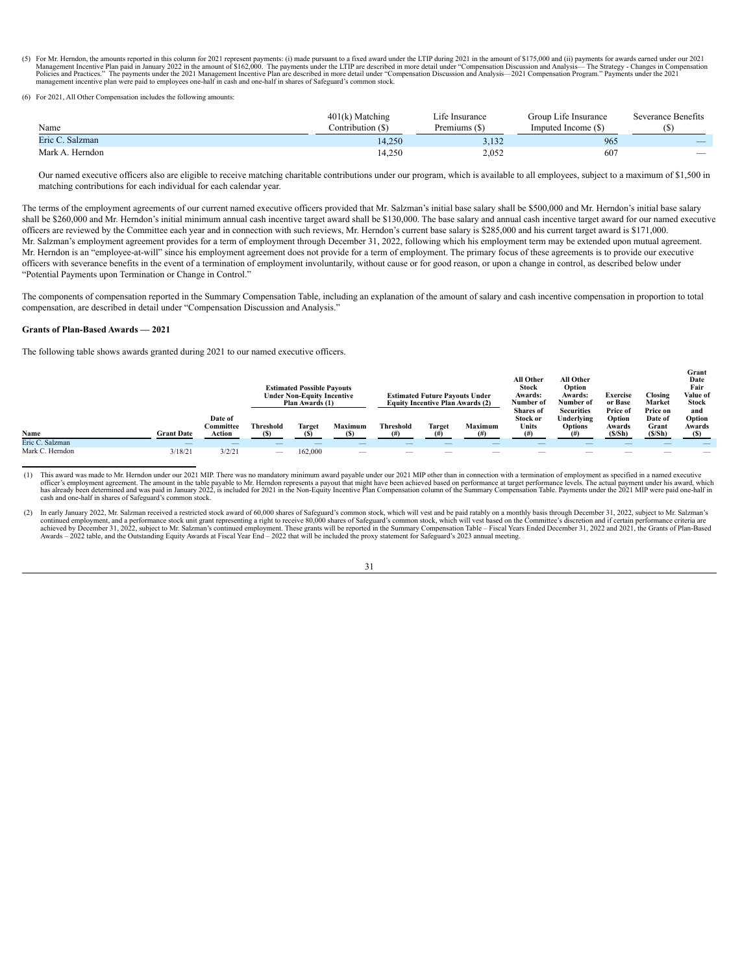(5) For Mr. Herndon, the amounts reported in this column for 2021 represent payments: (i) made pursuant to a fixed award under the LTIP during 2021 in the amount of \$175,000 and (ii) payments for awards earned under our 20

(6) For 2021, All Other Compensation includes the following amou

| Name            | $401(k)$ Matching<br>Contribution (\$) | Life Insurance<br>Premiums (\$) | Group Life Insurance<br>Imputed Income (\$) | Severance Benefits       |
|-----------------|----------------------------------------|---------------------------------|---------------------------------------------|--------------------------|
| Eric C. Salzman | 14.250                                 | 3,132                           | 965                                         | $\overline{\phantom{a}}$ |
| Mark A. Herndon | 14,250                                 | 2,052                           | 607                                         | $\overline{\phantom{a}}$ |

Our named executive officers also are eligible to receive matching charitable contributions under our program, which is available to all employees, subject to a maximum of \$1,500 in matching contributions for each individual for each calendar year.

The terms of the employment agreements of our current named executive officers provided that Mr. Salzman's initial base salary shall be \$500,000 and Mr. Herndon's initial base salary shall be \$260,000 and Mr. Herndon's initial minimum annual cash incentive target award shall be \$130,000. The base salary and annual cash incentive target award for our named executive officers are reviewed by the Committee each year and in connection with such reviews, Mr. Herndon's current base salary is \$285,000 and his current target award is \$171,000. Mr. Salzman's employment agreement provides for a term of employment through December 31, 2022, following which his employment term may be extended upon mutual agreement. Mr. Herndon is an "employee-at-will" since his employment agreement does not provide for a term of employment. The primary focus of these agreements is to provide our executive officers with severance benefits in the event of a termination of employment involuntarily, without cause or for good reason, or upon a change in control, as described below under "Potential Payments upon Termination or Change in Control."

The components of compensation reported in the Summary Compensation Table, including an explanation of the amount of salary and cash incentive compensation in proportion to total compensation, are described in detail under "Compensation Discussion and Analysis."

#### <span id="page-34-0"></span>**Grants of Plan-Based Awards — 2021**

The following table shows awards granted during 2021 to our named executive officers.

|                 |                          |                      |           | <b>Estimated Possible Payouts</b><br><b>Under Non-Equity Incentive</b><br>Plan Awards (1) |         |                                 | <b>Estimated Future Pavouts Under</b><br><b>Equity Incentive Plan Awards (2)</b> |                   | <b>All Other</b><br>Stock<br>Awards:<br>Number of<br><b>Shares</b> of | All Other<br>Option<br><b>Awards:</b><br>Number of<br><b>Securities</b> | <b>Exercise</b><br>or Base<br>Price of | Closing<br>Market<br>Price on   | Date<br>Fair<br>Value of<br>Stock<br>and |
|-----------------|--------------------------|----------------------|-----------|-------------------------------------------------------------------------------------------|---------|---------------------------------|----------------------------------------------------------------------------------|-------------------|-----------------------------------------------------------------------|-------------------------------------------------------------------------|----------------------------------------|---------------------------------|------------------------------------------|
|                 |                          | Date of<br>Committee | Threshold | Target                                                                                    | Maximum | Threshold                       | <b>Target</b>                                                                    | <b>Maximum</b>    | Stock or<br>Units                                                     | Underlying<br><b>Options</b>                                            | Option                                 | Date of<br>Grant                | Option                                   |
| Name            | <b>Grant Date</b>        | Action               | (C)       |                                                                                           |         |                                 |                                                                                  |                   | (H)                                                                   |                                                                         | Awards<br>(S/Sh)                       | (S/Sh)                          | Awards                                   |
| Eric C. Salzman | $\overline{\phantom{a}}$ |                      |           |                                                                                           |         |                                 |                                                                                  |                   |                                                                       |                                                                         |                                        |                                 |                                          |
| Mark C. Herndon | 3/18/21                  | 3/2/21               |           | 162.000                                                                                   |         | $\hspace{0.1mm}-\hspace{0.1mm}$ |                                                                                  | $\hspace{0.05cm}$ |                                                                       | $\overline{\phantom{a}}$                                                | $\hspace{0.5cm}$                       | $\hspace{0.1mm}-\hspace{0.1mm}$ |                                          |

**Grant**

(1) This award was made to Mr. Herndon under our 2021 MIP. There was no mandatory minimum award payable under our 2021 MIP other than in connection with a termination of employment as specified in a named executive officer's employment agreement. The amount in the table payable to Mr. Herndon represents a payout that might have been achieved based on performance at target performance levels. The actual payment under his award, which<br> cash and one-half in shares of Safeguard's common stock.

<sup>(2)</sup> In early January 2022, Mr. Salzman received a restricted stock award of 60,000 shares of Safeguard's common stock, which will vest and be paid ratably on a monthly basis through December 31, 2022, subject to Mr. Salzma continued employment, and a performance stock unit grant representing a right to receive 80,000 shares of Safeguard's common stock, which will vest based on the Committee's discretion and if certain performance criteria ar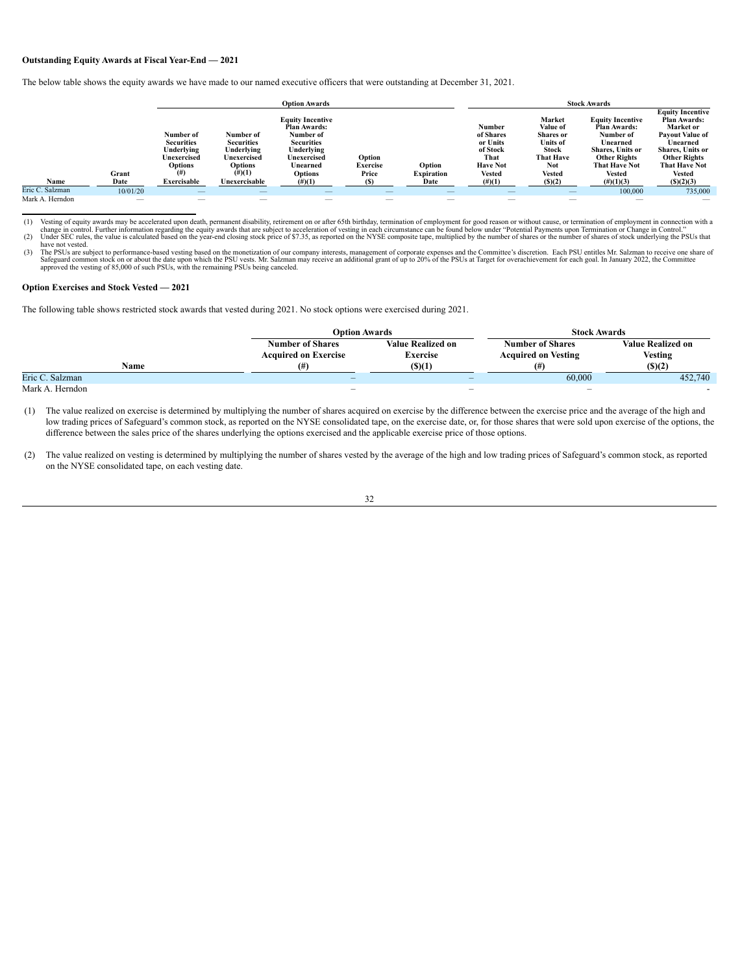# <span id="page-35-0"></span>**Outstanding Equity Awards at Fiscal Year-End — 2021**

The below table shows the equity awards we have made to our named executive officers that were outstanding at December 31, 2021.

|                 |          |                                                                               |                                                                                        | <b>Option Awards</b>                                                                                                                        |                                    |                             |                                                                                         |                                                                                                         | <b>Stock Awards</b>                                                                                                                                         |                                                                                                                                                                                       |
|-----------------|----------|-------------------------------------------------------------------------------|----------------------------------------------------------------------------------------|---------------------------------------------------------------------------------------------------------------------------------------------|------------------------------------|-----------------------------|-----------------------------------------------------------------------------------------|---------------------------------------------------------------------------------------------------------|-------------------------------------------------------------------------------------------------------------------------------------------------------------|---------------------------------------------------------------------------------------------------------------------------------------------------------------------------------------|
|                 | Grant    | Number of<br><b>Securities</b><br>Underlying<br>Unexercised<br>Options<br>(#) | Number of<br><b>Securities</b><br>Underlying<br>Unexercised<br>Options<br>$^{(\#)}(1)$ | <b>Equity Incentive</b><br><b>Plan Awards:</b><br>Number of<br><b>Securities</b><br>Underlying<br>Unexercised<br>Unearned<br><b>Options</b> | Option<br><b>Exercise</b><br>Price | Option<br><b>Expiration</b> | <b>Number</b><br>of Shares<br>or Units<br>of Stock<br>That<br><b>Have Not</b><br>Vested | Market<br>Value of<br><b>Shares</b> or<br><b>Units of</b><br>Stock<br><b>That Have</b><br>Not<br>Vested | <b>Equity Incentive</b><br><b>Plan Awards:</b><br>Number of<br>Unearned<br><b>Shares.</b> Units or<br><b>Other Rights</b><br><b>That Have Not</b><br>Vested | <b>Equity Incentive</b><br><b>Plan Awards:</b><br>Market or<br><b>Pavout Value of</b><br>Unearned<br><b>Shares. Units or</b><br><b>Other Rights</b><br><b>That Have Not</b><br>Vested |
| Name            | Date     | Exercisable                                                                   | Unexercisable                                                                          | $(\#)(1)$                                                                                                                                   |                                    | Date                        | $^{(\#)}(1)$                                                                            | (S)(2)                                                                                                  | $(\#)(1)(3)$                                                                                                                                                | (S)(2)(3)                                                                                                                                                                             |
| Eric C. Salzman | 10/01/20 | $\hspace{0.1mm}-\hspace{0.1mm}$                                               | $\overline{\phantom{a}}$                                                               |                                                                                                                                             | $\hspace{0.1mm}-\hspace{0.1mm}$    |                             | $\hspace{0.1mm}-\hspace{0.1mm}$                                                         | $\qquad \qquad - \qquad$                                                                                | 100,000                                                                                                                                                     | 735.000                                                                                                                                                                               |
| Mark A. Herndon |          | _                                                                             | $\overline{\phantom{a}}$                                                               |                                                                                                                                             |                                    | _                           |                                                                                         | _                                                                                                       |                                                                                                                                                             |                                                                                                                                                                                       |

Vesting of equity awards may be accelerated upon death, permanent disability, retirement on or after 65th birthday, termination of employment for good reason or without cause, or termination of employment in connection wit

have not vested. (3) The PSUs are subject to performance-based vesting based on the monetization of our company interests, management of corporate expenses and the Committee's discretion. Each PSU entitles Mr. Salzman to receive one share approved the vesting of 85,000 of such PSUs, with the remaining PSUs being canceled.

#### **Option Exercises and Stock Vested — 2021**

The following table shows restricted stock awards that vested during 2021. No stock options were exercised during 2021.

|                 | <b>Option Awards</b>                                   |                                             | <b>Stock Awards</b>                                   |                                            |
|-----------------|--------------------------------------------------------|---------------------------------------------|-------------------------------------------------------|--------------------------------------------|
|                 | <b>Number of Shares</b><br><b>Acquired on Exercise</b> | <b>Value Realized on</b><br><b>Exercise</b> | <b>Number of Shares</b><br><b>Acquired on Vesting</b> | <b>Value Realized on</b><br><b>Vesting</b> |
| Name            | (#                                                     | (S)(1)                                      | (#)                                                   | (S)(2)                                     |
| Eric C. Salzman | $\qquad \qquad \blacksquare$                           | $\qquad \qquad$                             | 60,000                                                | 452,740                                    |
| Mark A. Herndon | $\overline{\phantom{a}}$                               | $\overline{\phantom{a}}$                    | $\overline{\phantom{a}}$                              |                                            |

(1) The value realized on exercise is determined by multiplying the number of shares acquired on exercise by the difference between the exercise price and the average of the high and low trading prices of Safeguard's common stock, as reported on the NYSE consolidated tape, on the exercise date, or, for those shares that were sold upon exercise of the options, the difference between the sales price of the shares underlying the options exercised and the applicable exercise price of those options.

(2) The value realized on vesting is determined by multiplying the number of shares vested by the average of the high and low trading prices of Safeguard's common stock, as reported on the NYSE consolidated tape, on each vesting date.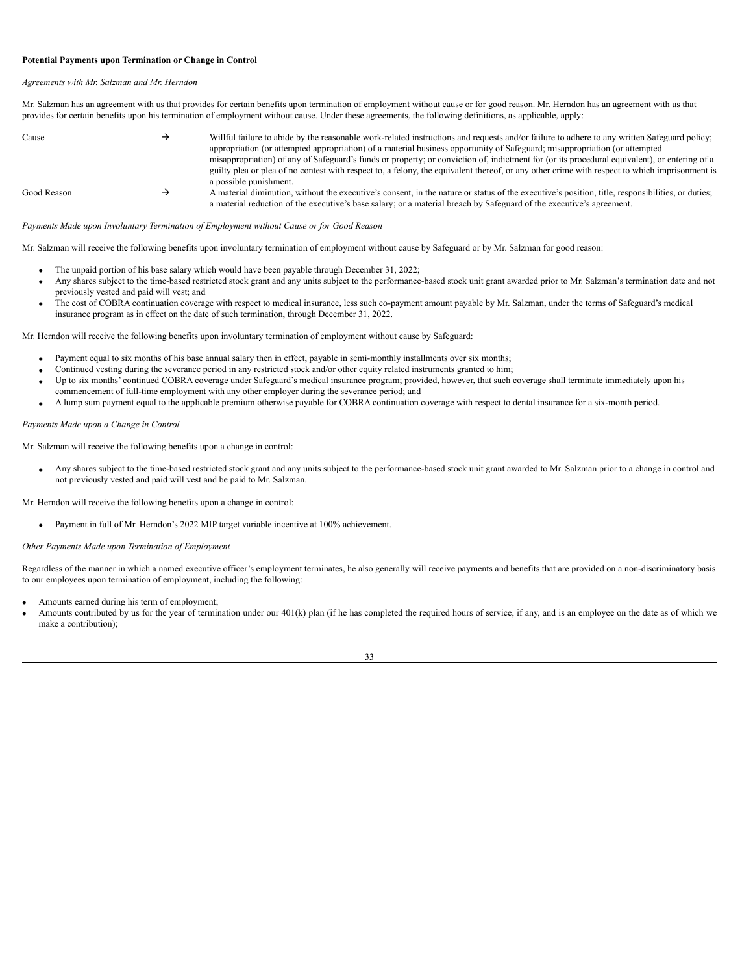#### <span id="page-36-0"></span>**Potential Payments upon Termination or Change in Control**

#### *Agreements with Mr. Salzman and Mr. Herndon*

Mr. Salzman has an agreement with us that provides for certain benefits upon termination of employment without cause or for good reason. Mr. Herndon has an agreement with us that provides for certain benefits upon his termination of employment without cause. Under these agreements, the following definitions, as applicable, apply:

| Cause       | Willful failure to abide by the reasonable work-related instructions and requests and/or failure to adhere to any written Safeguard policy;<br>appropriation (or attempted appropriation) of a material business opportunity of Safeguard; misappropriation (or attempted<br>misappropriation) of any of Safeguard's funds or property, or conviction of, indictment for (or its procedural equivalent), or entering of a |
|-------------|---------------------------------------------------------------------------------------------------------------------------------------------------------------------------------------------------------------------------------------------------------------------------------------------------------------------------------------------------------------------------------------------------------------------------|
|             | guilty plea or plea of no contest with respect to, a felony, the equivalent thereof, or any other crime with respect to which imprisonment is<br>a possible punishment.                                                                                                                                                                                                                                                   |
| Good Reason | A material diminution, without the executive's consent, in the nature or status of the executive's position, title, responsibilities, or duties;<br>a material reduction of the executive's base salary; or a material breach by Safeguard of the executive's agreement.                                                                                                                                                  |

*Payments Made upon Involuntary Termination of Employment without Cause or for Good Reason*

Mr. Salzman will receive the following benefits upon involuntary termination of employment without cause by Safeguard or by Mr. Salzman for good reason:

- · The unpaid portion of his base salary which would have been payable through December 31, 2022;
- Any shares subject to the time-based restricted stock grant and any units subject to the performance-based stock unit grant awarded prior to Mr. Salzman's termination date and not previously vested and paid will vest; and
- · The cost of COBRA continuation coverage with respect to medical insurance, less such co-payment amount payable by Mr. Salzman, under the terms of Safeguard's medical insurance program as in effect on the date of such termination, through December 31, 2022.

Mr. Herndon will receive the following benefits upon involuntary termination of employment without cause by Safeguard:

- Payment equal to six months of his base annual salary then in effect, payable in semi-monthly installments over six months;
- Continued vesting during the severance period in any restricted stock and/or other equity related instruments granted to him;
- Up to six months' continued COBRA coverage under Safeguard's medical insurance program; provided, however, that such coverage shall terminate immediately upon his commencement of full-time employment with any other employer during the severance period; and
- · A lump sum payment equal to the applicable premium otherwise payable for COBRA continuation coverage with respect to dental insurance for a six-month period.

*Payments Made upon a Change in Control*

Mr. Salzman will receive the following benefits upon a change in control:

Any shares subject to the time-based restricted stock grant and any units subject to the performance-based stock unit grant awarded to Mr. Salzman prior to a change in control and not previously vested and paid will vest and be paid to Mr. Salzman.

Mr. Herndon will receive the following benefits upon a change in control:

· Payment in full of Mr. Herndon's 2022 MIP target variable incentive at 100% achievement.

*Other Payments Made upon Termination of Employment*

Regardless of the manner in which a named executive officer's employment terminates, he also generally will receive payments and benefits that are provided on a non-discriminatory basis to our employees upon termination of employment, including the following:

- Amounts earned during his term of employment;
- Amounts contributed by us for the year of termination under our 401(k) plan (if he has completed the required hours of service, if any, and is an employee on the date as of which we make a contribution);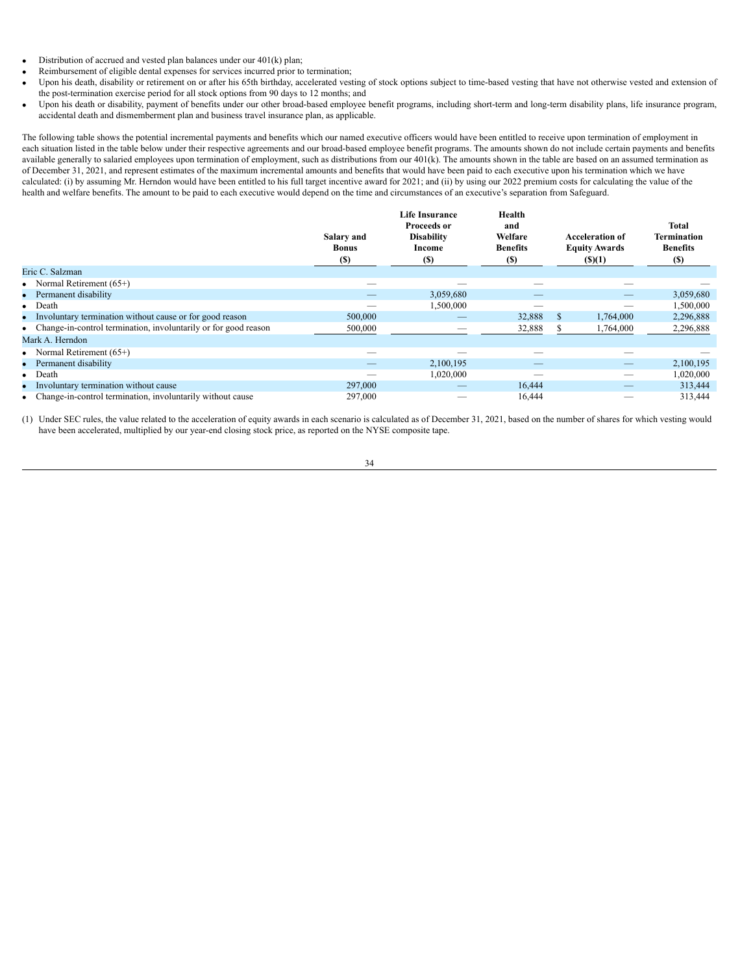- Distribution of accrued and vested plan balances under our 401(k) plan;
- Reimbursement of eligible dental expenses for services incurred prior to termination;
- Upon his death, disability or retirement on or after his 65th birthday, accelerated vesting of stock options subject to time-based vesting that have not otherwise vested and extension of the post-termination exercise period for all stock options from 90 days to 12 months; and
- · Upon his death or disability, payment of benefits under our other broad-based employee benefit programs, including short-term and long-term disability plans, life insurance program, accidental death and dismemberment plan and business travel insurance plan, as applicable.

The following table shows the potential incremental payments and benefits which our named executive officers would have been entitled to receive upon termination of employment in each situation listed in the table below under their respective agreements and our broad-based employee benefit programs. The amounts shown do not include certain payments and benefits available generally to salaried employees upon termination of employment, such as distributions from our 401(k). The amounts shown in the table are based on an assumed termination as of December 31, 2021, and represent estimates of the maximum incremental amounts and benefits that would have been paid to each executive upon his termination which we have calculated: (i) by assuming Mr. Herndon would have been entitled to his full target incentive award for 2021; and (ii) by using our 2022 premium costs for calculating the value of the health and welfare benefits. The amount to be paid to each executive would depend on the time and circumstances of an executive's separation from Safeguard.

| Eric C. Salzman                                                   | Salary and<br><b>Bonus</b><br><b>(S)</b> | <b>Life Insurance</b><br><b>Proceeds or</b><br><b>Disability</b><br>Income<br>(S) | Health<br>and<br>Welfare<br><b>Benefits</b><br>(S) | <b>Acceleration of</b><br><b>Equity Awards</b><br>$($ (\$)(1) | <b>Total</b><br><b>Termination</b><br><b>Benefits</b><br><b>(S)</b> |
|-------------------------------------------------------------------|------------------------------------------|-----------------------------------------------------------------------------------|----------------------------------------------------|---------------------------------------------------------------|---------------------------------------------------------------------|
| Normal Retirement (65+)<br>٠                                      |                                          |                                                                                   |                                                    |                                                               |                                                                     |
| Permanent disability<br>۰                                         |                                          | 3,059,680                                                                         |                                                    |                                                               | 3,059,680                                                           |
| $\bullet$ Death                                                   |                                          | 1,500,000                                                                         |                                                    |                                                               | 1,500,000                                                           |
| Involuntary termination without cause or for good reason<br>۰     | 500,000                                  |                                                                                   | 32,888                                             | 1,764,000<br>S.                                               | 2,296,888                                                           |
| • Change-in-control termination, involuntarily or for good reason | 500,000                                  |                                                                                   | 32,888                                             | 1,764,000                                                     | 2,296,888                                                           |
| Mark A. Herndon                                                   |                                          |                                                                                   |                                                    |                                                               |                                                                     |
| • Normal Retirement $(65+)$                                       |                                          |                                                                                   |                                                    |                                                               |                                                                     |
| Permanent disability<br>۰                                         |                                          | 2,100,195                                                                         |                                                    |                                                               | 2,100,195                                                           |
| • Death                                                           |                                          | 1,020,000                                                                         |                                                    |                                                               | 1,020,000                                                           |
| Involuntary termination without cause<br>۰                        | 297,000                                  |                                                                                   | 16,444                                             |                                                               | 313,444                                                             |
| Change-in-control termination, involuntarily without cause        | 297,000                                  |                                                                                   | 16,444                                             |                                                               | 313,444                                                             |

(1) Under SEC rules, the value related to the acceleration of equity awards in each scenario is calculated as of December 31, 2021, based on the number of shares for which vesting would have been accelerated, multiplied by our year-end closing stock price, as reported on the NYSE composite tape.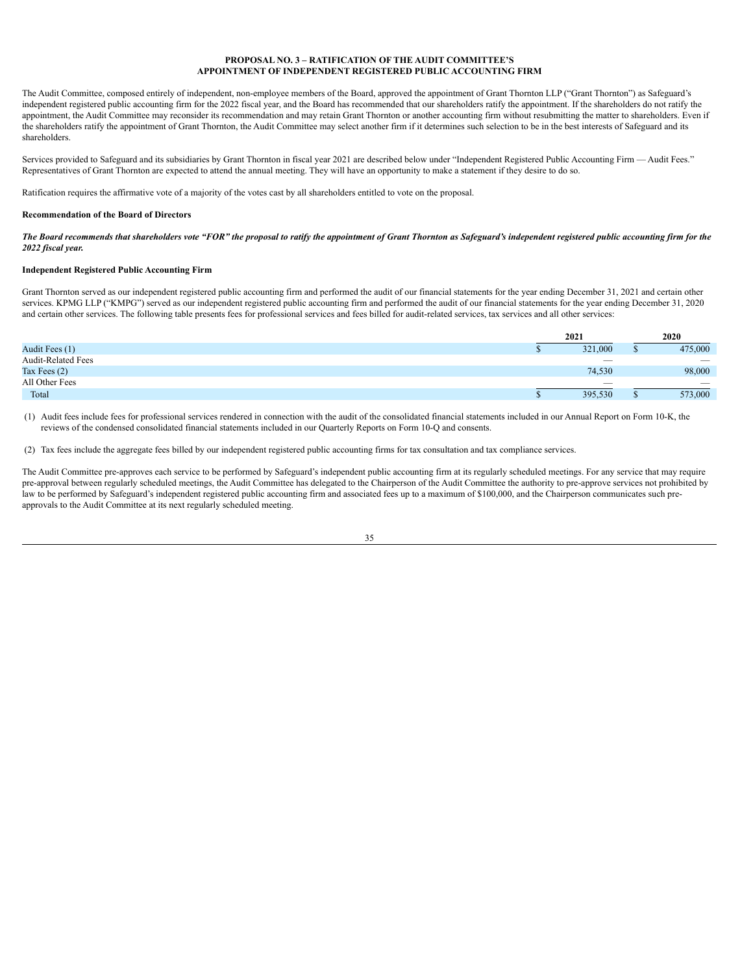## **PROPOSAL NO. 3 – RATIFICATION OF THE AUDIT COMMITTEE'S APPOINTMENT OF INDEPENDENT REGISTERED PUBLIC ACCOUNTING FIRM**

The Audit Committee, composed entirely of independent, non-employee members of the Board, approved the appointment of Grant Thornton LLP ("Grant Thornton") as Safeguard's independent registered public accounting firm for the 2022 fiscal year, and the Board has recommended that our shareholders ratify the appointment. If the shareholders do not ratify the appointment, the Audit Committee may reconsider its recommendation and may retain Grant Thornton or another accounting firm without resubmitting the matter to shareholders. Even if the shareholders ratify the appointment of Grant Thornton, the Audit Committee may select another firm if it determines such selection to be in the best interests of Safeguard and its shareholders.

Services provided to Safeguard and its subsidiaries by Grant Thornton in fiscal year 2021 are described below under "Independent Registered Public Accounting Firm — Audit Fees." Representatives of Grant Thornton are expected to attend the annual meeting. They will have an opportunity to make a statement if they desire to do so.

Ratification requires the affirmative vote of a majority of the votes cast by all shareholders entitled to vote on the proposal.

## **Recommendation of the Board of Directors**

The Board recommends that shareholders vote "FOR" the proposal to ratify the appointment of Grant Thornton as Safeguard's independent registered public accounting firm for the *2022 fiscal year.*

## **Independent Registered Public Accounting Firm**

Grant Thornton served as our independent registered public accounting firm and performed the audit of our financial statements for the year ending December 31, 2021 and certain other services. KPMG LLP ("KMPG") served as our independent registered public accounting firm and performed the audit of our financial statements for the year ending December 31, 2020 and certain other services. The following table presents fees for professional services and fees billed for audit-related services, tax services and all other services:

|                           | 2021                     |  | 2020                            |  |
|---------------------------|--------------------------|--|---------------------------------|--|
| Audit Fees (1)            | 321,000                  |  | 475,000                         |  |
| <b>Audit-Related Fees</b> |                          |  | $\hspace{0.1mm}-\hspace{0.1mm}$ |  |
| Tax Fees $(2)$            | 74,530                   |  | 98,000                          |  |
| All Other Fees            | $\overline{\phantom{a}}$ |  | $\overline{\phantom{a}}$        |  |
| Total                     | 395,530                  |  | 573,000                         |  |

(1) Audit fees include fees for professional services rendered in connection with the audit of the consolidated financial statements included in our Annual Report on Form 10-K, the reviews of the condensed consolidated financial statements included in our Quarterly Reports on Form 10-Q and consents.

(2) Tax fees include the aggregate fees billed by our independent registered public accounting firms for tax consultation and tax compliance services.

The Audit Committee pre-approves each service to be performed by Safeguard's independent public accounting firm at its regularly scheduled meetings. For any service that may require pre-approval between regularly scheduled meetings, the Audit Committee has delegated to the Chairperson of the Audit Committee the authority to pre-approve services not prohibited by law to be performed by Safeguard's independent registered public accounting firm and associated fees up to a maximum of \$100,000, and the Chairperson communicates such preapprovals to the Audit Committee at its next regularly scheduled meeting.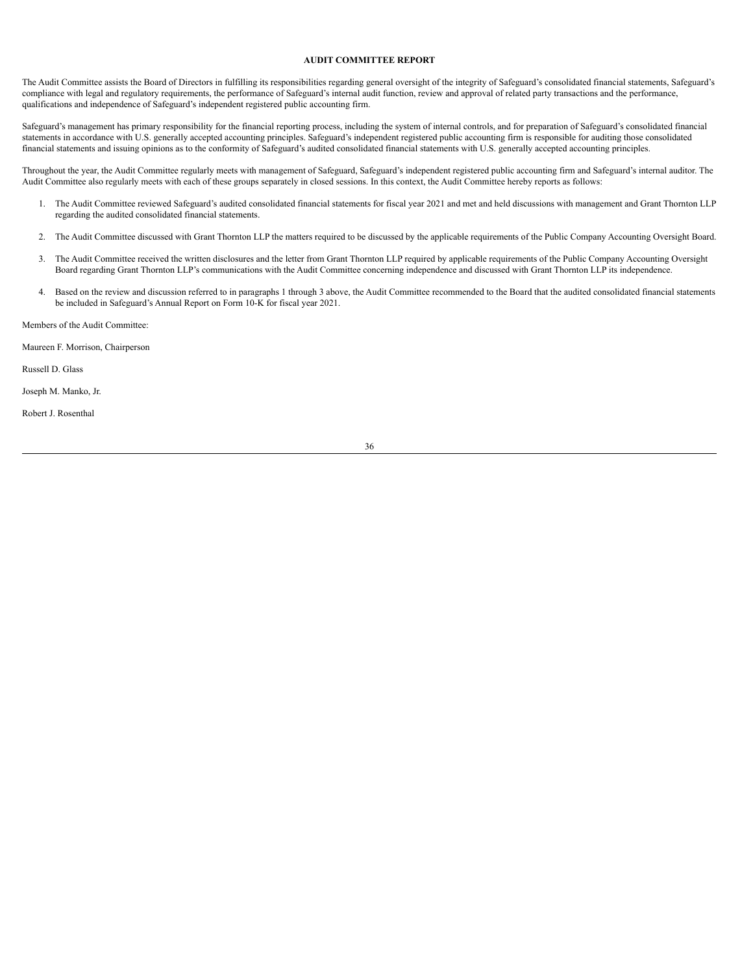# <span id="page-39-0"></span>**AUDIT COMMITTEE REPORT**

The Audit Committee assists the Board of Directors in fulfilling its responsibilities regarding general oversight of the integrity of Safeguard's consolidated financial statements, Safeguard's compliance with legal and regulatory requirements, the performance of Safeguard's internal audit function, review and approval of related party transactions and the performance, qualifications and independence of Safeguard's independent registered public accounting firm.

Safeguard's management has primary responsibility for the financial reporting process, including the system of internal controls, and for preparation of Safeguard's consolidated financial statements in accordance with U.S. generally accepted accounting principles. Safeguard's independent registered public accounting firm is responsible for auditing those consolidated financial statements and issuing opinions as to the conformity of Safeguard's audited consolidated financial statements with U.S. generally accepted accounting principles.

Throughout the year, the Audit Committee regularly meets with management of Safeguard, Safeguard's independent registered public accounting firm and Safeguard's internal auditor. The Audit Committee also regularly meets with each of these groups separately in closed sessions. In this context, the Audit Committee hereby reports as follows:

- 1. The Audit Committee reviewed Safeguard's audited consolidated financial statements for fiscal year 2021 and met and held discussions with management and Grant Thornton LLP regarding the audited consolidated financial statements.
- 2. The Audit Committee discussed with Grant Thornton LLP the matters required to be discussed by the applicable requirements of the Public Company Accounting Oversight Board.
- 3. The Audit Committee received the written disclosures and the letter from Grant Thornton LLP required by applicable requirements of the Public Company Accounting Oversight Board regarding Grant Thornton LLP's communications with the Audit Committee concerning independence and discussed with Grant Thornton LLP its independence.
- 4. Based on the review and discussion referred to in paragraphs 1 through 3 above, the Audit Committee recommended to the Board that the audited consolidated financial statements be included in Safeguard's Annual Report on Form 10-K for fiscal year 2021.

Members of the Audit Committee:

Maureen F. Morrison, Chairperson

Russell D. Glass

Joseph M. Manko, Jr.

Robert J. Rosenthal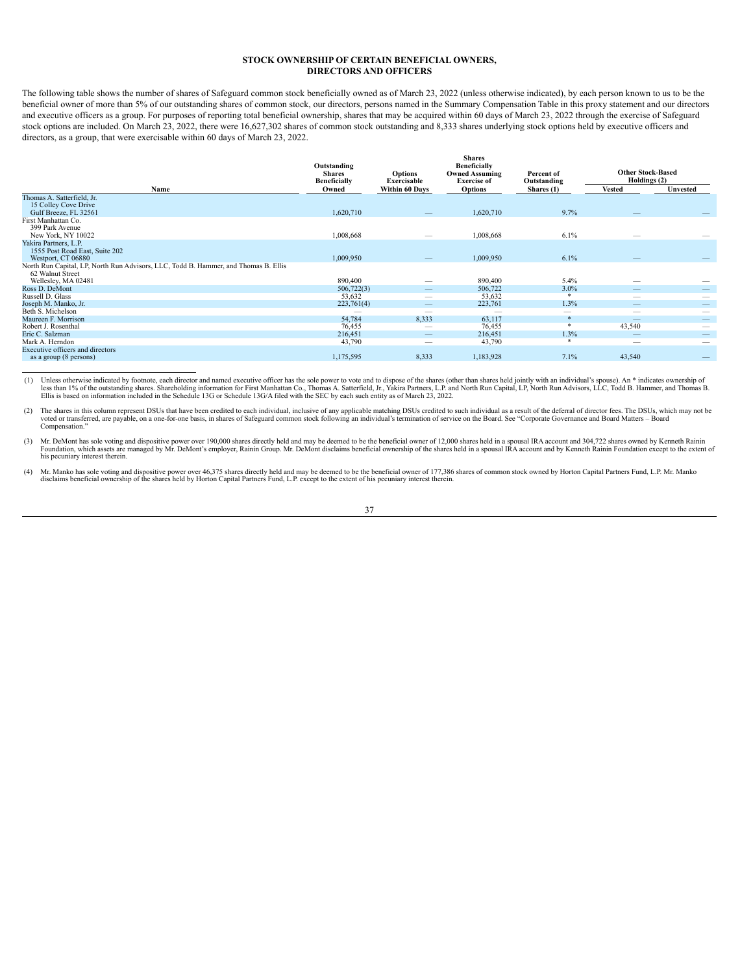# <span id="page-40-0"></span>**STOCK OWNERSHIP OF CERTAIN BENEFICIAL OWNERS, DIRECTORS AND OFFICERS**

The following table shows the number of shares of Safeguard common stock beneficially owned as of March 23, 2022 (unless otherwise indicated), by each person known to us to be the beneficial owner of more than 5% of our outstanding shares of common stock, our directors, persons named in the Summary Compensation Table in this proxy statement and our directors and executive officers as a group. For purposes of reporting total beneficial ownership, shares that may be acquired within 60 days of March 23, 2022 through the exercise of Safeguard stock options are included. On March 23, 2022, there were 16,627,302 shares of common stock outstanding and 8,333 shares underlying stock options held by executive officers and directors, as a group, that were exercisable within 60 days of March 23, 2022.

|                                                                                     | Outstanding<br><b>Shares</b><br><b>Beneficially</b> | <b>Options</b><br>Exercisable | <b>Shares</b><br><b>Beneficially</b><br><b>Owned Assuming</b><br><b>Exercise of</b> | Percent of<br>Outstanding | <b>Other Stock-Based</b><br>Holdings (2) |          |
|-------------------------------------------------------------------------------------|-----------------------------------------------------|-------------------------------|-------------------------------------------------------------------------------------|---------------------------|------------------------------------------|----------|
| Name                                                                                | Owned                                               | Within 60 Days                | <b>Options</b>                                                                      | Shares $(1)$              | <b>Vested</b>                            | Unvested |
| Thomas A. Satterfield, Jr.                                                          |                                                     |                               |                                                                                     |                           |                                          |          |
| 15 Colley Cove Drive                                                                |                                                     |                               |                                                                                     |                           |                                          |          |
| Gulf Breeze, FL 32561                                                               | 1,620,710                                           |                               | 1,620,710                                                                           | 9.7%                      | _                                        |          |
| First Manhattan Co.                                                                 |                                                     |                               |                                                                                     |                           |                                          |          |
| 399 Park Avenue                                                                     |                                                     |                               |                                                                                     |                           |                                          |          |
| New York, NY 10022                                                                  | 1,008,668                                           |                               | 1,008,668                                                                           | 6.1%                      |                                          |          |
| Yakira Partners, L.P.                                                               |                                                     |                               |                                                                                     |                           |                                          |          |
| 1555 Post Road East, Suite 202                                                      |                                                     |                               |                                                                                     |                           |                                          |          |
| Westport, CT 06880                                                                  | 1,009,950                                           |                               | 1,009,950                                                                           | 6.1%                      |                                          |          |
| North Run Capital, LP, North Run Advisors, LLC, Todd B. Hammer, and Thomas B. Ellis |                                                     |                               |                                                                                     |                           |                                          |          |
| 62 Walnut Street                                                                    |                                                     |                               |                                                                                     |                           |                                          |          |
| Wellesley, MA 02481                                                                 | 890,400                                             |                               | 890,400                                                                             | $5.4\%$                   |                                          |          |
| Ross D. DeMont                                                                      | 506,722(3)                                          | –                             | 506,722                                                                             | $3.0\%$                   | –                                        |          |
| Russell D. Glass                                                                    | 53,632                                              |                               | 53,632                                                                              |                           | $\overline{\phantom{a}}$                 |          |
| Joseph M. Manko, Jr.                                                                | 223,761(4)                                          |                               | 223,761                                                                             | 1.3%                      | $\qquad \qquad$                          |          |
| Beth S. Michelson                                                                   |                                                     | -                             | -                                                                                   | $\overline{\phantom{a}}$  | $\hspace{0.05cm}$                        |          |
| Maureen F. Morrison                                                                 | 54,784                                              | 8,333                         | 63,117                                                                              | 家                         |                                          |          |
| Robert J. Rosenthal                                                                 | 76,455                                              |                               | 76,455                                                                              |                           | 43,540                                   |          |
| Eric C. Salzman                                                                     | 216,451                                             |                               | 216,451                                                                             | 1.3%                      |                                          |          |
| Mark A. Herndon                                                                     | 43,790                                              |                               | 43,790                                                                              |                           |                                          |          |
| Executive officers and directors                                                    |                                                     |                               |                                                                                     |                           |                                          |          |
| as a group (8 persons)                                                              | 1,175,595                                           | 8,333                         | 1,183,928                                                                           | 7.1%                      | 43,540                                   |          |
|                                                                                     |                                                     |                               |                                                                                     |                           |                                          |          |

(1) Unless otherwise indicated by footnote, each director and named executive officer has the sole power to vote and to dispose of the shares (other than shares held jointly with an individual's spouse). An \* indicates own less than 1% of the outstanding shares. Shareholding information for First Manhattan Co., Thomas A. Satterfield, Jr., Yakira Partners, L.P. and North Run Capital, LP, North Run Advisors, LLC, Todd B. Hammer, and Thomas B.<br>

(2) The shares in this column represent DSUs that have been credited to each individual, inclusive of any applicable matching DSUs credited to such individual as a result of the deferral of director fees. The DSUs, which m Compensation."

(3) Mr. DeMont has sole voting and dispositive power over 190,000 shares directly held and may be deemed to be the beneficial owner of 12,000 shares held in a spousal IRA account and 304,722 shares owned by Kenneth Rainin his pecuniary interest therein.

(4) Mr. Manko has sole voting and dispositive power over 46,375 shares directly held and may be deemed to be the beneficial owner of 177,386 shares of common stock owned by Horton Capital Partners Fund, L.P. Mr. Manko disc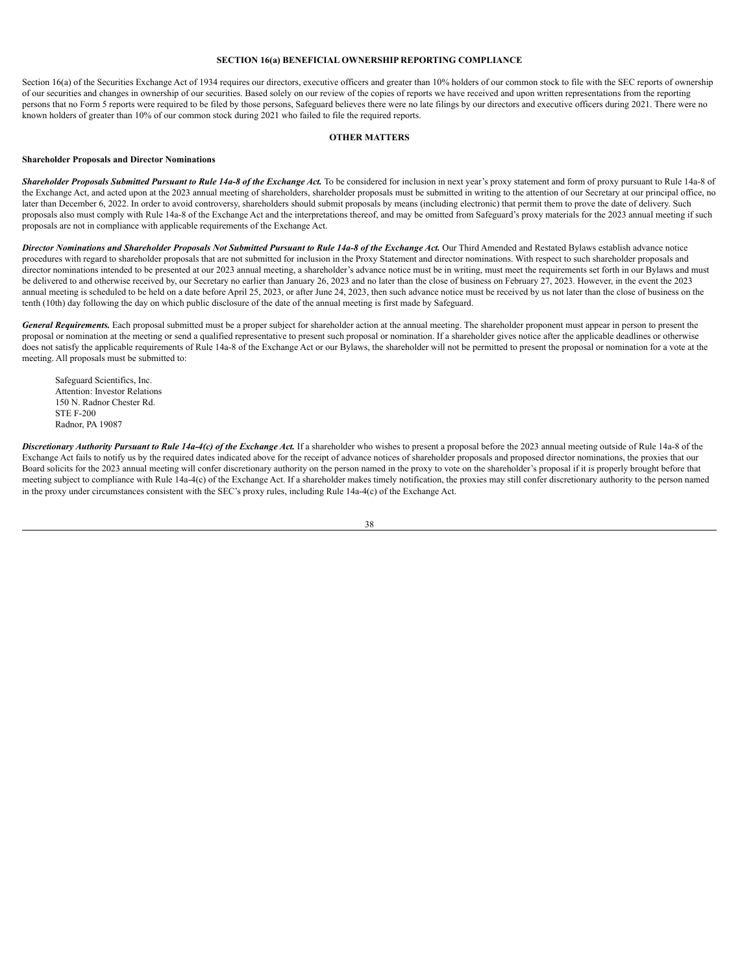# **SECTION 16(a) BENEFICIAL OWNERSHIP REPORTING COMPLIANCE**

Section 16(a) of the Securities Exchange Act of 1934 requires our directors, executive officers and greater than 10% holders of our common stock to file with the SEC reports of ownership of our securities and changes in ownership of our securities. Based solely on our review of the copies of reports we have received and upon written representations from the reporting persons that no Form 5 reports were required to be filed by those persons, Safeguard believes there were no late filings by our directors and executive officers during 2021. There were no known holders of greater than 10% of our common stock during 2021 who failed to file the required reports.

#### **OTHER MATTERS**

## <span id="page-41-0"></span>**Shareholder Proposals and Director Nominations**

Shareholder Proposals Submitted Pursuant to Rule 14a-8 of the Exchange Act. To be considered for inclusion in next year's proxy statement and form of proxy pursuant to Rule 14a-8 of the Exchange Act, and acted upon at the 2023 annual meeting of shareholders, shareholder proposals must be submitted in writing to the attention of our Secretary at our principal office, no later than December 6, 2022. In order to avoid controversy, shareholders should submit proposals by means (including electronic) that permit them to prove the date of delivery. Such proposals also must comply with Rule 14a-8 of the Exchange Act and the interpretations thereof, and may be omitted from Safeguard's proxy materials for the 2023 annual meeting if such proposals are not in compliance with applicable requirements of the Exchange Act.

Director Nominations and Shareholder Proposals Not Submitted Pursuant to Rule 14a-8 of the Exchange Act. Our Third Amended and Restated Bylaws establish advance notice procedures with regard to shareholder proposals that are not submitted for inclusion in the Proxy Statement and director nominations. With respect to such shareholder proposals and director nominations intended to be presented at our 2023 annual meeting, a shareholder's advance notice must be in writing, must meet the requirements set forth in our Bylaws and must be delivered to and otherwise received by, our Secretary no earlier than January 26, 2023 and no later than the close of business on February 27, 2023. However, in the event the 2023 annual meeting is scheduled to be held on a date before April 25, 2023, or after June 24, 2023, then such advance notice must be received by us not later than the close of business on the tenth (10th) day following the day on which public disclosure of the date of the annual meeting is first made by Safeguard.

*General Requirements.* Each proposal submitted must be a proper subject for shareholder action at the annual meeting. The shareholder proponent must appear in person to present the proposal or nomination at the meeting or send a qualified representative to present such proposal or nomination. If a shareholder gives notice after the applicable deadlines or otherwise does not satisfy the applicable requirements of Rule 14a-8 of the Exchange Act or our Bylaws, the shareholder will not be permitted to present the proposal or nomination for a vote at the meeting. All proposals must be submitted to:

Safeguard Scientifics, Inc. Attention: Investor Relations 150 N. Radnor Chester Rd. STE F-200 Radnor, PA 19087

Discretionary Authority Pursuant to Rule 14a-4(c) of the Exchange Act. If a shareholder who wishes to present a proposal before the 2023 annual meeting outside of Rule 14a-8 of the Exchange Act fails to notify us by the required dates indicated above for the receipt of advance notices of shareholder proposals and proposed director nominations, the proxies that our Board solicits for the 2023 annual meeting will confer discretionary authority on the person named in the proxy to vote on the shareholder's proposal if it is properly brought before that meeting subject to compliance with Rule 14a-4(c) of the Exchange Act. If a shareholder makes timely notification, the proxies may still confer discretionary authority to the person named in the proxy under circumstances consistent with the SEC's proxy rules, including Rule 14a-4(c) of the Exchange Act.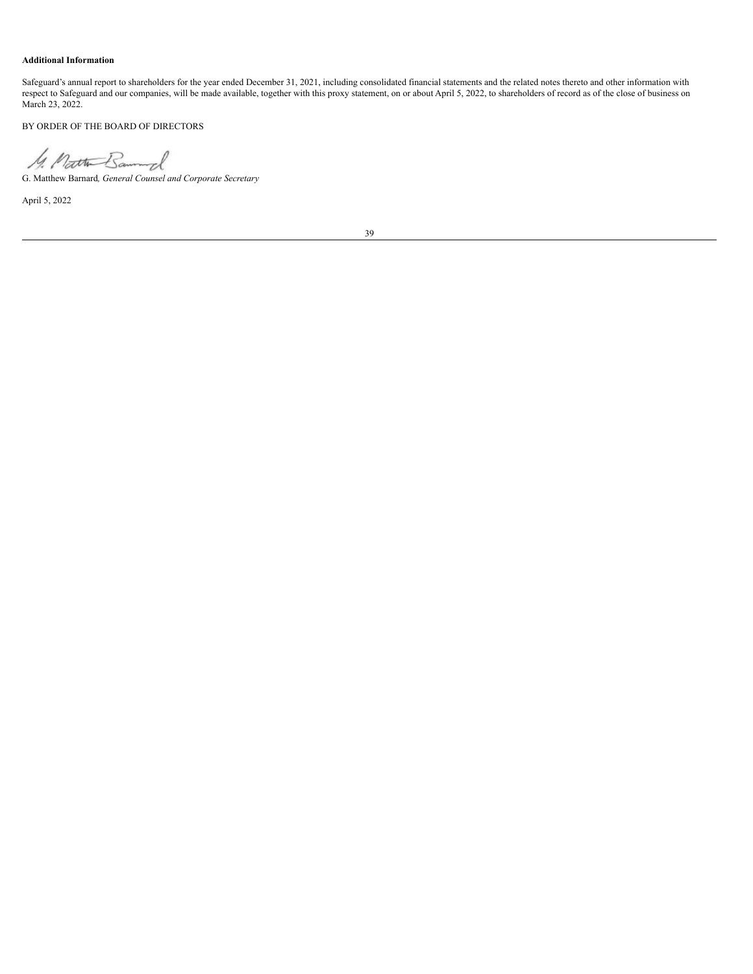# **Additional Information**

Safeguard's annual report to shareholders for the year ended December 31, 2021, including consolidated financial statements and the related notes thereto and other information with respect to Safeguard and our companies, will be made available, together with this proxy statement, on or about April 5, 2022, to shareholders of record as of the close of business on March 23, 2022.

BY ORDER OF THE BOARD OF DIRECTORS

G. Matthew Barnard*, General Counsel and Corporate Secretary*

April 5, 2022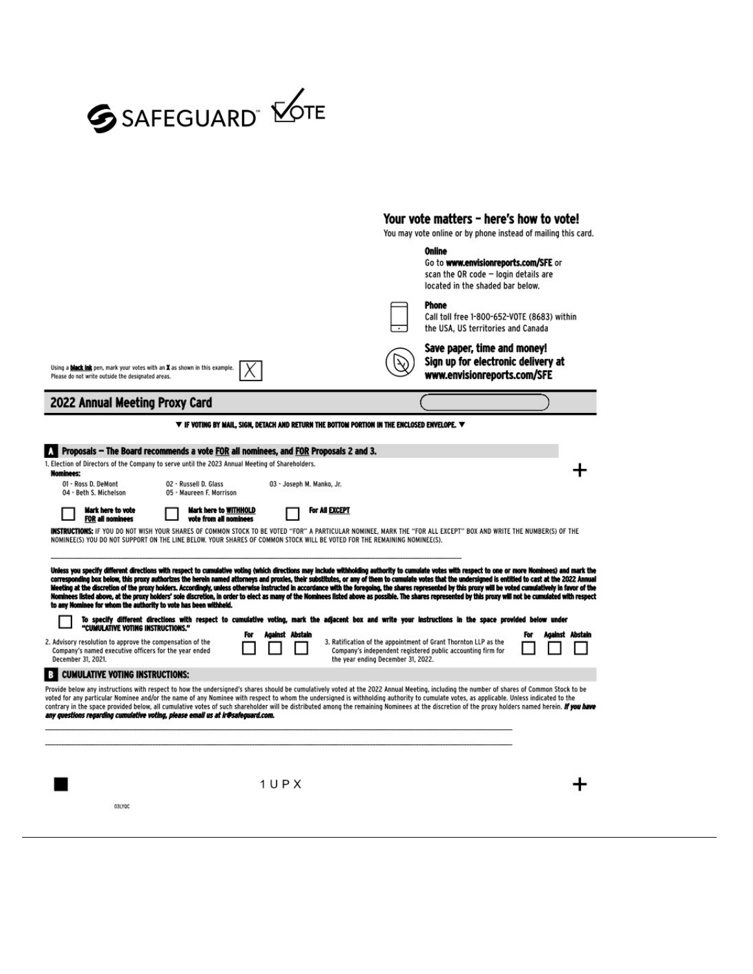

# Your vote matters - here's how to vote!

You may vote online or by phone instead of mailing this card.

|                                                                                                                                                                                                                                                                                                                                                                                                                                                                                                                                                                                                                                                                                                                                                                                                                                                                                                                                                                                                                                                                                                                                                                                                                     |                           |                                                                                                                                                                      | Online<br>Go to www.envisionreports.com/SFE or<br>scan the QR code - login details are<br>located in the shaded bar below. |                        |
|---------------------------------------------------------------------------------------------------------------------------------------------------------------------------------------------------------------------------------------------------------------------------------------------------------------------------------------------------------------------------------------------------------------------------------------------------------------------------------------------------------------------------------------------------------------------------------------------------------------------------------------------------------------------------------------------------------------------------------------------------------------------------------------------------------------------------------------------------------------------------------------------------------------------------------------------------------------------------------------------------------------------------------------------------------------------------------------------------------------------------------------------------------------------------------------------------------------------|---------------------------|----------------------------------------------------------------------------------------------------------------------------------------------------------------------|----------------------------------------------------------------------------------------------------------------------------|------------------------|
|                                                                                                                                                                                                                                                                                                                                                                                                                                                                                                                                                                                                                                                                                                                                                                                                                                                                                                                                                                                                                                                                                                                                                                                                                     |                           |                                                                                                                                                                      | <b>Phone</b><br>Call toll free 1-800-652-VOTE (8683) within<br>the USA. US territories and Canada                          |                        |
| Using a <b>black ink</b> pen, mark your votes with an X as shown in this example.<br>Please do not write outside the designated areas.                                                                                                                                                                                                                                                                                                                                                                                                                                                                                                                                                                                                                                                                                                                                                                                                                                                                                                                                                                                                                                                                              |                           |                                                                                                                                                                      | Save paper, time and money!<br>Sign up for electronic delivery at<br>www.envisionreports.com/SFE                           |                        |
| 2022 Annual Meeting Proxy Card                                                                                                                                                                                                                                                                                                                                                                                                                                                                                                                                                                                                                                                                                                                                                                                                                                                                                                                                                                                                                                                                                                                                                                                      |                           |                                                                                                                                                                      |                                                                                                                            |                        |
|                                                                                                                                                                                                                                                                                                                                                                                                                                                                                                                                                                                                                                                                                                                                                                                                                                                                                                                                                                                                                                                                                                                                                                                                                     |                           | $\blacktriangledown$ if voting by MAIL, sign, detach and return the bottom portion in the enclosed envelope. $\blacktriangledown$                                    |                                                                                                                            |                        |
| Proposals – The Board recommends a vote FOR all nominees, and FOR Proposals 2 and 3.                                                                                                                                                                                                                                                                                                                                                                                                                                                                                                                                                                                                                                                                                                                                                                                                                                                                                                                                                                                                                                                                                                                                |                           |                                                                                                                                                                      |                                                                                                                            |                        |
| 1. Election of Directors of the Company to serve until the 2023 Annual Meeting of Shareholders.<br><b>Nominees:</b>                                                                                                                                                                                                                                                                                                                                                                                                                                                                                                                                                                                                                                                                                                                                                                                                                                                                                                                                                                                                                                                                                                 |                           |                                                                                                                                                                      |                                                                                                                            |                        |
| 01 - Ross D. DeMont<br>02 - Russell D. Glass<br>04 - Beth S. Michelson<br>05 - Maureen F. Morrison                                                                                                                                                                                                                                                                                                                                                                                                                                                                                                                                                                                                                                                                                                                                                                                                                                                                                                                                                                                                                                                                                                                  | 03 - Joseph M. Manko, Jr. |                                                                                                                                                                      |                                                                                                                            |                        |
| Mark here to vote<br>Mark here to WITHHOLD<br><b>FOR all nominees</b><br>vote from all nominees                                                                                                                                                                                                                                                                                                                                                                                                                                                                                                                                                                                                                                                                                                                                                                                                                                                                                                                                                                                                                                                                                                                     |                           | For All EXCEPT                                                                                                                                                       |                                                                                                                            |                        |
| <b>INSTRUCTIONS:</b> IF YOU DO NOT WISH YOUR SHARES OF COMMON STOCK TO BE VOTED "FOR" A PARTICULAR NOMINEE, MARK THE "FOR ALL EXCEPT" BOX AND WRITE THE NUMBER(S) OF THE<br>NOMINEE(S) YOU DO NOT SUPPORT ON THE LINE BELOW. YOUR SHARES OF COMMON STOCK WILL BE VOTED FOR THE REMAINING NOMINEE(S).<br>Unless you specify different directions with respect to cumulative voting (which directions may include withholding authority to cumulate votes with respect to one or more Nominees) and mark the<br>corresponding box below, this proxy authorizes the herein named attorneys and proxies, their substitutes, or any of them to cumulate votes that the undersigned is entitied to cast at the 2022 Annual<br>Meeting at the discretion of the proxy holders. Accordingly, unless otherwise instructed in accordance with the foregoing, the shares represented by this proxy will be voted cumulatively in favor of the<br>Nominees listed above, at the proxy holders' sole discretion, in order to elect as many of the Nominees listed above as possible. The shares represented by this proxy will not be cumulated with respect<br>to any Nominee for whom the authority to vote has been withheld. |                           |                                                                                                                                                                      |                                                                                                                            |                        |
| To specify different directions with respect to cumulative voting, mark the adjacent box and write your instructions in the space provided below under<br>"CUMULATIVE VOTING INSTRUCTIONS."                                                                                                                                                                                                                                                                                                                                                                                                                                                                                                                                                                                                                                                                                                                                                                                                                                                                                                                                                                                                                         |                           |                                                                                                                                                                      |                                                                                                                            |                        |
| 2. Advisory resolution to approve the compensation of the<br>Company's named executive officers for the year ended<br>December 31, 2021.                                                                                                                                                                                                                                                                                                                                                                                                                                                                                                                                                                                                                                                                                                                                                                                                                                                                                                                                                                                                                                                                            | Against Abstain<br>For    | 3. Ratification of the appointment of Grant Thornton LLP as the<br>Company's independent registered public accounting firm for<br>the year ending December 31, 2022. |                                                                                                                            | Against Abstain<br>For |
| <b>CUMULATIVE VOTING INSTRUCTIONS:</b><br>в                                                                                                                                                                                                                                                                                                                                                                                                                                                                                                                                                                                                                                                                                                                                                                                                                                                                                                                                                                                                                                                                                                                                                                         |                           |                                                                                                                                                                      |                                                                                                                            |                        |
| Provide below any instructions with respect to how the undersigned's shares should be cumulatively voted at the 2022 Annual Meeting, including the number of shares of Common Stock to be<br>voted for any particular Nominee and/or the name of any Nominee with respect to whom the undersigned is withholding authority to cumulate votes, as applicable. Unless indicated to the<br>contrary in the space provided below, all cumulative votes of such shareholder will be distributed among the remaining Nominees at the discretion of the proxy holders named herein. If you have<br>any questions regarding cumulative voting, please email us at ir@safeguard.com.                                                                                                                                                                                                                                                                                                                                                                                                                                                                                                                                         |                           |                                                                                                                                                                      |                                                                                                                            |                        |
|                                                                                                                                                                                                                                                                                                                                                                                                                                                                                                                                                                                                                                                                                                                                                                                                                                                                                                                                                                                                                                                                                                                                                                                                                     | 1UPX                      |                                                                                                                                                                      |                                                                                                                            |                        |
| 03LYOC                                                                                                                                                                                                                                                                                                                                                                                                                                                                                                                                                                                                                                                                                                                                                                                                                                                                                                                                                                                                                                                                                                                                                                                                              |                           |                                                                                                                                                                      |                                                                                                                            |                        |